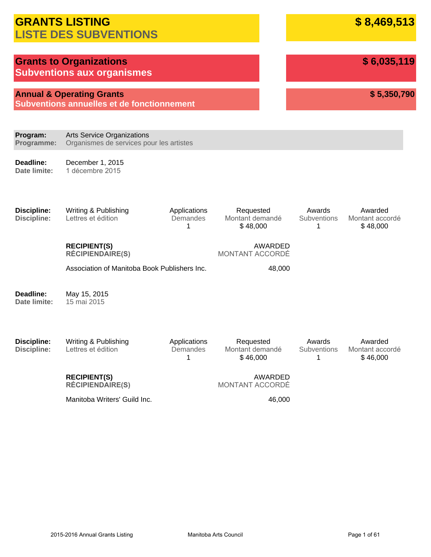|                                          | <b>GRANTS LISTING</b><br><b>LISTE DES SUBVENTIONS</b>                              |                               | \$8,469,513                              |                            |                                        |
|------------------------------------------|------------------------------------------------------------------------------------|-------------------------------|------------------------------------------|----------------------------|----------------------------------------|
|                                          | <b>Grants to Organizations</b><br><b>Subventions aux organismes</b>                |                               |                                          |                            | \$6,035,119                            |
|                                          | <b>Annual &amp; Operating Grants</b><br>Subventions annuelles et de fonctionnement |                               |                                          |                            | \$5,350,790                            |
| Program:<br>Programme:                   | <b>Arts Service Organizations</b><br>Organismes de services pour les artistes      |                               |                                          |                            |                                        |
| Deadline:<br>Date limite:                | December 1, 2015<br>1 décembre 2015                                                |                               |                                          |                            |                                        |
| <b>Discipline:</b><br><b>Discipline:</b> | Writing & Publishing<br>Lettres et édition                                         | Applications<br>Demandes<br>1 | Requested<br>Montant demandé<br>\$48,000 | Awards<br>Subventions<br>1 | Awarded<br>Montant accordé<br>\$48,000 |
|                                          | <b>RECIPIENT(S)</b><br><b>RÉCIPIENDAIRE(S)</b>                                     |                               | AWARDED<br>MONTANT ACCORDÉ               |                            |                                        |
|                                          | Association of Manitoba Book Publishers Inc.                                       |                               | 48,000                                   |                            |                                        |
| Deadline:<br>Date limite:                | May 15, 2015<br>15 mai 2015                                                        |                               |                                          |                            |                                        |
| <b>Discipline:</b><br><b>Discipline:</b> | Writing & Publishing<br>Lettres et édition                                         | Applications<br>Demandes<br>1 | Requested<br>Montant demandé<br>\$46,000 | Awards<br>Subventions<br>1 | Awarded<br>Montant accordé<br>\$46,000 |
|                                          | <b>RECIPIENT(S)</b><br><b>RÉCIPIENDAIRE(S)</b>                                     |                               | AWARDED<br>MONTANT ACCORDÉ               |                            |                                        |
|                                          | Manitoba Writers' Guild Inc.                                                       |                               | 46,000                                   |                            |                                        |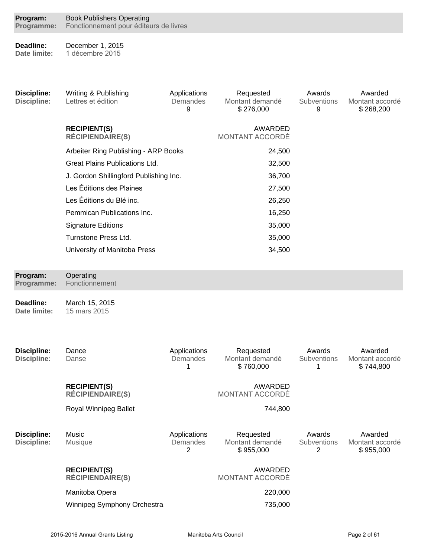| <b>Book Publishers Operating</b>               |                                                      |                                                                                                                          |                                                |                                         |
|------------------------------------------------|------------------------------------------------------|--------------------------------------------------------------------------------------------------------------------------|------------------------------------------------|-----------------------------------------|
| December 1, 2015<br>1 décembre 2015            |                                                      |                                                                                                                          |                                                |                                         |
| Writing & Publishing<br>Lettres et édition     | Applications<br>Demandes<br>9                        | Requested<br>Montant demandé<br>\$276,000                                                                                | Awards<br>Subventions<br>9                     | Awarded<br>Montant accordé<br>\$268,200 |
| <b>RECIPIENT(S)</b><br><b>RÉCIPIENDAIRE(S)</b> |                                                      | AWARDED<br>MONTANT ACCORDÉ                                                                                               |                                                |                                         |
|                                                |                                                      | 24,500                                                                                                                   |                                                |                                         |
| <b>Great Plains Publications Ltd.</b>          |                                                      | 32,500                                                                                                                   |                                                |                                         |
|                                                |                                                      | 36,700                                                                                                                   |                                                |                                         |
| Les Éditions des Plaines                       | 27,500                                               |                                                                                                                          |                                                |                                         |
| Les Éditions du Blé inc.                       | 26,250                                               |                                                                                                                          |                                                |                                         |
| Pemmican Publications Inc.                     |                                                      | 16,250                                                                                                                   |                                                |                                         |
| <b>Signature Editions</b>                      |                                                      | 35,000                                                                                                                   |                                                |                                         |
|                                                |                                                      |                                                                                                                          |                                                |                                         |
|                                                |                                                      |                                                                                                                          |                                                |                                         |
| Operating<br>Fonctionnement                    |                                                      |                                                                                                                          |                                                |                                         |
| March 15, 2015<br>15 mars 2015                 |                                                      |                                                                                                                          |                                                |                                         |
| Dance<br>Danse                                 | Applications<br>Demandes<br>1                        | Requested<br>Montant demandé<br>\$760,000                                                                                | Awards<br>Subventions<br>1                     | Awarded<br>Montant accordé<br>\$744,800 |
| <b>RECIPIENT(S)</b><br><b>RÉCIPIENDAIRE(S)</b> |                                                      | AWARDED<br>MONTANT ACCORDÉ                                                                                               |                                                |                                         |
| Royal Winnipeg Ballet                          |                                                      | 744,800                                                                                                                  |                                                |                                         |
| Music<br><b>Musique</b>                        | Applications<br>Demandes<br>$\overline{2}$           | Requested<br>Montant demandé<br>\$955,000                                                                                | Awards<br><b>Subventions</b><br>$\overline{2}$ | Awarded<br>Montant accordé<br>\$955,000 |
| <b>RECIPIENT(S)</b><br><b>RÉCIPIENDAIRE(S)</b> |                                                      | <b>AWARDED</b><br>MONTANT ACCORDÉ                                                                                        |                                                |                                         |
| Manitoba Opera                                 |                                                      | 220,000                                                                                                                  |                                                |                                         |
| Winnipeg Symphony Orchestra                    |                                                      | 735,000                                                                                                                  |                                                |                                         |
|                                                | Turnstone Press Ltd.<br>University of Manitoba Press | Fonctionnement pour éditeurs de livres<br>Arbeiter Ring Publishing - ARP Books<br>J. Gordon Shillingford Publishing Inc. | 35,000<br>34,500                               |                                         |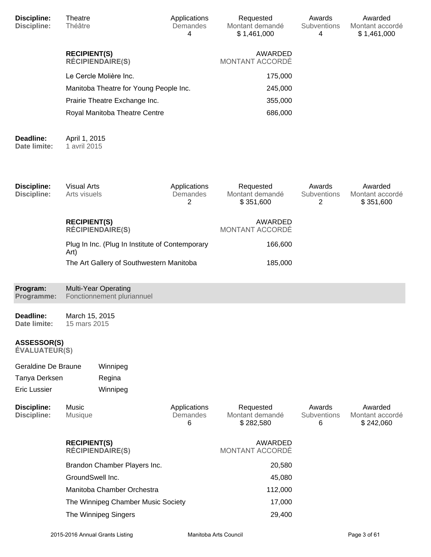| Discipline:<br><b>Discipline:</b>          | <b>Theatre</b><br><b>Théâtre</b>   |                                                           | Applications<br>Demandes<br>4 | Requested<br>Montant demandé<br>\$1,461,000 | Awards<br><b>Subventions</b><br>4 | Awarded<br>Montant accordé<br>\$1,461,000 |
|--------------------------------------------|------------------------------------|-----------------------------------------------------------|-------------------------------|---------------------------------------------|-----------------------------------|-------------------------------------------|
|                                            | <b>RECIPIENT(S)</b>                | <b>RÉCIPIENDAIRE(S)</b>                                   |                               | AWARDED<br>MONTANT ACCORDÉ                  |                                   |                                           |
|                                            |                                    | Le Cercle Molière Inc.                                    |                               | 175,000                                     |                                   |                                           |
|                                            |                                    | Manitoba Theatre for Young People Inc.                    |                               | 245,000                                     |                                   |                                           |
|                                            |                                    | Prairie Theatre Exchange Inc.                             |                               | 355,000                                     |                                   |                                           |
|                                            |                                    | Royal Manitoba Theatre Centre                             |                               | 686,000                                     |                                   |                                           |
| Deadline:<br>Date limite:                  | April 1, 2015<br>1 avril 2015      |                                                           |                               |                                             |                                   |                                           |
| <b>Discipline:</b><br><b>Discipline:</b>   | <b>Visual Arts</b><br>Arts visuels |                                                           | Applications<br>Demandes<br>2 | Requested<br>Montant demandé<br>\$351,600   | Awards<br>Subventions<br>2        | Awarded<br>Montant accordé<br>\$351,600   |
|                                            | <b>RECIPIENT(S)</b>                | <b>RÉCIPIENDAIRE(S)</b>                                   |                               | AWARDED<br>MONTANT ACCORDÉ                  |                                   |                                           |
|                                            | Art)                               | Plug In Inc. (Plug In Institute of Contemporary           |                               | 166,600                                     |                                   |                                           |
|                                            |                                    | The Art Gallery of Southwestern Manitoba                  |                               | 185,000                                     |                                   |                                           |
| Program:<br>Programme:                     |                                    | <b>Multi-Year Operating</b><br>Fonctionnement pluriannuel |                               |                                             |                                   |                                           |
| Deadline:<br>Date limite:                  | March 15, 2015<br>15 mars 2015     |                                                           |                               |                                             |                                   |                                           |
| <b>ASSESSOR(S)</b><br><b>ÉVALUATEUR(S)</b> |                                    |                                                           |                               |                                             |                                   |                                           |
| Geraldine De Braune                        |                                    | Winnipeg                                                  |                               |                                             |                                   |                                           |
| Tanya Derksen                              |                                    | Regina                                                    |                               |                                             |                                   |                                           |
| Eric Lussier                               |                                    | Winnipeg                                                  |                               |                                             |                                   |                                           |
| <b>Discipline:</b><br><b>Discipline:</b>   | Music<br>Musique                   |                                                           | Applications<br>Demandes<br>6 | Requested<br>Montant demandé<br>\$282,580   | Awards<br>Subventions<br>6        | Awarded<br>Montant accordé<br>\$242,060   |
|                                            | <b>RECIPIENT(S)</b>                | <b>RÉCIPIENDAIRE(S)</b>                                   |                               | AWARDED<br>MONTANT ACCORDÉ                  |                                   |                                           |
|                                            |                                    | Brandon Chamber Players Inc.                              |                               | 20,580                                      |                                   |                                           |
|                                            |                                    | GroundSwell Inc.                                          |                               | 45,080                                      |                                   |                                           |
|                                            |                                    | Manitoba Chamber Orchestra                                |                               | 112,000                                     |                                   |                                           |
|                                            |                                    | The Winnipeg Chamber Music Society                        |                               | 17,000                                      |                                   |                                           |
|                                            |                                    | The Winnipeg Singers                                      |                               | 29,400                                      |                                   |                                           |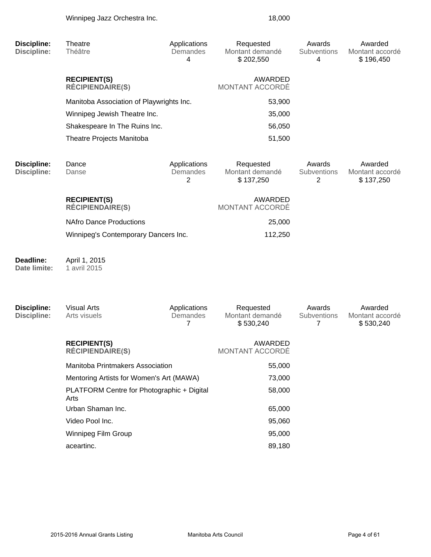| <b>Discipline:</b>                       | Theatre                                            | Applications                               | Requested                                 | Awards                     | Awarded                                 |
|------------------------------------------|----------------------------------------------------|--------------------------------------------|-------------------------------------------|----------------------------|-----------------------------------------|
| <b>Discipline:</b>                       | Théâtre                                            | Demandes<br>4                              | Montant demandé<br>\$202,550              | Subventions<br>4           | Montant accordé<br>\$196,450            |
|                                          | <b>RECIPIENT(S)</b><br><b>RÉCIPIENDAIRE(S)</b>     |                                            | AWARDED<br>MONTANT ACCORDÉ                |                            |                                         |
|                                          | Manitoba Association of Playwrights Inc.           |                                            | 53,900                                    |                            |                                         |
|                                          | Winnipeg Jewish Theatre Inc.                       |                                            | 35,000                                    |                            |                                         |
|                                          | Shakespeare In The Ruins Inc.                      |                                            | 56,050                                    |                            |                                         |
|                                          | Theatre Projects Manitoba                          |                                            | 51,500                                    |                            |                                         |
| <b>Discipline:</b><br><b>Discipline:</b> | Dance<br>Danse                                     | Applications<br>Demandes<br>$\overline{2}$ | Requested<br>Montant demandé<br>\$137,250 | Awards<br>Subventions<br>2 | Awarded<br>Montant accordé<br>\$137,250 |
|                                          | <b>RECIPIENT(S)</b><br><b>RÉCIPIENDAIRE(S)</b>     |                                            | AWARDED<br>MONTANT ACCORDÉ                |                            |                                         |
|                                          | <b>NAfro Dance Productions</b>                     |                                            | 25,000                                    |                            |                                         |
|                                          | Winnipeg's Contemporary Dancers Inc.               |                                            | 112,250                                   |                            |                                         |
| Deadline:<br>Date limite:                | April 1, 2015<br>1 avril 2015                      |                                            |                                           |                            |                                         |
| <b>Discipline:</b><br><b>Discipline:</b> | <b>Visual Arts</b><br>Arts visuels                 | Applications<br>Demandes<br>7              | Requested<br>Montant demandé<br>\$530,240 | Awards<br>Subventions<br>7 | Awarded<br>Montant accordé<br>\$530,240 |
|                                          | <b>RECIPIENT(S)</b><br><b>RÉCIPIENDAIRE(S)</b>     |                                            | <b>AWARDED</b><br>MONTANT ACCORDÉ         |                            |                                         |
|                                          | Manitoba Printmakers Association                   |                                            | 55,000                                    |                            |                                         |
|                                          | Mentoring Artists for Women's Art (MAWA)           |                                            | 73,000                                    |                            |                                         |
|                                          | PLATFORM Centre for Photographic + Digital<br>Arts |                                            | 58,000                                    |                            |                                         |
|                                          | Urban Shaman Inc.                                  |                                            | 65,000                                    |                            |                                         |
|                                          | Video Pool Inc.                                    |                                            | 95,060                                    |                            |                                         |
|                                          | Winninga Film Group                                |                                            | $QF$ $QQ$                                 |                            |                                         |

Winnipeg Film Group **95,000** aceartinc. 89,180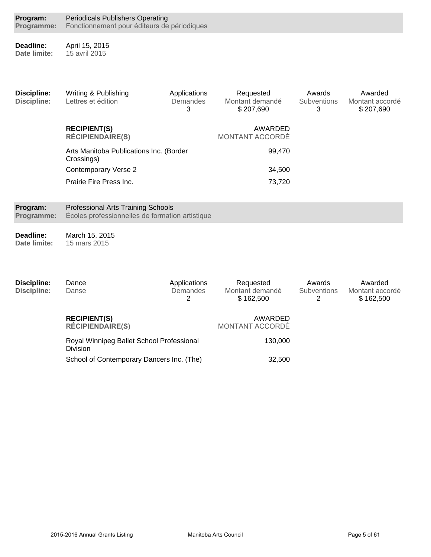| Program:<br>Programme:                   | <b>Periodicals Publishers Operating</b><br>Fonctionnement pour éditeurs de périodiques       |                               |                                           |                                   |                                         |  |  |
|------------------------------------------|----------------------------------------------------------------------------------------------|-------------------------------|-------------------------------------------|-----------------------------------|-----------------------------------------|--|--|
| Deadline:<br>Date limite:                | April 15, 2015<br>15 avril 2015                                                              |                               |                                           |                                   |                                         |  |  |
| <b>Discipline:</b><br><b>Discipline:</b> | Writing & Publishing<br>Lettres et édition                                                   | Applications<br>Demandes<br>3 | Requested<br>Montant demandé<br>\$207,690 | Awards<br><b>Subventions</b><br>3 | Awarded<br>Montant accordé<br>\$207,690 |  |  |
|                                          | <b>RECIPIENT(S)</b><br><b>RÉCIPIENDAIRE(S)</b>                                               |                               | AWARDED<br><b>MONTANT ACCORDÉ</b>         |                                   |                                         |  |  |
|                                          | Arts Manitoba Publications Inc. (Border<br>Crossings)                                        |                               | 99,470                                    |                                   |                                         |  |  |
|                                          | <b>Contemporary Verse 2</b>                                                                  |                               | 34,500                                    |                                   |                                         |  |  |
|                                          | Prairie Fire Press Inc.                                                                      |                               | 73,720                                    |                                   |                                         |  |  |
| Program:<br>Programme:                   | <b>Professional Arts Training Schools</b><br>Écoles professionnelles de formation artistique |                               |                                           |                                   |                                         |  |  |
| Deadline:<br>Date limite:                | March 15, 2015<br>15 mars 2015                                                               |                               |                                           |                                   |                                         |  |  |
| <b>Discipline:</b><br><b>Discipline:</b> | Dance<br>Danse                                                                               | Applications<br>Demandes<br>2 | Requested<br>Montant demandé<br>\$162,500 | Awards<br>Subventions<br>2        | Awarded<br>Montant accordé<br>\$162,500 |  |  |
|                                          | <b>RECIPIENT(S)</b><br><b>RÉCIPIENDAIRE(S)</b>                                               |                               | AWARDED<br>MONTANT ACCORDÉ                |                                   |                                         |  |  |
|                                          | Royal Winnipeg Ballet School Professional<br>Division                                        |                               | 130,000                                   |                                   |                                         |  |  |
|                                          | School of Contemporary Dancers Inc. (The)                                                    |                               | 32,500                                    |                                   |                                         |  |  |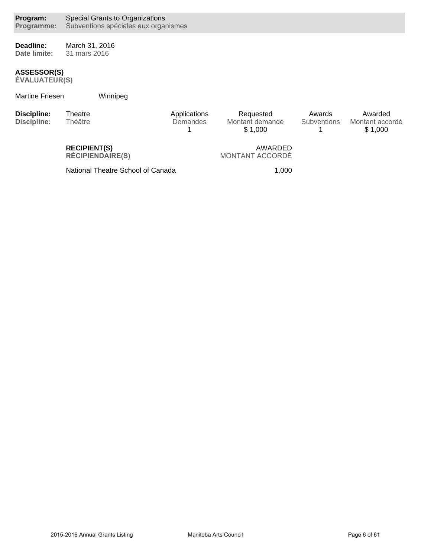**Deadline: Date limite:** March 31, 2016 31 mars 2016

### **ASSESSOR(S)**

EVALUATEUR(S)

### Martine Friesen Winnipeg

| Discipline:<br>Discipline: | Theatre<br>Théâtre  | Applications<br>Demandes | Requested<br>Montant demandé<br>\$1.000 | Awards<br><b>Subventions</b> | Awarded<br>Montant accordé<br>\$1.000 |
|----------------------------|---------------------|--------------------------|-----------------------------------------|------------------------------|---------------------------------------|
|                            | <b>RECIPIENT(S)</b> |                          | AWARDED                                 |                              |                                       |

**RÉCIPIENDAIRE(S)** 

AWARDED MONTANT ACCORDÉ

National Theatre School of Canada 1,000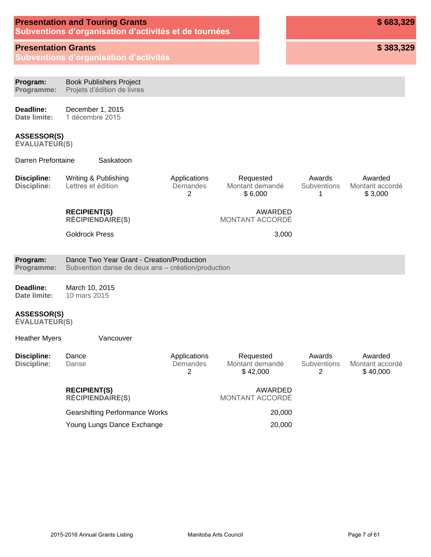| <b>Presentation and Touring Grants</b>                |  |  |  |  |  |  |
|-------------------------------------------------------|--|--|--|--|--|--|
| Subventions d'organisation d'activités et de tournées |  |  |  |  |  |  |

### **Presentation Grants**

**Subventions d'organisation d'activités** 

**\$ 383,329**

| Program:<br>Programme:                     | <b>Book Publishers Project</b><br>Projets d'édition de livres                                    |                               |                                          |                                   |                                        |
|--------------------------------------------|--------------------------------------------------------------------------------------------------|-------------------------------|------------------------------------------|-----------------------------------|----------------------------------------|
| Deadline:<br>Date limite:                  | December 1, 2015<br>1 décembre 2015                                                              |                               |                                          |                                   |                                        |
| <b>ASSESSOR(S)</b><br><b>ÉVALUATEUR(S)</b> |                                                                                                  |                               |                                          |                                   |                                        |
| Darren Prefontaine                         | Saskatoon                                                                                        |                               |                                          |                                   |                                        |
| <b>Discipline:</b><br><b>Discipline:</b>   | Writing & Publishing<br>Lettres et édition                                                       | Applications<br>Demandes<br>2 | Requested<br>Montant demandé<br>\$6,000  | Awards<br><b>Subventions</b><br>1 | Awarded<br>Montant accordé<br>\$3,000  |
|                                            | <b>RECIPIENT(S)</b><br><b>RÉCIPIENDAIRE(S)</b>                                                   |                               | AWARDED<br><b>MONTANT ACCORDÉ</b>        |                                   |                                        |
|                                            | <b>Goldrock Press</b>                                                                            |                               | 3,000                                    |                                   |                                        |
| Program:<br>Programme:                     | Dance Two Year Grant - Creation/Production<br>Subvention danse de deux ans - création/production |                               |                                          |                                   |                                        |
| Deadline:<br>Date limite:                  | March 10, 2015<br>10 mars 2015                                                                   |                               |                                          |                                   |                                        |
| <b>ASSESSOR(S)</b><br><b>ÉVALUATEUR(S)</b> |                                                                                                  |                               |                                          |                                   |                                        |
| <b>Heather Myers</b>                       | Vancouver                                                                                        |                               |                                          |                                   |                                        |
| <b>Discipline:</b><br><b>Discipline:</b>   | Dance<br>Danse                                                                                   | Applications<br>Demandes<br>2 | Requested<br>Montant demandé<br>\$42,000 | Awards<br><b>Subventions</b><br>2 | Awarded<br>Montant accordé<br>\$40,000 |
|                                            | <b>RECIPIENT(S)</b><br><b>RÉCIPIENDAIRE(S)</b>                                                   |                               | AWARDED<br>MONTANT ACCORDÉ               |                                   |                                        |
|                                            | <b>Gearshifting Performance Works</b>                                                            |                               | 20,000                                   |                                   |                                        |
|                                            | Young Lungs Dance Exchange                                                                       |                               | 20,000                                   |                                   |                                        |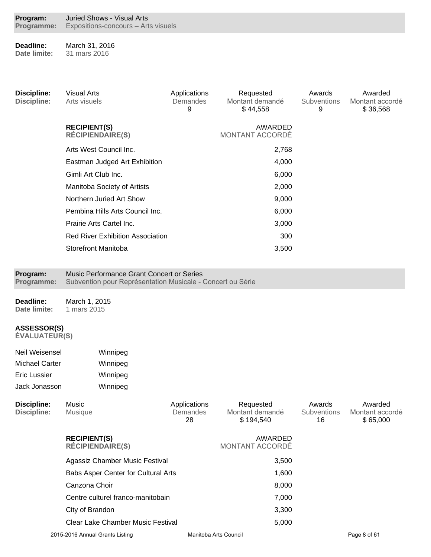| Program:   | Juried Shows - Visual Arts          |
|------------|-------------------------------------|
| Programme: | Expositions-concours - Arts visuels |

**Deadline: Date limite:** March 31, 2016 31 mars 2016

| <b>Discipline:</b><br><b>Discipline:</b> | <b>Visual Arts</b><br>Arts visuels                                                                      | Applications<br>Demandes<br>9 | Requested<br>Montant demandé<br>\$44,558 | Awards<br>Subventions<br>9 | Awarded<br>Montant accordé<br>\$36,568 |
|------------------------------------------|---------------------------------------------------------------------------------------------------------|-------------------------------|------------------------------------------|----------------------------|----------------------------------------|
|                                          | <b>RECIPIENT(S)</b><br><b>RÉCIPIENDAIRE(S)</b>                                                          |                               | AWARDED<br>MONTANT ACCORDÉ               |                            |                                        |
|                                          | Arts West Council Inc.                                                                                  |                               | 2,768                                    |                            |                                        |
|                                          | Eastman Judged Art Exhibition                                                                           |                               | 4,000                                    |                            |                                        |
|                                          | Gimli Art Club Inc.                                                                                     |                               | 6,000                                    |                            |                                        |
|                                          | Manitoba Society of Artists                                                                             |                               | 2,000                                    |                            |                                        |
|                                          | Northern Juried Art Show                                                                                |                               | 9,000                                    |                            |                                        |
|                                          | Pembina Hills Arts Council Inc.                                                                         |                               | 6,000                                    |                            |                                        |
|                                          | Prairie Arts Cartel Inc.                                                                                |                               | 3,000                                    |                            |                                        |
|                                          | <b>Red River Exhibition Association</b>                                                                 |                               | 300                                      |                            |                                        |
|                                          | <b>Storefront Manitoba</b>                                                                              |                               | 3,500                                    |                            |                                        |
| Program:<br>Programme:                   | Music Performance Grant Concert or Series<br>Subvention pour Représentation Musicale - Concert ou Série |                               |                                          |                            |                                        |
| Deadline:                                | March 1, 2015                                                                                           |                               |                                          |                            |                                        |

**Date limite:** 1 mars 2015

### **ASSESSOR(S)**

| Neil Weisensel | Winnipeg |
|----------------|----------|
| Michael Carter | Winnipeg |
| Eric Lussier   | Winnipeg |
| Jack Jonasson  | Winnipeg |

| Discipline:<br><b>Discipline:</b> | Music<br><b>Musique</b>                        | Applications<br>Demandes<br>28 | Requested<br>Montant demandé<br>\$194,540 | Awards<br><b>Subventions</b><br>16 | Awarded<br>Montant accordé<br>\$65,000 |
|-----------------------------------|------------------------------------------------|--------------------------------|-------------------------------------------|------------------------------------|----------------------------------------|
|                                   | <b>RECIPIENT(S)</b><br><b>RÉCIPIENDAIRE(S)</b> |                                | AWARDED<br><b>MONTANT ACCORDÉ</b>         |                                    |                                        |
|                                   | Agassiz Chamber Music Festival                 |                                | 3,500                                     |                                    |                                        |
|                                   | <b>Babs Asper Center for Cultural Arts</b>     |                                | 1,600                                     |                                    |                                        |
|                                   | Canzona Choir                                  |                                | 8,000                                     |                                    |                                        |
|                                   | Centre culturel franco-manitobain              |                                | 7,000                                     |                                    |                                        |
|                                   | City of Brandon                                |                                | 3,300                                     |                                    |                                        |
|                                   | Clear Lake Chamber Music Festival              |                                | 5,000                                     |                                    |                                        |
|                                   | 2015-2016 Annual Grants Listing                |                                | Manitoba Arts Council                     |                                    | Page 8 of 61                           |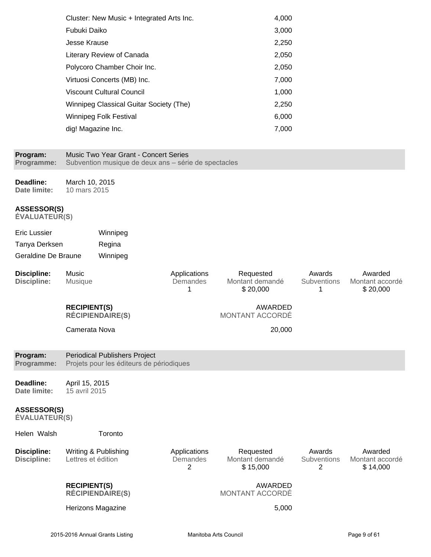| Cluster: New Music + Integrated Arts Inc. | 4,000 |
|-------------------------------------------|-------|
| Fubuki Daiko                              | 3,000 |
| Jesse Krause                              | 2,250 |
| Literary Review of Canada                 | 2,050 |
| Polycoro Chamber Choir Inc.               | 2,050 |
| Virtuosi Concerts (MB) Inc.               | 7,000 |
| Viscount Cultural Council                 | 1,000 |
| Winnipeg Classical Guitar Society (The)   | 2,250 |
| <b>Winnipeg Folk Festival</b>             | 6,000 |
| dig! Magazine Inc.                        | 7,000 |
|                                           |       |

#### **Program: Programme:** Music Two Year Grant - Concert Series Subvention musique de deux ans - série de spectacles **Deadline: Date limite:** March 10, 2015 10 mars 2015 **ASSESSOR(S) ÉVALUATEUR(S)** Eric Lussier Winnipeg Tanya Derksen Regina Geraldine De Braune Winnipeg **Discipline: Discipline:** Music Musique Applications **Demandes** 1 Requested Montant demandé \$ 20,000 Awards **Subventions** 1 Awarded Montant accordé \$ 20,000 **RECIPIENT(S) RECIPIENDAIRE(S)** AWARDED MONTANT ACCORDÉ Camerata Nova 20,000 **Program: Programme:** Periodical Publishers Project Projets pour les éditeurs de périodiques **Deadline: Date limite:** April 15, 2015 15 avril 2015 **ASSESSOR(S) ÉVALUATEUR(S)** Helen Walsh Toronto **Discipline: Discipline:** Writing & Publishing Lettres et édition Applications Demandes  $\mathfrak{D}$ Requested Montant demandé \$ 15,000 Awards **Subventions**  $\mathfrak{D}$ Awarded Montant accordé \$ 14,000 **RECIPIENT(S) RÉCIPIENDAIRE(S)** AWARDED MONTANT ACCORDÉ Herizons Magazine 5,000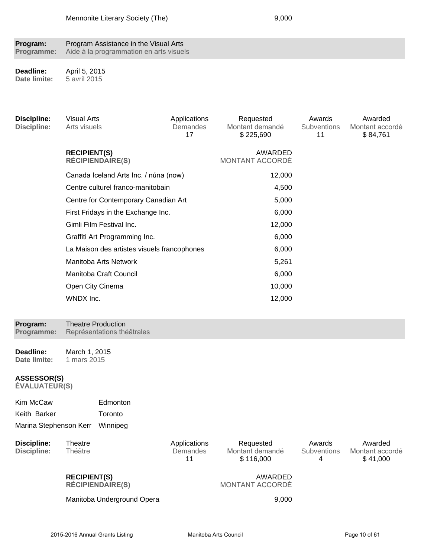| Program:   | Program Assistance in the Visual Arts   |
|------------|-----------------------------------------|
| Programme: | Aide à la programmation en arts visuels |

**Deadline: Date limite:** April 5, 2015 5 avril 2015

| <b>Discipline:</b><br><b>Discipline:</b>   | <b>Visual Arts</b><br>Arts visuels |                                             | Applications<br>Demandes<br>17 | Requested<br>Montant demandé<br>\$225,690 | Awards<br>Subventions<br>11 | Awarded<br>Montant accordé<br>\$84,761 |
|--------------------------------------------|------------------------------------|---------------------------------------------|--------------------------------|-------------------------------------------|-----------------------------|----------------------------------------|
|                                            | <b>RECIPIENT(S)</b>                | <b>RÉCIPIENDAIRE(S)</b>                     |                                | AWARDED<br>MONTANT ACCORDÉ                |                             |                                        |
|                                            |                                    | Canada Iceland Arts Inc. / núna (now)       |                                | 12,000                                    |                             |                                        |
|                                            |                                    | Centre culturel franco-manitobain           |                                | 4,500                                     |                             |                                        |
|                                            |                                    | Centre for Contemporary Canadian Art        |                                | 5,000                                     |                             |                                        |
|                                            |                                    | First Fridays in the Exchange Inc.          |                                | 6,000                                     |                             |                                        |
|                                            |                                    | Gimli Film Festival Inc.                    |                                | 12,000                                    |                             |                                        |
|                                            |                                    | Graffiti Art Programming Inc.               |                                | 6,000                                     |                             |                                        |
|                                            |                                    | La Maison des artistes visuels francophones |                                | 6,000                                     |                             |                                        |
|                                            |                                    | Manitoba Arts Network                       |                                | 5,261                                     |                             |                                        |
|                                            |                                    | Manitoba Craft Council                      |                                | 6,000                                     |                             |                                        |
|                                            | Open City Cinema                   |                                             |                                | 10,000                                    |                             |                                        |
|                                            | WNDX Inc.                          |                                             |                                | 12,000                                    |                             |                                        |
| Program:                                   |                                    | <b>Theatre Production</b>                   |                                |                                           |                             |                                        |
| Programme:                                 |                                    | Représentations théâtrales                  |                                |                                           |                             |                                        |
| Deadline:<br>Date limite:                  | March 1, 2015<br>1 mars 2015       |                                             |                                |                                           |                             |                                        |
| <b>ASSESSOR(S)</b><br><b>ÉVALUATEUR(S)</b> |                                    |                                             |                                |                                           |                             |                                        |
| Kim McCaw                                  |                                    | Edmonton                                    |                                |                                           |                             |                                        |
| Keith Barker                               |                                    | Toronto                                     |                                |                                           |                             |                                        |
| Marina Stephenson Kerr                     |                                    | Winnipeg                                    |                                |                                           |                             |                                        |
| <b>Discipline:</b><br><b>Discipline:</b>   | Theatre<br>Théâtre                 |                                             | Applications<br>Demandes<br>11 | Requested<br>Montant demandé<br>\$116,000 | Awards<br>Subventions<br>4  | Awarded<br>Montant accordé<br>\$41,000 |
|                                            | <b>RECIPIENT(S)</b>                | <b>RÉCIPIENDAIRE(S)</b>                     |                                | AWARDED<br>MONTANT ACCORDÉ                |                             |                                        |
|                                            |                                    | Manitoba Underground Opera                  |                                | 9,000                                     |                             |                                        |
|                                            |                                    |                                             |                                |                                           |                             |                                        |
|                                            |                                    | 2015-2016 Annual Grants Listing             |                                | Manitoba Arts Council                     |                             | Page 10 of 61                          |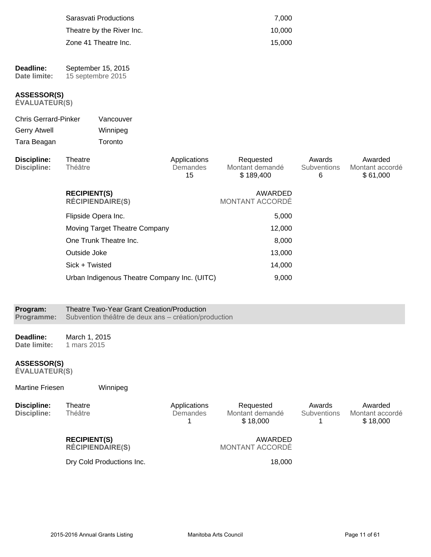|                                                |                                         | Sarasvati Productions<br>Theatre by the River Inc.<br>Zone 41 Theatre Inc. |                                | 7,000<br>10,000<br>15,000                 |                            |                                        |
|------------------------------------------------|-----------------------------------------|----------------------------------------------------------------------------|--------------------------------|-------------------------------------------|----------------------------|----------------------------------------|
| Deadline:<br>Date limite:                      | September 15, 2015<br>15 septembre 2015 |                                                                            |                                |                                           |                            |                                        |
| <b>ASSESSOR(S)</b><br><b>ÉVALUATEUR(S)</b>     |                                         |                                                                            |                                |                                           |                            |                                        |
| <b>Chris Gerrard-Pinker</b>                    |                                         | Vancouver                                                                  |                                |                                           |                            |                                        |
| <b>Gerry Atwell</b>                            |                                         | Winnipeg                                                                   |                                |                                           |                            |                                        |
| Tara Beagan                                    |                                         | Toronto                                                                    |                                |                                           |                            |                                        |
| <b>Discipline:</b><br><b>Discipline:</b>       | Theatre<br>Théâtre                      |                                                                            | Applications<br>Demandes<br>15 | Requested<br>Montant demandé<br>\$189,400 | Awards<br>Subventions<br>6 | Awarded<br>Montant accordé<br>\$61,000 |
| <b>RECIPIENT(S)</b><br><b>RÉCIPIENDAIRE(S)</b> |                                         |                                                                            | AWARDED<br>MONTANT ACCORDÉ     |                                           |                            |                                        |
|                                                | Flipside Opera Inc.                     |                                                                            |                                | 5,000                                     |                            |                                        |
|                                                |                                         | Moving Target Theatre Company                                              |                                | 12,000                                    |                            |                                        |
|                                                |                                         | One Trunk Theatre Inc.                                                     |                                | 8,000                                     |                            |                                        |
|                                                | Outside Joke                            |                                                                            |                                | 13,000                                    |                            |                                        |
|                                                | Sick + Twisted                          |                                                                            |                                | 14,000                                    |                            |                                        |
|                                                |                                         | Urban Indigenous Theatre Company Inc. (UITC)                               |                                | 9,000                                     |                            |                                        |

| Program:   | Theatre Two-Year Grant Creation/Production           |  |  |  |  |  |
|------------|------------------------------------------------------|--|--|--|--|--|
| Programme: | Subvention théâtre de deux ans - création/production |  |  |  |  |  |

**Deadline: Date limite:** March 1, 2015 1 mars 2015

Martine Friesen Winnipeg

#### **ASSESSOR(S)**

| Discipline:<br><b>Discipline:</b> | Theatre<br><b>Théâtre</b>                      | Applications<br>Demandes | Requested<br>Montant demandé<br>\$18,000 | Awards<br><b>Subventions</b> | Awarded<br>Montant accordé<br>\$18,000 |
|-----------------------------------|------------------------------------------------|--------------------------|------------------------------------------|------------------------------|----------------------------------------|
|                                   | <b>RECIPIENT(S)</b><br><b>RÉCIPIENDAIRE(S)</b> |                          | AWARDED<br>MONTANT ACCORDÉ               |                              |                                        |
|                                   | Dry Cold Productions Inc.                      |                          | 18.000                                   |                              |                                        |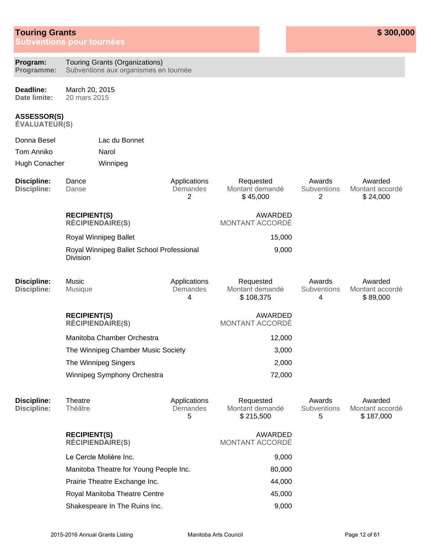## **Touring Grants**

**Subventions pour tournées** 

| Program:<br>Programme:                     | Touring Grants (Organizations)<br>Subventions aux organismes en tournée |                               |                                           |                                   |                                         |
|--------------------------------------------|-------------------------------------------------------------------------|-------------------------------|-------------------------------------------|-----------------------------------|-----------------------------------------|
| Deadline:<br>Date limite:                  | March 20, 2015<br>20 mars 2015                                          |                               |                                           |                                   |                                         |
| <b>ASSESSOR(S)</b><br><b>ÉVALUATEUR(S)</b> |                                                                         |                               |                                           |                                   |                                         |
| Donna Besel                                | Lac du Bonnet                                                           |                               |                                           |                                   |                                         |
| <b>Tom Anniko</b>                          | Narol                                                                   |                               |                                           |                                   |                                         |
| Hugh Conacher                              | Winnipeg                                                                |                               |                                           |                                   |                                         |
| <b>Discipline:</b><br><b>Discipline:</b>   | Dance<br>Danse                                                          | Applications<br>Demandes<br>2 | Requested<br>Montant demandé<br>\$45,000  | Awards<br>Subventions<br>2        | Awarded<br>Montant accordé<br>\$24,000  |
|                                            | <b>RECIPIENT(S)</b><br><b>RÉCIPIENDAIRE(S)</b>                          |                               | <b>AWARDED</b><br><b>MONTANT ACCORDÉ</b>  |                                   |                                         |
|                                            | Royal Winnipeg Ballet                                                   |                               | 15,000                                    |                                   |                                         |
|                                            | Royal Winnipeg Ballet School Professional<br><b>Division</b>            |                               | 9,000                                     |                                   |                                         |
| <b>Discipline:</b><br><b>Discipline:</b>   | Music<br>Musique                                                        | Applications<br>Demandes<br>4 | Requested<br>Montant demandé<br>\$108,375 | Awards<br><b>Subventions</b><br>4 | Awarded<br>Montant accordé<br>\$89,000  |
|                                            | <b>RECIPIENT(S)</b><br><b>RÉCIPIENDAIRE(S)</b>                          |                               | AWARDED<br>MONTANT ACCORDÉ                |                                   |                                         |
|                                            | Manitoba Chamber Orchestra                                              |                               | 12,000                                    |                                   |                                         |
|                                            | The Winnipeg Chamber Music Society                                      |                               | 3,000                                     |                                   |                                         |
|                                            | The Winnipeg Singers                                                    |                               | 2,000                                     |                                   |                                         |
|                                            | Winnipeg Symphony Orchestra                                             |                               | 72,000                                    |                                   |                                         |
| <b>Discipline:</b><br><b>Discipline:</b>   | Theatre<br>Théâtre                                                      | Applications<br>Demandes<br>5 | Requested<br>Montant demandé<br>\$215,500 | Awards<br>Subventions<br>5        | Awarded<br>Montant accordé<br>\$187,000 |
|                                            | <b>RECIPIENT(S)</b><br><b>RÉCIPIENDAIRE(S)</b>                          |                               | AWARDED<br><b>MONTANT ACCORDÉ</b>         |                                   |                                         |
|                                            | Le Cercle Molière Inc.                                                  |                               | 9,000                                     |                                   |                                         |
|                                            | Manitoba Theatre for Young People Inc.                                  |                               | 80,000                                    |                                   |                                         |
|                                            | Prairie Theatre Exchange Inc.                                           |                               | 44,000                                    |                                   |                                         |
|                                            | Royal Manitoba Theatre Centre                                           |                               | 45,000                                    |                                   |                                         |
|                                            | Shakespeare In The Ruins Inc.                                           |                               | 9,000                                     |                                   |                                         |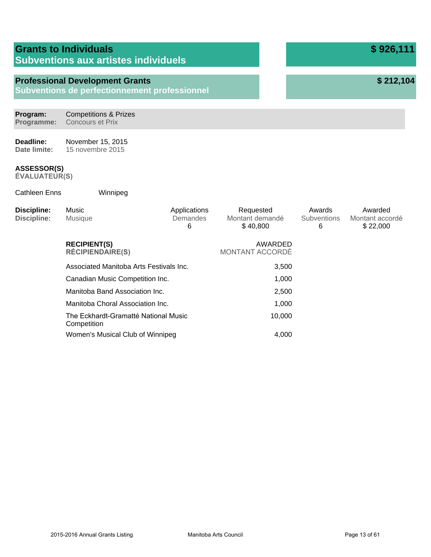|                                          | <b>Grants to Individuals</b><br><b>Subventions aux artistes individuels</b>             |                               |                                          | \$926,111                         |                                        |
|------------------------------------------|-----------------------------------------------------------------------------------------|-------------------------------|------------------------------------------|-----------------------------------|----------------------------------------|
|                                          | <b>Professional Development Grants</b><br>Subventions de perfectionnement professionnel |                               |                                          |                                   | \$212,104                              |
| Program:<br>Programme:                   | <b>Competitions &amp; Prizes</b><br><b>Concours et Prix</b>                             |                               |                                          |                                   |                                        |
| Deadline:<br>Date limite:                | November 15, 2015<br>15 novembre 2015                                                   |                               |                                          |                                   |                                        |
| ASSESSOR(S)<br><b>EVALUATEUR(S)</b>      |                                                                                         |                               |                                          |                                   |                                        |
| <b>Cathleen Enns</b>                     | Winnipeg                                                                                |                               |                                          |                                   |                                        |
| <b>Discipline:</b><br><b>Discipline:</b> | Music<br>Musique                                                                        | Applications<br>Demandes<br>6 | Requested<br>Montant demandé<br>\$40,800 | Awards<br><b>Subventions</b><br>6 | Awarded<br>Montant accordé<br>\$22,000 |
|                                          | <b>RECIPIENT(S)</b><br><b>RÉCIPIENDAIRE(S)</b>                                          |                               | AWARDED<br>MONTANT ACCORDÉ               |                                   |                                        |
|                                          | Associated Manitoba Arts Festivals Inc.                                                 |                               | 3,500                                    |                                   |                                        |
|                                          | Canadian Music Competition Inc.                                                         |                               | 1,000                                    |                                   |                                        |
|                                          | Manitoba Band Association Inc.                                                          |                               | 2,500                                    |                                   |                                        |
|                                          | Manitoba Choral Association Inc.                                                        |                               | 1,000                                    |                                   |                                        |
|                                          | The Eckhardt-Gramatté National Music<br>Competition                                     |                               | 10,000                                   |                                   |                                        |
|                                          | Women's Musical Club of Winnipeg                                                        |                               | 4,000                                    |                                   |                                        |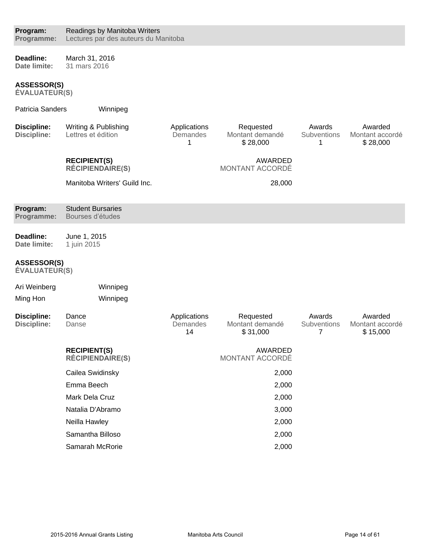#### **Deadline: Date limite:** March 31, 2016 31 mars 2016

**ASSESSOR(S)**

| <b>Patricia Sanders</b>                  | Winnipeg                                       |                                |                                          |                            |                                        |
|------------------------------------------|------------------------------------------------|--------------------------------|------------------------------------------|----------------------------|----------------------------------------|
| <b>Discipline:</b><br><b>Discipline:</b> | Writing & Publishing<br>Lettres et édition     | Applications<br>Demandes<br>1  | Requested<br>Montant demandé<br>\$28,000 | Awards<br>Subventions<br>1 | Awarded<br>Montant accordé<br>\$28,000 |
|                                          | <b>RECIPIENT(S)</b><br><b>RÉCIPIENDAIRE(S)</b> |                                | <b>AWARDED</b><br>MONTANT ACCORDÉ        |                            |                                        |
|                                          | Manitoba Writers' Guild Inc.                   |                                | 28,000                                   |                            |                                        |
| Program:<br>Programme:                   | <b>Student Bursaries</b><br>Bourses d'études   |                                |                                          |                            |                                        |
| Deadline:<br>Date limite:                | June 1, 2015<br>1 juin 2015                    |                                |                                          |                            |                                        |
| ASSESSOR(S)<br><b>ÉVALUATEUR(S)</b>      |                                                |                                |                                          |                            |                                        |
| Ari Weinberg                             | Winnipeg                                       |                                |                                          |                            |                                        |
| Ming Hon                                 | Winnipeg                                       |                                |                                          |                            |                                        |
| <b>Discipline:</b><br><b>Discipline:</b> | Dance<br>Danse                                 | Applications<br>Demandes<br>14 | Requested<br>Montant demandé<br>\$31,000 | Awards<br>Subventions<br>7 | Awarded<br>Montant accordé<br>\$15,000 |
|                                          | <b>RECIPIENT(S)</b><br><b>RÉCIPIENDAIRE(S)</b> |                                | <b>AWARDED</b><br>MONTANT ACCORDÉ        |                            |                                        |
|                                          | Cailea Swidinsky                               |                                | 2,000                                    |                            |                                        |
|                                          | Emma Beech                                     |                                | 2,000                                    |                            |                                        |
|                                          | Mark Dela Cruz                                 |                                | 2,000                                    |                            |                                        |
|                                          | Natalia D'Abramo                               |                                | 3,000                                    |                            |                                        |
|                                          | Neilla Hawley                                  |                                | 2,000                                    |                            |                                        |
|                                          | Samantha Billoso                               |                                | 2,000                                    |                            |                                        |
|                                          | Samarah McRorie                                |                                | 2,000                                    |                            |                                        |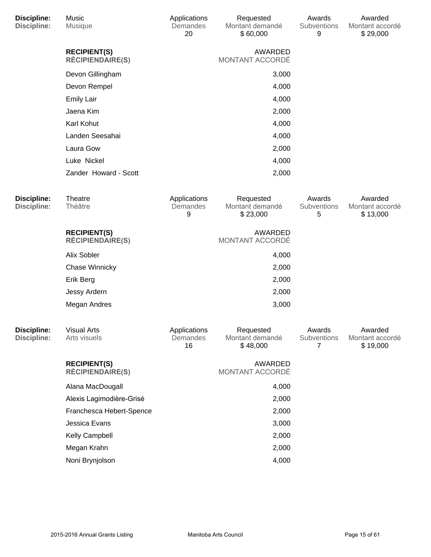| <b>Discipline:</b><br><b>Discipline:</b> | Music<br>Musique                               | Applications<br>Demandes<br>20 | Requested<br>Montant demandé<br>\$60,000 | Awards<br>Subventions<br>9 | Awarded<br>Montant accordé<br>\$29,000 |
|------------------------------------------|------------------------------------------------|--------------------------------|------------------------------------------|----------------------------|----------------------------------------|
|                                          | <b>RECIPIENT(S)</b><br><b>RÉCIPIENDAIRE(S)</b> |                                | AWARDED<br>MONTANT ACCORDÉ               |                            |                                        |
|                                          | Devon Gillingham                               |                                | 3,000                                    |                            |                                        |
|                                          | Devon Rempel                                   |                                | 4,000                                    |                            |                                        |
|                                          | <b>Emily Lair</b>                              |                                | 4,000                                    |                            |                                        |
|                                          | Jaena Kim                                      |                                | 2,000                                    |                            |                                        |
|                                          | Karl Kohut                                     |                                | 4,000                                    |                            |                                        |
|                                          | Landen Seesahai                                |                                | 4,000                                    |                            |                                        |
|                                          | Laura Gow                                      |                                | 2,000                                    |                            |                                        |
|                                          | Luke Nickel                                    |                                | 4,000                                    |                            |                                        |
|                                          | Zander Howard - Scott                          |                                | 2,000                                    |                            |                                        |
| <b>Discipline:</b><br><b>Discipline:</b> | Theatre<br>Théâtre                             | Applications<br>Demandes<br>9  | Requested<br>Montant demandé<br>\$23,000 | Awards<br>Subventions<br>5 | Awarded<br>Montant accordé<br>\$13,000 |
|                                          | <b>RECIPIENT(S)</b><br><b>RÉCIPIENDAIRE(S)</b> |                                | AWARDED<br>MONTANT ACCORDÉ               |                            |                                        |
|                                          | Alix Sobler                                    |                                | 4,000                                    |                            |                                        |
|                                          | <b>Chase Winnicky</b>                          |                                | 2,000                                    |                            |                                        |
|                                          | Erik Berg                                      |                                | 2,000                                    |                            |                                        |
|                                          | Jessy Ardern                                   |                                | 2,000                                    |                            |                                        |
|                                          | Megan Andres                                   |                                | 3,000                                    |                            |                                        |
| <b>Discipline:</b><br><b>Discipline:</b> | <b>Visual Arts</b><br>Arts visuels             | Applications<br>Demandes<br>16 | Requested<br>Montant demandé<br>\$48,000 | Awards<br>Subventions<br>7 | Awarded<br>Montant accordé<br>\$19,000 |
|                                          | <b>RECIPIENT(S)</b><br><b>RÉCIPIENDAIRE(S)</b> |                                | AWARDED<br>MONTANT ACCORDÉ               |                            |                                        |
|                                          | Alana MacDougall                               |                                | 4,000                                    |                            |                                        |
|                                          | Alexis Lagimodière-Grisé                       |                                | 2,000                                    |                            |                                        |
|                                          | Franchesca Hebert-Spence                       |                                | 2,000                                    |                            |                                        |
|                                          | Jessica Evans                                  |                                | 3,000                                    |                            |                                        |
|                                          | Kelly Campbell                                 |                                | 2,000                                    |                            |                                        |
|                                          | Megan Krahn                                    |                                | 2,000                                    |                            |                                        |
|                                          | Noni Brynjolson                                |                                | 4,000                                    |                            |                                        |
|                                          |                                                |                                |                                          |                            |                                        |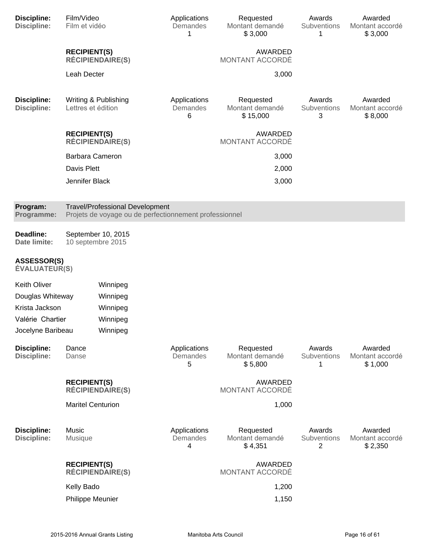| <b>Discipline:</b><br><b>Discipline:</b>   | Film/Video<br>Film et vidéo                                                                      |                         | Applications<br>Demandes<br>1 | Requested<br>Montant demandé<br>\$3,000  | Awards<br>Subventions<br>1 | Awarded<br>Montant accordé<br>\$3,000 |
|--------------------------------------------|--------------------------------------------------------------------------------------------------|-------------------------|-------------------------------|------------------------------------------|----------------------------|---------------------------------------|
|                                            | <b>RECIPIENT(S)</b>                                                                              | <b>RÉCIPIENDAIRE(S)</b> |                               | AWARDED<br>MONTANT ACCORDÉ               |                            |                                       |
|                                            | Leah Decter                                                                                      |                         |                               | 3,000                                    |                            |                                       |
| <b>Discipline:</b><br><b>Discipline:</b>   | Writing & Publishing<br>Lettres et édition                                                       |                         | Applications<br>Demandes<br>6 | Requested<br>Montant demandé<br>\$15,000 | Awards<br>Subventions<br>3 | Awarded<br>Montant accordé<br>\$8,000 |
|                                            | <b>RECIPIENT(S)</b>                                                                              | <b>RÉCIPIENDAIRE(S)</b> |                               | AWARDED<br>MONTANT ACCORDÉ               |                            |                                       |
|                                            | <b>Barbara Cameron</b>                                                                           |                         |                               | 3,000                                    |                            |                                       |
|                                            | Davis Plett                                                                                      |                         |                               | 2,000                                    |                            |                                       |
|                                            | Jennifer Black                                                                                   |                         |                               | 3,000                                    |                            |                                       |
| Program:<br>Programme:                     | <b>Travel/Professional Development</b><br>Projets de voyage ou de perfectionnement professionnel |                         |                               |                                          |                            |                                       |
| Deadline:<br>Date limite:                  | 10 septembre 2015                                                                                | September 10, 2015      |                               |                                          |                            |                                       |
| <b>ASSESSOR(S)</b><br><b>ÉVALUATEUR(S)</b> |                                                                                                  |                         |                               |                                          |                            |                                       |
| <b>Keith Oliver</b>                        |                                                                                                  | Winnipeg                |                               |                                          |                            |                                       |
| Douglas Whiteway                           |                                                                                                  | Winnipeg                |                               |                                          |                            |                                       |
| Krista Jackson                             |                                                                                                  | Winnipeg                |                               |                                          |                            |                                       |
| Valérie Chartier                           |                                                                                                  | Winnipeg                |                               |                                          |                            |                                       |
| Jocelyne Baribeau                          |                                                                                                  | Winnipeg                |                               |                                          |                            |                                       |
| <b>Discipline:</b><br><b>Discipline:</b>   | Dance<br>Danse                                                                                   |                         | Applications<br>Demandes<br>5 | Requested<br>Montant demandé<br>\$5,800  | Awards<br>Subventions<br>1 | Awarded<br>Montant accordé<br>\$1,000 |
|                                            | <b>RECIPIENT(S)</b>                                                                              | <b>RÉCIPIENDAIRE(S)</b> |                               | AWARDED<br>MONTANT ACCORDÉ               |                            |                                       |
|                                            | <b>Maritel Centurion</b>                                                                         |                         |                               | 1,000                                    |                            |                                       |
| <b>Discipline:</b><br><b>Discipline:</b>   | Music<br>Musique                                                                                 |                         | Applications<br>Demandes<br>4 | Requested<br>Montant demandé<br>\$4,351  | Awards<br>Subventions<br>2 | Awarded<br>Montant accordé<br>\$2,350 |
|                                            | <b>RECIPIENT(S)</b>                                                                              | <b>RÉCIPIENDAIRE(S)</b> |                               | AWARDED<br>MONTANT ACCORDÉ               |                            |                                       |
|                                            | Kelly Bado                                                                                       |                         |                               | 1,200                                    |                            |                                       |
|                                            | Philippe Meunier                                                                                 |                         |                               | 1,150                                    |                            |                                       |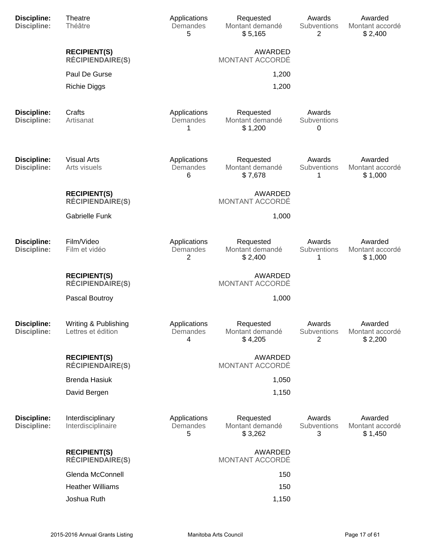| <b>Discipline:</b><br><b>Discipline:</b> | Theatre<br>Théâtre                             | Applications<br>Demandes<br>5 | Requested<br>Montant demandé<br>\$5,165 | Awards<br>Subventions<br>2        | Awarded<br>Montant accordé<br>\$2,400 |
|------------------------------------------|------------------------------------------------|-------------------------------|-----------------------------------------|-----------------------------------|---------------------------------------|
|                                          | <b>RECIPIENT(S)</b><br><b>RÉCIPIENDAIRE(S)</b> |                               | AWARDED<br>MONTANT ACCORDÉ              |                                   |                                       |
|                                          | Paul De Gurse                                  |                               | 1,200                                   |                                   |                                       |
|                                          | <b>Richie Diggs</b>                            |                               | 1,200                                   |                                   |                                       |
| <b>Discipline:</b><br><b>Discipline:</b> | Crafts<br>Artisanat                            | Applications<br>Demandes<br>1 | Requested<br>Montant demandé<br>\$1,200 | Awards<br>Subventions<br>0        |                                       |
| <b>Discipline:</b><br><b>Discipline:</b> | <b>Visual Arts</b><br>Arts visuels             | Applications<br>Demandes<br>6 | Requested<br>Montant demandé<br>\$7,678 | Awards<br>Subventions<br>1        | Awarded<br>Montant accordé<br>\$1,000 |
|                                          | <b>RECIPIENT(S)</b><br><b>RÉCIPIENDAIRE(S)</b> |                               | AWARDED<br>MONTANT ACCORDÉ              |                                   |                                       |
|                                          | <b>Gabrielle Funk</b>                          |                               | 1,000                                   |                                   |                                       |
| <b>Discipline:</b><br><b>Discipline:</b> | Film/Video<br>Film et vidéo                    | Applications<br>Demandes<br>2 | Requested<br>Montant demandé<br>\$2,400 | Awards<br>Subventions<br>1        | Awarded<br>Montant accordé<br>\$1,000 |
|                                          | <b>RECIPIENT(S)</b><br><b>RÉCIPIENDAIRE(S)</b> |                               | AWARDED<br>MONTANT ACCORDÉ              |                                   |                                       |
|                                          | Pascal Boutroy                                 |                               | 1,000                                   |                                   |                                       |
| <b>Discipline:</b><br><b>Discipline:</b> | Writing & Publishing<br>Lettres et édition     | Applications<br>Demandes<br>4 | Requested<br>Montant demandé<br>\$4,205 | Awards<br><b>Subventions</b><br>2 | Awarded<br>Montant accordé<br>\$2,200 |
|                                          | <b>RECIPIENT(S)</b><br><b>RÉCIPIENDAIRE(S)</b> |                               | <b>AWARDED</b><br>MONTANT ACCORDÉ       |                                   |                                       |
|                                          | <b>Brenda Hasiuk</b>                           |                               | 1,050                                   |                                   |                                       |
|                                          | David Bergen                                   |                               | 1,150                                   |                                   |                                       |
| <b>Discipline:</b><br><b>Discipline:</b> | Interdisciplinary<br>Interdisciplinaire        | Applications<br>Demandes<br>5 | Requested<br>Montant demandé<br>\$3,262 | Awards<br>Subventions<br>3        | Awarded<br>Montant accordé<br>\$1,450 |
|                                          | <b>RECIPIENT(S)</b><br><b>RÉCIPIENDAIRE(S)</b> |                               | AWARDED<br>MONTANT ACCORDÉ              |                                   |                                       |
|                                          | Glenda McConnell                               |                               | 150                                     |                                   |                                       |
|                                          | <b>Heather Williams</b>                        |                               | 150                                     |                                   |                                       |
|                                          | Joshua Ruth                                    |                               | 1,150                                   |                                   |                                       |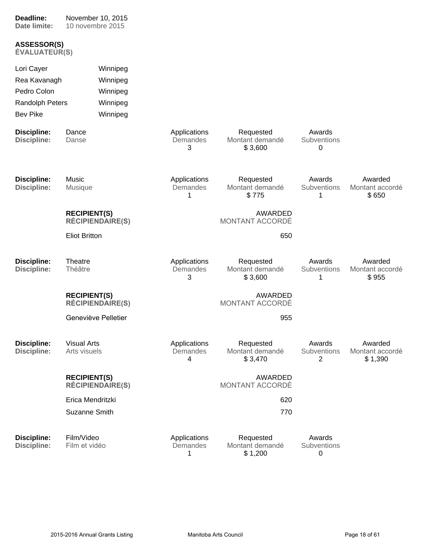| Deadline:<br>Date limite:                  | November 10, 2015<br>10 novembre 2015          |                               |                                         |                            |                                       |
|--------------------------------------------|------------------------------------------------|-------------------------------|-----------------------------------------|----------------------------|---------------------------------------|
| <b>ASSESSOR(S)</b><br><b>ÉVALUATEUR(S)</b> |                                                |                               |                                         |                            |                                       |
| Lori Cayer                                 | Winnipeg                                       |                               |                                         |                            |                                       |
| Rea Kavanagh                               | Winnipeg                                       |                               |                                         |                            |                                       |
| Pedro Colon                                | Winnipeg                                       |                               |                                         |                            |                                       |
| Randolph Peters                            | Winnipeg                                       |                               |                                         |                            |                                       |
| <b>Bev Pike</b>                            | Winnipeg                                       |                               |                                         |                            |                                       |
| <b>Discipline:</b><br><b>Discipline:</b>   | Dance<br>Danse                                 | Applications<br>Demandes<br>3 | Requested<br>Montant demandé<br>\$3,600 | Awards<br>Subventions<br>0 |                                       |
| <b>Discipline:</b><br>Discipline:          | Music<br>Musique                               | Applications<br>Demandes<br>1 | Requested<br>Montant demandé<br>\$775   | Awards<br>Subventions<br>1 | Awarded<br>Montant accordé<br>\$650   |
|                                            | <b>RECIPIENT(S)</b><br><b>RÉCIPIENDAIRE(S)</b> |                               | AWARDED<br>MONTANT ACCORDÉ              |                            |                                       |
|                                            | <b>Eliot Britton</b>                           |                               | 650                                     |                            |                                       |
| <b>Discipline:</b><br><b>Discipline:</b>   | Theatre<br>Théâtre                             | Applications<br>Demandes<br>3 | Requested<br>Montant demandé<br>\$3,600 | Awards<br>Subventions<br>1 | Awarded<br>Montant accordé<br>\$955   |
|                                            | <b>RECIPIENT(S)</b><br><b>RÉCIPIENDAIRE(S)</b> |                               | AWARDED<br>MONTANT ACCORDÉ              |                            |                                       |
|                                            | Geneviève Pelletier                            |                               | 955                                     |                            |                                       |
| <b>Discipline:</b><br><b>Discipline:</b>   | <b>Visual Arts</b><br>Arts visuels             | Applications<br>Demandes<br>4 | Requested<br>Montant demandé<br>\$3,470 | Awards<br>Subventions<br>2 | Awarded<br>Montant accordé<br>\$1,390 |
|                                            | <b>RECIPIENT(S)</b><br><b>RÉCIPIENDAIRE(S)</b> |                               | AWARDED<br>MONTANT ACCORDÉ              |                            |                                       |
|                                            | Erica Mendritzki                               |                               | 620                                     |                            |                                       |
|                                            | Suzanne Smith                                  |                               | 770                                     |                            |                                       |
| <b>Discipline:</b><br><b>Discipline:</b>   | Film/Video<br>Film et vidéo                    | Applications<br>Demandes<br>1 | Requested<br>Montant demandé<br>\$1,200 | Awards<br>Subventions<br>0 |                                       |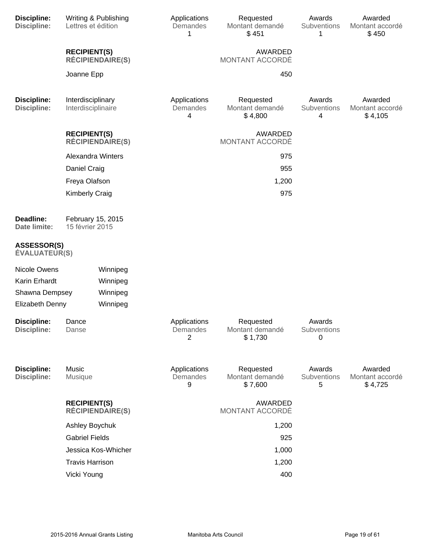| <b>Discipline:</b><br><b>Discipline:</b>   | Lettres et édition                      | Writing & Publishing    | Applications<br>Demandes<br>1 | Requested<br>Montant demandé<br>\$451   | Awards<br>Subventions<br>1 | Awarded<br>Montant accordé<br>\$450   |
|--------------------------------------------|-----------------------------------------|-------------------------|-------------------------------|-----------------------------------------|----------------------------|---------------------------------------|
|                                            | <b>RECIPIENT(S)</b>                     | <b>RÉCIPIENDAIRE(S)</b> |                               | AWARDED<br>MONTANT ACCORDÉ              |                            |                                       |
|                                            | Joanne Epp                              |                         |                               | 450                                     |                            |                                       |
| <b>Discipline:</b><br><b>Discipline:</b>   | Interdisciplinary<br>Interdisciplinaire |                         | Applications<br>Demandes<br>4 | Requested<br>Montant demandé<br>\$4,800 | Awards<br>Subventions<br>4 | Awarded<br>Montant accordé<br>\$4,105 |
|                                            | <b>RECIPIENT(S)</b>                     | <b>RÉCIPIENDAIRE(S)</b> |                               | AWARDED<br>MONTANT ACCORDÉ              |                            |                                       |
|                                            | <b>Alexandra Winters</b>                |                         |                               | 975                                     |                            |                                       |
|                                            | Daniel Craig                            |                         |                               | 955                                     |                            |                                       |
|                                            | Freya Olafson                           |                         |                               | 1,200                                   |                            |                                       |
|                                            | <b>Kimberly Craig</b>                   |                         |                               | 975                                     |                            |                                       |
| Deadline:<br>Date limite:                  | February 15, 2015<br>15 février 2015    |                         |                               |                                         |                            |                                       |
| <b>ASSESSOR(S)</b><br><b>ÉVALUATEUR(S)</b> |                                         |                         |                               |                                         |                            |                                       |
| Nicole Owens                               |                                         | Winnipeg                |                               |                                         |                            |                                       |
| Karin Erhardt                              |                                         | Winnipeg                |                               |                                         |                            |                                       |
| Shawna Dempsey                             |                                         | Winnipeg                |                               |                                         |                            |                                       |
| Elizabeth Denny                            |                                         | Winnipeg                |                               |                                         |                            |                                       |
| <b>Discipline:</b><br>Discipline:          | Dance<br>Danse                          |                         | Applications<br>Demandes<br>2 | Requested<br>Montant demandé<br>\$1,730 | Awards<br>Subventions<br>0 |                                       |
| <b>Discipline:</b><br><b>Discipline:</b>   | Music<br>Musique                        |                         | Applications<br>Demandes<br>9 | Requested<br>Montant demandé<br>\$7,600 | Awards<br>Subventions<br>5 | Awarded<br>Montant accordé<br>\$4,725 |
|                                            | <b>RECIPIENT(S)</b>                     | <b>RÉCIPIENDAIRE(S)</b> |                               | AWARDED<br>MONTANT ACCORDÉ              |                            |                                       |
|                                            | Ashley Boychuk                          |                         |                               | 1,200                                   |                            |                                       |
|                                            | <b>Gabriel Fields</b>                   |                         |                               | 925                                     |                            |                                       |
|                                            |                                         | Jessica Kos-Whicher     |                               | 1,000                                   |                            |                                       |
|                                            | <b>Travis Harrison</b>                  |                         |                               | 1,200                                   |                            |                                       |
|                                            | Vicki Young                             |                         |                               | 400                                     |                            |                                       |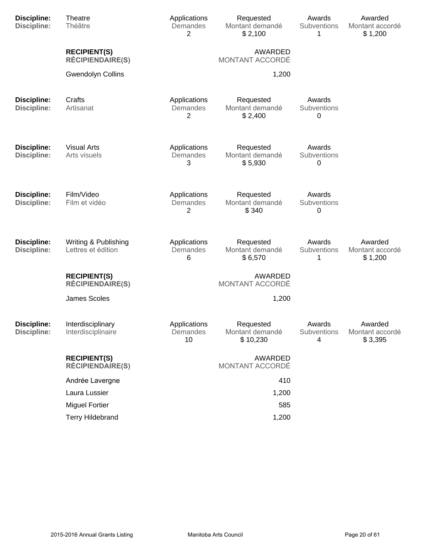| <b>Discipline:</b><br><b>Discipline:</b> | Theatre<br>Théâtre                             | Applications<br>Demandes<br>2  | Requested<br>Montant demandé<br>\$2,100  | Awards<br>Subventions<br>1 | Awarded<br>Montant accordé<br>\$1,200 |
|------------------------------------------|------------------------------------------------|--------------------------------|------------------------------------------|----------------------------|---------------------------------------|
|                                          | <b>RECIPIENT(S)</b><br><b>RÉCIPIENDAIRE(S)</b> |                                | AWARDED<br>MONTANT ACCORDÉ               |                            |                                       |
|                                          | <b>Gwendolyn Collins</b>                       |                                | 1,200                                    |                            |                                       |
| <b>Discipline:</b><br><b>Discipline:</b> | Crafts<br>Artisanat                            | Applications<br>Demandes<br>2  | Requested<br>Montant demandé<br>\$2,400  | Awards<br>Subventions<br>0 |                                       |
| <b>Discipline:</b><br><b>Discipline:</b> | <b>Visual Arts</b><br>Arts visuels             | Applications<br>Demandes<br>3  | Requested<br>Montant demandé<br>\$5,930  | Awards<br>Subventions<br>0 |                                       |
| <b>Discipline:</b><br><b>Discipline:</b> | Film/Video<br>Film et vidéo                    | Applications<br>Demandes<br>2  | Requested<br>Montant demandé<br>\$340    | Awards<br>Subventions<br>0 |                                       |
| <b>Discipline:</b><br><b>Discipline:</b> | Writing & Publishing<br>Lettres et édition     | Applications<br>Demandes<br>6  | Requested<br>Montant demandé<br>\$6,570  | Awards<br>Subventions<br>1 | Awarded<br>Montant accordé<br>\$1,200 |
|                                          | <b>RECIPIENT(S)</b><br><b>RÉCIPIENDAIRE(S)</b> |                                | AWARDED<br>MONTANT ACCORDÉ               |                            |                                       |
|                                          | <b>James Scoles</b>                            |                                | 1,200                                    |                            |                                       |
| <b>Discipline:</b><br><b>Discipline:</b> | Interdisciplinary<br>Interdisciplinaire        | Applications<br>Demandes<br>10 | Requested<br>Montant demandé<br>\$10,230 | Awards<br>Subventions<br>4 | Awarded<br>Montant accordé<br>\$3,395 |
|                                          | <b>RECIPIENT(S)</b><br><b>RÉCIPIENDAIRE(S)</b> |                                | AWARDED<br>MONTANT ACCORDÉ               |                            |                                       |
|                                          | Andrée Lavergne                                |                                | 410                                      |                            |                                       |
|                                          | Laura Lussier                                  |                                | 1,200                                    |                            |                                       |
|                                          | <b>Miguel Fortier</b>                          |                                | 585                                      |                            |                                       |
|                                          | <b>Terry Hildebrand</b>                        |                                | 1,200                                    |                            |                                       |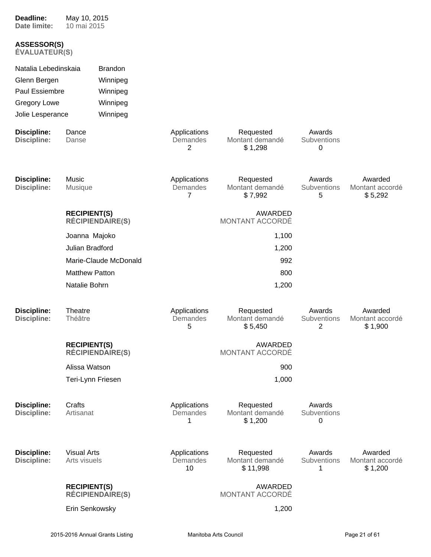| Date limite:                               | 10 mai 2015                        |                         |                                |                                          |                            |                                       |
|--------------------------------------------|------------------------------------|-------------------------|--------------------------------|------------------------------------------|----------------------------|---------------------------------------|
| <b>ASSESSOR(S)</b><br><b>ÉVALUATEUR(S)</b> |                                    |                         |                                |                                          |                            |                                       |
| Natalia Lebedinskaia                       |                                    | <b>Brandon</b>          |                                |                                          |                            |                                       |
| Glenn Bergen                               |                                    | Winnipeg                |                                |                                          |                            |                                       |
| Paul Essiembre                             |                                    | Winnipeg                |                                |                                          |                            |                                       |
| <b>Gregory Lowe</b>                        |                                    | Winnipeg                |                                |                                          |                            |                                       |
| Jolie Lesperance                           |                                    | Winnipeg                |                                |                                          |                            |                                       |
| <b>Discipline:</b><br><b>Discipline:</b>   | Dance<br>Danse                     |                         | Applications<br>Demandes<br>2  | Requested<br>Montant demandé<br>\$1,298  | Awards<br>Subventions<br>0 |                                       |
| <b>Discipline:</b><br><b>Discipline:</b>   | Music<br><b>Musique</b>            |                         | Applications<br>Demandes<br>7  | Requested<br>Montant demandé<br>\$7,992  | Awards<br>Subventions<br>5 | Awarded<br>Montant accordé<br>\$5,292 |
|                                            | <b>RECIPIENT(S)</b>                | <b>RÉCIPIENDAIRE(S)</b> |                                | <b>AWARDED</b><br>MONTANT ACCORDÉ        |                            |                                       |
|                                            | Joanna Majoko                      |                         |                                | 1,100                                    |                            |                                       |
|                                            | Julian Bradford                    |                         |                                | 1,200                                    |                            |                                       |
|                                            |                                    | Marie-Claude McDonald   |                                | 992                                      |                            |                                       |
|                                            | <b>Matthew Patton</b>              |                         |                                | 800                                      |                            |                                       |
|                                            | Natalie Bohrn                      |                         |                                | 1,200                                    |                            |                                       |
| <b>Discipline:</b><br><b>Discipline:</b>   | Theatre<br>Théâtre                 |                         | Applications<br>Demandes<br>5  | Requested<br>Montant demandé<br>\$5,450  | Awards<br>Subventions<br>2 | Awarded<br>Montant accordé<br>\$1,900 |
|                                            | <b>RECIPIENT(S)</b>                | <b>RÉCIPIENDAIRE(S)</b> |                                | <b>AWARDED</b><br>MONTANT ACCORDÉ        |                            |                                       |
|                                            | Alissa Watson                      |                         |                                | 900                                      |                            |                                       |
|                                            | Teri-Lynn Friesen                  |                         |                                | 1,000                                    |                            |                                       |
| <b>Discipline:</b><br><b>Discipline:</b>   | Crafts<br>Artisanat                |                         | Applications<br>Demandes<br>1  | Requested<br>Montant demandé<br>\$1,200  | Awards<br>Subventions<br>0 |                                       |
| <b>Discipline:</b><br><b>Discipline:</b>   | <b>Visual Arts</b><br>Arts visuels |                         | Applications<br>Demandes<br>10 | Requested<br>Montant demandé<br>\$11,998 | Awards<br>Subventions<br>1 | Awarded<br>Montant accordé<br>\$1,200 |
|                                            | <b>RECIPIENT(S)</b>                | <b>RÉCIPIENDAIRE(S)</b> |                                | <b>AWARDED</b><br>MONTANT ACCORDÉ        |                            |                                       |
|                                            | Erin Senkowsky                     |                         |                                | 1,200                                    |                            |                                       |

**Deadline:**

May 10, 2015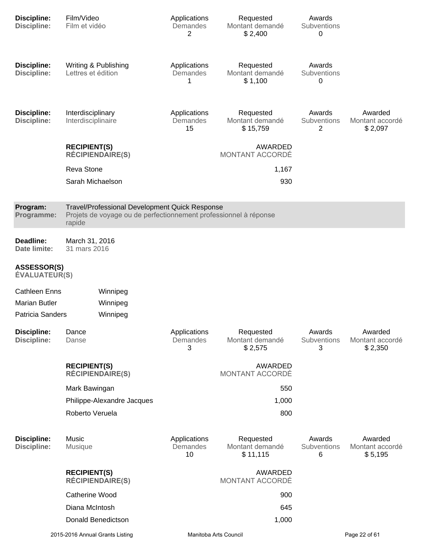| <b>Discipline:</b><br><b>Discipline:</b>   | Film/Video<br>Film et vidéo                                                                                                  | Applications<br>Demandes<br>2  | Requested<br>Montant demandé<br>\$2,400  | Awards<br>Subventions<br>0 |                                       |
|--------------------------------------------|------------------------------------------------------------------------------------------------------------------------------|--------------------------------|------------------------------------------|----------------------------|---------------------------------------|
| <b>Discipline:</b><br><b>Discipline:</b>   | Writing & Publishing<br>Lettres et édition                                                                                   | Applications<br>Demandes<br>1  | Requested<br>Montant demandé<br>\$1,100  | Awards<br>Subventions<br>0 |                                       |
| <b>Discipline:</b><br><b>Discipline:</b>   | Interdisciplinary<br>Interdisciplinaire                                                                                      | Applications<br>Demandes<br>15 | Requested<br>Montant demandé<br>\$15,759 | Awards<br>Subventions<br>2 | Awarded<br>Montant accordé<br>\$2,097 |
|                                            | <b>RECIPIENT(S)</b><br><b>RÉCIPIENDAIRE(S)</b>                                                                               |                                | AWARDED<br>MONTANT ACCORDÉ               |                            |                                       |
|                                            | Reva Stone                                                                                                                   |                                | 1,167                                    |                            |                                       |
|                                            | Sarah Michaelson                                                                                                             |                                | 930                                      |                            |                                       |
| Program:<br>Programme:                     | Travel/Professional Development Quick Response<br>Projets de voyage ou de perfectionnement professionnel à réponse<br>rapide |                                |                                          |                            |                                       |
| Deadline:<br>Date limite:                  | March 31, 2016<br>31 mars 2016                                                                                               |                                |                                          |                            |                                       |
| <b>ASSESSOR(S)</b><br><b>ÉVALUATEUR(S)</b> |                                                                                                                              |                                |                                          |                            |                                       |
| <b>Cathleen Enns</b>                       | Winnipeg                                                                                                                     |                                |                                          |                            |                                       |
| <b>Marian Butler</b>                       | Winnipeg                                                                                                                     |                                |                                          |                            |                                       |
| <b>Patricia Sanders</b>                    | Winnipeg                                                                                                                     |                                |                                          |                            |                                       |
| <b>Discipline:</b><br><b>Discipline:</b>   | Dance<br>Danse                                                                                                               | Applications<br>Demandes<br>3  | Requested<br>Montant demandé<br>\$2,575  | Awards<br>Subventions<br>3 | Awarded<br>Montant accordé<br>\$2,350 |
|                                            | <b>RECIPIENT(S)</b><br><b>RÉCIPIENDAIRE(S)</b>                                                                               |                                | AWARDED<br><b>MONTANT ACCORDÉ</b>        |                            |                                       |
|                                            | Mark Bawingan                                                                                                                |                                | 550                                      |                            |                                       |
|                                            | Philippe-Alexandre Jacques                                                                                                   |                                | 1,000                                    |                            |                                       |
|                                            | Roberto Veruela                                                                                                              |                                | 800                                      |                            |                                       |
| <b>Discipline:</b><br><b>Discipline:</b>   | Music<br>Musique                                                                                                             | Applications<br>Demandes<br>10 | Requested<br>Montant demandé<br>\$11,115 | Awards<br>Subventions<br>6 | Awarded<br>Montant accordé<br>\$5,195 |
|                                            | <b>RECIPIENT(S)</b><br><b>RÉCIPIENDAIRE(S)</b>                                                                               |                                | AWARDED<br>MONTANT ACCORDÉ               |                            |                                       |
|                                            | <b>Catherine Wood</b>                                                                                                        |                                | 900                                      |                            |                                       |
|                                            | Diana McIntosh                                                                                                               |                                | 645                                      |                            |                                       |
|                                            | Donald Benedictson                                                                                                           |                                | 1,000                                    |                            |                                       |
|                                            | 2015-2016 Annual Grants Listing                                                                                              | Manitoba Arts Council          |                                          |                            | Page 22 of 61                         |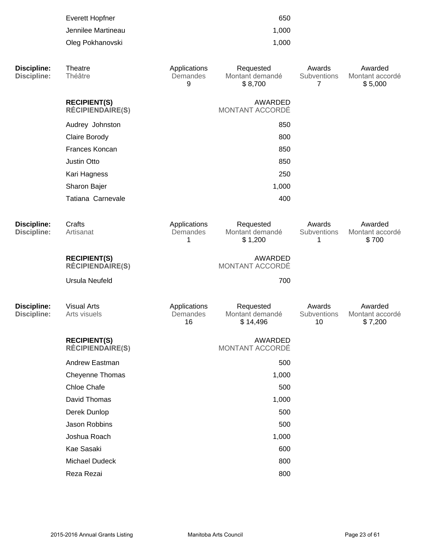|                                          | <b>Everett Hopfner</b><br>Jennilee Martineau<br>Oleg Pokhanovski |                                | 650<br>1,000<br>1,000                    |                                         |                                       |
|------------------------------------------|------------------------------------------------------------------|--------------------------------|------------------------------------------|-----------------------------------------|---------------------------------------|
| <b>Discipline:</b><br><b>Discipline:</b> | Theatre<br>Théâtre                                               | Applications<br>Demandes<br>9  | Requested<br>Montant demandé<br>\$8,700  | Awards<br>Subventions<br>$\overline{7}$ | Awarded<br>Montant accordé<br>\$5,000 |
|                                          | <b>RECIPIENT(S)</b><br><b>RÉCIPIENDAIRE(S)</b>                   |                                | <b>AWARDED</b><br>MONTANT ACCORDÉ        |                                         |                                       |
|                                          | Audrey Johnston                                                  |                                | 850                                      |                                         |                                       |
|                                          | Claire Borody                                                    |                                | 800                                      |                                         |                                       |
|                                          | Frances Koncan                                                   |                                | 850                                      |                                         |                                       |
|                                          | Justin Otto                                                      |                                | 850                                      |                                         |                                       |
|                                          | Kari Hagness                                                     |                                | 250                                      |                                         |                                       |
|                                          | Sharon Bajer                                                     |                                | 1,000                                    |                                         |                                       |
|                                          | Tatiana Carnevale                                                |                                | 400                                      |                                         |                                       |
| <b>Discipline:</b><br><b>Discipline:</b> | Crafts<br>Artisanat                                              | Applications<br>Demandes<br>1  | Requested<br>Montant demandé<br>\$1,200  | Awards<br>Subventions<br>1              | Awarded<br>Montant accordé<br>\$700   |
|                                          | <b>RECIPIENT(S)</b><br><b>RÉCIPIENDAIRE(S)</b>                   |                                | <b>AWARDED</b><br>MONTANT ACCORDÉ        |                                         |                                       |
|                                          | <b>Ursula Neufeld</b>                                            |                                | 700                                      |                                         |                                       |
| <b>Discipline:</b><br><b>Discipline:</b> | <b>Visual Arts</b><br>Arts visuels                               | Applications<br>Demandes<br>16 | Requested<br>Montant demandé<br>\$14,496 | Awards<br>Subventions<br>10             | Awarded<br>Montant accordé<br>\$7,200 |
|                                          | <b>RECIPIENT(S)</b><br><b>RÉCIPIENDAIRE(S)</b>                   |                                | AWARDED<br>MONTANT ACCORDÉ               |                                         |                                       |
|                                          | Andrew Eastman                                                   |                                | 500                                      |                                         |                                       |
|                                          | Cheyenne Thomas                                                  |                                | 1,000                                    |                                         |                                       |
|                                          | Chloe Chafe                                                      |                                | 500                                      |                                         |                                       |
|                                          | David Thomas                                                     |                                | 1,000                                    |                                         |                                       |
|                                          | Derek Dunlop                                                     |                                | 500                                      |                                         |                                       |
|                                          | Jason Robbins                                                    |                                | 500                                      |                                         |                                       |
|                                          | Joshua Roach                                                     |                                | 1,000                                    |                                         |                                       |
|                                          | Kae Sasaki                                                       |                                | 600                                      |                                         |                                       |
|                                          | Michael Dudeck                                                   |                                | 800                                      |                                         |                                       |
|                                          | Reza Rezai                                                       |                                | 800                                      |                                         |                                       |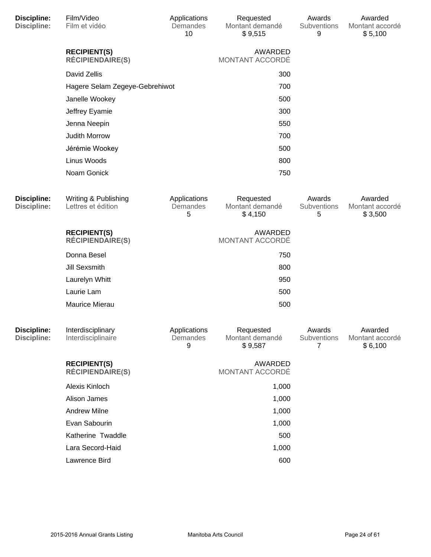| <b>Discipline:</b><br><b>Discipline:</b> | Film/Video<br>Film et vidéo                    | Applications<br>Demandes<br>10 | Requested<br>Montant demandé<br>\$9,515 | Awards<br>Subventions<br>9 | Awarded<br>Montant accordé<br>\$5,100 |
|------------------------------------------|------------------------------------------------|--------------------------------|-----------------------------------------|----------------------------|---------------------------------------|
|                                          | <b>RECIPIENT(S)</b><br><b>RÉCIPIENDAIRE(S)</b> |                                | AWARDED<br>MONTANT ACCORDÉ              |                            |                                       |
|                                          | David Zellis                                   |                                | 300                                     |                            |                                       |
|                                          | Hagere Selam Zegeye-Gebrehiwot                 |                                | 700                                     |                            |                                       |
|                                          | Janelle Wookey                                 |                                | 500                                     |                            |                                       |
|                                          | Jeffrey Eyamie                                 |                                | 300                                     |                            |                                       |
|                                          | Jenna Neepin                                   |                                | 550                                     |                            |                                       |
|                                          | Judith Morrow                                  |                                | 700                                     |                            |                                       |
|                                          | Jérémie Wookey                                 |                                | 500                                     |                            |                                       |
|                                          | Linus Woods                                    |                                | 800                                     |                            |                                       |
|                                          | Noam Gonick                                    |                                | 750                                     |                            |                                       |
| <b>Discipline:</b><br><b>Discipline:</b> | Writing & Publishing<br>Lettres et édition     | Applications<br>Demandes<br>5  | Requested<br>Montant demandé<br>\$4,150 | Awards<br>Subventions<br>5 | Awarded<br>Montant accordé<br>\$3,500 |
|                                          | <b>RECIPIENT(S)</b><br><b>RÉCIPIENDAIRE(S)</b> |                                | AWARDED<br>MONTANT ACCORDÉ              |                            |                                       |
|                                          | Donna Besel                                    |                                | 750                                     |                            |                                       |
|                                          | <b>Jill Sexsmith</b>                           |                                | 800                                     |                            |                                       |
|                                          | Laurelyn Whitt                                 |                                | 950                                     |                            |                                       |
|                                          | Laurie Lam                                     |                                | 500                                     |                            |                                       |
|                                          | Maurice Mierau                                 |                                | 500                                     |                            |                                       |
| <b>Discipline:</b><br><b>Discipline:</b> | Interdisciplinary<br>Interdisciplinaire        | Applications<br>Demandes<br>9  | Requested<br>Montant demandé<br>\$9,587 | Awards<br>Subventions<br>7 | Awarded<br>Montant accordé<br>\$6,100 |
|                                          | <b>RECIPIENT(S)</b><br><b>RÉCIPIENDAIRE(S)</b> |                                | AWARDED<br>MONTANT ACCORDÉ              |                            |                                       |
|                                          | Alexis Kinloch                                 |                                | 1,000                                   |                            |                                       |
|                                          | Alison James                                   |                                | 1,000                                   |                            |                                       |
|                                          | <b>Andrew Milne</b>                            |                                | 1,000                                   |                            |                                       |
|                                          | Evan Sabourin                                  |                                | 1,000                                   |                            |                                       |
|                                          | Katherine Twaddle                              |                                | 500                                     |                            |                                       |
|                                          | Lara Secord-Haid                               |                                | 1,000                                   |                            |                                       |
|                                          | Lawrence Bird                                  |                                | 600                                     |                            |                                       |
|                                          |                                                |                                |                                         |                            |                                       |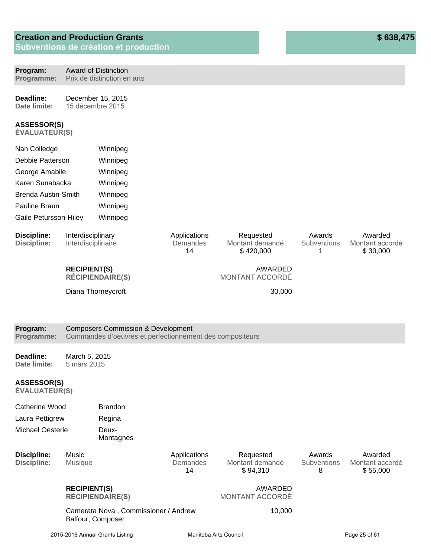| Program:<br>Programme:                     |                                         | <b>Award of Distinction</b><br>Prix de distinction en arts                                                |                                |                                           |                                   |                                        |
|--------------------------------------------|-----------------------------------------|-----------------------------------------------------------------------------------------------------------|--------------------------------|-------------------------------------------|-----------------------------------|----------------------------------------|
| Deadline:<br>Date limite:                  |                                         | December 15, 2015<br>15 décembre 2015                                                                     |                                |                                           |                                   |                                        |
| <b>ASSESSOR(S)</b><br><b>ÉVALUATEUR(S)</b> |                                         |                                                                                                           |                                |                                           |                                   |                                        |
| Nan Colledge                               |                                         | Winnipeg                                                                                                  |                                |                                           |                                   |                                        |
| Debbie Patterson                           |                                         | Winnipeg                                                                                                  |                                |                                           |                                   |                                        |
| George Amabile                             |                                         | Winnipeg                                                                                                  |                                |                                           |                                   |                                        |
| Karen Sunabacka                            |                                         | Winnipeg                                                                                                  |                                |                                           |                                   |                                        |
| <b>Brenda Austin-Smith</b>                 |                                         | Winnipeg                                                                                                  |                                |                                           |                                   |                                        |
| Pauline Braun                              |                                         | Winnipeg                                                                                                  |                                |                                           |                                   |                                        |
| Gaile Petursson-Hiley                      |                                         | Winnipeg                                                                                                  |                                |                                           |                                   |                                        |
| <b>Discipline:</b><br><b>Discipline:</b>   | Interdisciplinary<br>Interdisciplinaire |                                                                                                           | Applications<br>Demandes<br>14 | Requested<br>Montant demandé<br>\$420,000 | Awards<br>Subventions<br>1        | Awarded<br>Montant accordé<br>\$30,000 |
|                                            | <b>RECIPIENT(S)</b>                     | <b>RÉCIPIENDAIRE(S)</b>                                                                                   |                                | <b>AWARDED</b><br>MONTANT ACCORDÉ         |                                   |                                        |
|                                            |                                         | Diana Thorneycroft                                                                                        |                                | 30,000                                    |                                   |                                        |
|                                            |                                         |                                                                                                           |                                |                                           |                                   |                                        |
|                                            |                                         |                                                                                                           |                                |                                           |                                   |                                        |
| Program:<br>Programme:                     |                                         | <b>Composers Commission &amp; Development</b><br>Commandes d'oeuvres et perfectionnement des compositeurs |                                |                                           |                                   |                                        |
| Deadline:<br>Date limite:                  | March 5, 2015<br>5 mars 2015            |                                                                                                           |                                |                                           |                                   |                                        |
| ASSESSOR(S)<br><b>ÉVALUATEUR(S)</b>        |                                         |                                                                                                           |                                |                                           |                                   |                                        |
| <b>Catherine Wood</b>                      |                                         | <b>Brandon</b>                                                                                            |                                |                                           |                                   |                                        |
| Laura Pettigrew                            |                                         | Regina                                                                                                    |                                |                                           |                                   |                                        |
| <b>Michael Oesterle</b>                    |                                         | Deux-<br>Montagnes                                                                                        |                                |                                           |                                   |                                        |
| <b>Discipline:</b><br><b>Discipline:</b>   | Music<br>Musique                        |                                                                                                           | Applications<br>Demandes<br>14 | Requested<br>Montant demandé<br>\$94,310  | Awards<br><b>Subventions</b><br>8 | Awarded<br>Montant accordé<br>\$55,000 |
|                                            | <b>RECIPIENT(S)</b>                     | <b>RÉCIPIENDAIRE(S)</b>                                                                                   |                                | AWARDED<br>MONTANT ACCORDÉ                |                                   |                                        |
|                                            |                                         | Camerata Nova, Commissioner / Andrew<br>Balfour, Composer                                                 |                                | 10,000                                    |                                   |                                        |
|                                            | 2015-2016 Annual Grants Listing         |                                                                                                           | Manitoba Arts Council          |                                           |                                   | Page 25 of 61                          |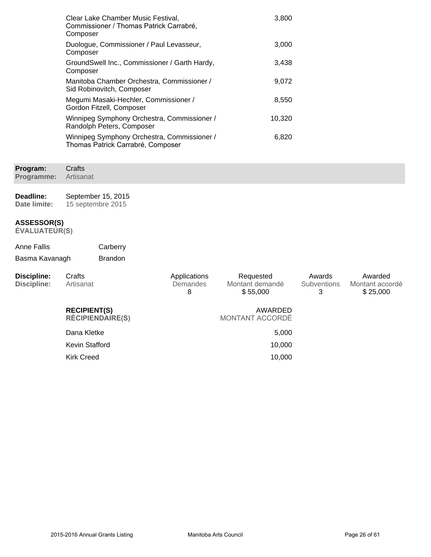| Clear Lake Chamber Music Festival,<br>Commissioner / Thomas Patrick Carrabré,<br>Composer | 3,800  |
|-------------------------------------------------------------------------------------------|--------|
| Duologue, Commissioner / Paul Levasseur,<br>Composer                                      | 3,000  |
| GroundSwell Inc., Commissioner / Garth Hardy,<br>Composer                                 | 3,438  |
| Manitoba Chamber Orchestra, Commissioner /<br>Sid Robinovitch, Composer                   | 9,072  |
| Megumi Masaki-Hechler, Commissioner /<br>Gordon Fitzell, Composer                         | 8,550  |
| Winnipeg Symphony Orchestra, Commissioner /<br>Randolph Peters, Composer                  | 10,320 |
| Winnipeg Symphony Orchestra, Commissioner /<br>Thomas Patrick Carrabré, Composer          | 6,820  |

**Program: Programme: Crafts** Artisanat

**Deadline: Date limite:** September 15, 2015 15 septembre 2015

#### **ASSESSOR(S)**

| Anne Fallis    | Carberry       |
|----------------|----------------|
| Basma Kavanagh | <b>Brandon</b> |

| Discipline:<br>Discipline: | Crafts<br>Artisanat                            | Applications<br>Demandes<br>8 | Requested<br>Montant demandé<br>\$55,000 | Awards<br><b>Subventions</b><br>3 | Awarded<br>Montant accordé<br>\$25,000 |
|----------------------------|------------------------------------------------|-------------------------------|------------------------------------------|-----------------------------------|----------------------------------------|
|                            | <b>RECIPIENT(S)</b><br><b>RÉCIPIENDAIRE(S)</b> |                               | AWARDED<br>MONTANT ACCORDÉ               |                                   |                                        |
|                            | Dana Kletke                                    |                               | 5,000                                    |                                   |                                        |
|                            | Kevin Stafford                                 |                               | 10.000                                   |                                   |                                        |
|                            | <b>Kirk Creed</b>                              |                               | 10.000                                   |                                   |                                        |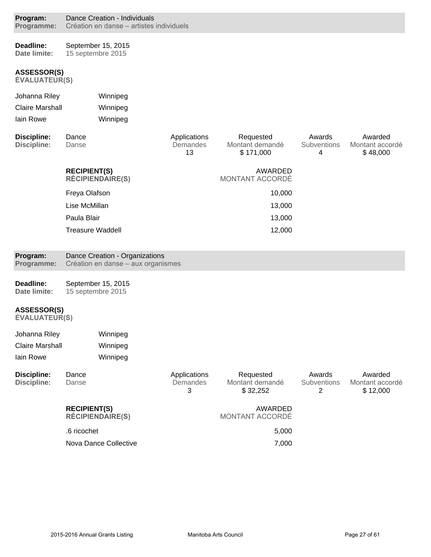| Program:<br>Programme:                     | Dance Creation - Individuals<br>Création en danse – artistes individuels |                                |                                           |                            |                                        |
|--------------------------------------------|--------------------------------------------------------------------------|--------------------------------|-------------------------------------------|----------------------------|----------------------------------------|
| Deadline:<br><b>Date limite:</b>           | September 15, 2015<br>15 septembre 2015                                  |                                |                                           |                            |                                        |
| <b>ASSESSOR(S)</b><br><b>ÉVALUATEUR(S)</b> |                                                                          |                                |                                           |                            |                                        |
| Johanna Riley                              | Winnipeg                                                                 |                                |                                           |                            |                                        |
| <b>Claire Marshall</b>                     | Winnipeg                                                                 |                                |                                           |                            |                                        |
| lain Rowe                                  | Winnipeg                                                                 |                                |                                           |                            |                                        |
| <b>Discipline:</b><br><b>Discipline:</b>   | Dance<br>Danse                                                           | Applications<br>Demandes<br>13 | Requested<br>Montant demandé<br>\$171,000 | Awards<br>Subventions<br>4 | Awarded<br>Montant accordé<br>\$48,000 |
|                                            | <b>RECIPIENT(S)</b><br><b>RÉCIPIENDAIRE(S)</b>                           |                                | AWARDED<br>MONTANT ACCORDÉ                |                            |                                        |
|                                            | Freya Olafson                                                            |                                | 10,000                                    |                            |                                        |
|                                            | Lise McMillan                                                            |                                | 13,000                                    |                            |                                        |
|                                            | Paula Blair                                                              |                                | 13,000                                    |                            |                                        |
|                                            | <b>Treasure Waddell</b>                                                  |                                | 12,000                                    |                            |                                        |
| Program:<br>Programme:                     | Dance Creation - Organizations<br>Création en danse - aux organismes     |                                |                                           |                            |                                        |
| Deadline:<br>Date limite:                  | September 15, 2015<br>15 septembre 2015                                  |                                |                                           |                            |                                        |
| <b>ASSESSOR(S)</b><br><b>ÉVALUATEUR(S)</b> |                                                                          |                                |                                           |                            |                                        |
| Johanna Riley                              | Winnipeg                                                                 |                                |                                           |                            |                                        |
| <b>Claire Marshall</b>                     | Winnipeg                                                                 |                                |                                           |                            |                                        |
| lain Rowe                                  | Winnipeg                                                                 |                                |                                           |                            |                                        |
| <b>Discipline:</b><br><b>Discipline:</b>   | Dance<br>Danse                                                           | Applications<br>Demandes<br>3  | Requested<br>Montant demandé<br>\$32,252  | Awards<br>Subventions<br>2 | Awarded<br>Montant accordé<br>\$12,000 |
|                                            | <b>RECIPIENT(S)</b><br><b>RÉCIPIENDAIRE(S)</b>                           |                                | AWARDED<br>MONTANT ACCORDÉ                |                            |                                        |
|                                            |                                                                          |                                |                                           |                            |                                        |
|                                            | .6 ricochet                                                              |                                | 5,000                                     |                            |                                        |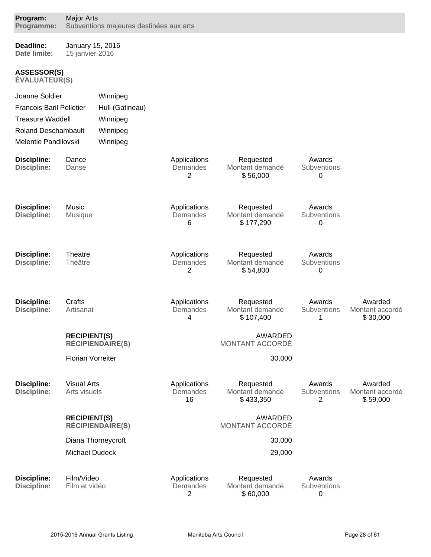| Program:<br>Programme:                     | <b>Major Arts</b><br>Subventions majeures destinées aux arts |                         |                                |                                           |                                         |                                        |
|--------------------------------------------|--------------------------------------------------------------|-------------------------|--------------------------------|-------------------------------------------|-----------------------------------------|----------------------------------------|
| Deadline:<br>Date limite:                  | January 15, 2016<br>15 janvier 2016                          |                         |                                |                                           |                                         |                                        |
| <b>ASSESSOR(S)</b><br><b>ÉVALUATEUR(S)</b> |                                                              |                         |                                |                                           |                                         |                                        |
| Joanne Soldier                             |                                                              | Winnipeg                |                                |                                           |                                         |                                        |
| <b>Francois Baril Pelletier</b>            |                                                              | Hull (Gatineau)         |                                |                                           |                                         |                                        |
| <b>Treasure Waddell</b>                    |                                                              | Winnipeg                |                                |                                           |                                         |                                        |
| <b>Roland Deschambault</b>                 |                                                              | Winnipeg                |                                |                                           |                                         |                                        |
| Melentie Pandilovski                       |                                                              | Winnipeg                |                                |                                           |                                         |                                        |
| <b>Discipline:</b><br><b>Discipline:</b>   | Dance<br>Danse                                               |                         | Applications<br>Demandes<br>2  | Requested<br>Montant demandé<br>\$56,000  | Awards<br>Subventions<br>0              |                                        |
| <b>Discipline:</b><br><b>Discipline:</b>   | Music<br>Musique                                             |                         | Applications<br>Demandes<br>6  | Requested<br>Montant demandé<br>\$177,290 | Awards<br>Subventions<br>0              |                                        |
| <b>Discipline:</b><br><b>Discipline:</b>   | Theatre<br>Théâtre                                           |                         | Applications<br>Demandes<br>2  | Requested<br>Montant demandé<br>\$54,800  | Awards<br>Subventions<br>0              |                                        |
| <b>Discipline:</b><br><b>Discipline:</b>   | Crafts<br>Artisanat                                          |                         | Applications<br>Demandes<br>4  | Requested<br>Montant demandé<br>\$107,400 | Awards<br>Subventions<br>1              | Awarded<br>Montant accordé<br>\$30,000 |
|                                            | <b>RECIPIENT(S)</b>                                          | <b>RÉCIPIENDAIRE(S)</b> |                                | <b>AWARDED</b><br>MONTANT ACCORDÉ         |                                         |                                        |
|                                            | <b>Florian Vorreiter</b>                                     |                         |                                | 30,000                                    |                                         |                                        |
| <b>Discipline:</b><br><b>Discipline:</b>   | <b>Visual Arts</b><br>Arts visuels                           |                         | Applications<br>Demandes<br>16 | Requested<br>Montant demandé<br>\$433,350 | Awards<br>Subventions<br>$\overline{2}$ | Awarded<br>Montant accordé<br>\$59,000 |
|                                            | <b>RECIPIENT(S)</b>                                          | <b>RÉCIPIENDAIRE(S)</b> |                                | <b>AWARDED</b><br>MONTANT ACCORDÉ         |                                         |                                        |
|                                            |                                                              | Diana Thorneycroft      |                                | 30,000                                    |                                         |                                        |
|                                            | Michael Dudeck                                               |                         |                                | 29,000                                    |                                         |                                        |
| <b>Discipline:</b><br><b>Discipline:</b>   | Film/Video<br>Film et vidéo                                  |                         | Applications<br>Demandes<br>2  | Requested<br>Montant demandé<br>\$60,000  | Awards<br>Subventions<br>0              |                                        |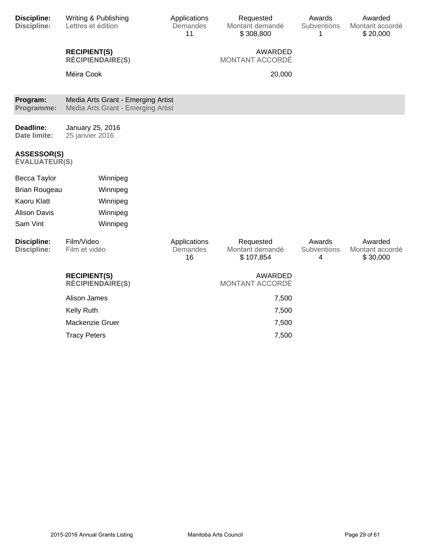| <b>Discipline:</b><br><b>Discipline:</b>   | Writing & Publishing<br>Lettres et édition                               | Applications<br>Demandes<br>11 | Requested<br>Montant demandé<br>\$308,800 | Awards<br>Subventions<br>1 | Awarded<br>Montant accordé<br>\$20,000 |
|--------------------------------------------|--------------------------------------------------------------------------|--------------------------------|-------------------------------------------|----------------------------|----------------------------------------|
|                                            | <b>RECIPIENT(S)</b><br><b>RÉCIPIENDAIRE(S)</b>                           |                                | <b>AWARDED</b><br>MONTANT ACCORDÉ         |                            |                                        |
|                                            | Méira Cook                                                               |                                | 20,000                                    |                            |                                        |
| Program:<br>Programme:                     | Media Arts Grant - Emerging Artist<br>Media Arts Grant - Emerging Artist |                                |                                           |                            |                                        |
| Deadline:<br>Date limite:                  | January 25, 2016<br>25 janvier 2016                                      |                                |                                           |                            |                                        |
| <b>ASSESSOR(S)</b><br><b>ÉVALUATEUR(S)</b> |                                                                          |                                |                                           |                            |                                        |
| Becca Taylor                               | Winnipeg                                                                 |                                |                                           |                            |                                        |
| <b>Brian Rougeau</b>                       | Winnipeg                                                                 |                                |                                           |                            |                                        |
| Kaoru Klatt                                | Winnipeg                                                                 |                                |                                           |                            |                                        |
| <b>Alison Davis</b>                        | Winnipeg                                                                 |                                |                                           |                            |                                        |
| Sam Vint                                   | Winnipeg                                                                 |                                |                                           |                            |                                        |
| <b>Discipline:</b><br><b>Discipline:</b>   | Film/Video<br>Film et vidéo                                              | Applications<br>Demandes<br>16 | Requested<br>Montant demandé<br>\$107,854 | Awards<br>Subventions<br>4 | Awarded<br>Montant accordé<br>\$30,000 |
|                                            | <b>RECIPIENT(S)</b><br><b>RÉCIPIENDAIRE(S)</b>                           |                                | <b>AWARDED</b><br>MONTANT ACCORDÉ         |                            |                                        |
|                                            | Alison James                                                             |                                | 7,500                                     |                            |                                        |
|                                            | Kelly Ruth                                                               |                                | 7,500                                     |                            |                                        |
|                                            | Mackenzie Gruer                                                          |                                | 7,500                                     |                            |                                        |
|                                            | <b>Tracy Peters</b>                                                      |                                | 7,500                                     |                            |                                        |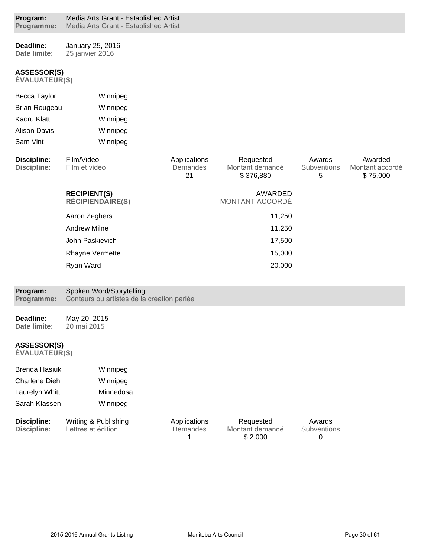| Program:<br>Programme:                     | Media Arts Grant - Established Artist<br>Media Arts Grant - Established Artist |                                |                                           |                            |                                        |
|--------------------------------------------|--------------------------------------------------------------------------------|--------------------------------|-------------------------------------------|----------------------------|----------------------------------------|
| Deadline:<br>Date limite:                  | January 25, 2016<br>25 janvier 2016                                            |                                |                                           |                            |                                        |
| <b>ASSESSOR(S)</b><br><b>ÉVALUATEUR(S)</b> |                                                                                |                                |                                           |                            |                                        |
| Becca Taylor                               | Winnipeg                                                                       |                                |                                           |                            |                                        |
| <b>Brian Rougeau</b>                       | Winnipeg                                                                       |                                |                                           |                            |                                        |
| Kaoru Klatt                                | Winnipeg                                                                       |                                |                                           |                            |                                        |
| <b>Alison Davis</b>                        | Winnipeg                                                                       |                                |                                           |                            |                                        |
| Sam Vint                                   | Winnipeg                                                                       |                                |                                           |                            |                                        |
| <b>Discipline:</b><br><b>Discipline:</b>   | Film/Video<br>Film et vidéo                                                    | Applications<br>Demandes<br>21 | Requested<br>Montant demandé<br>\$376,880 | Awards<br>Subventions<br>5 | Awarded<br>Montant accordé<br>\$75,000 |
|                                            | <b>RECIPIENT(S)</b><br><b>RÉCIPIENDAIRE(S)</b>                                 |                                | <b>AWARDED</b><br>MONTANT ACCORDÉ         |                            |                                        |
|                                            | Aaron Zeghers                                                                  |                                | 11,250                                    |                            |                                        |
|                                            | <b>Andrew Milne</b>                                                            |                                | 11,250                                    |                            |                                        |
|                                            | John Paskievich                                                                |                                | 17,500                                    |                            |                                        |
|                                            | Rhayne Vermette                                                                |                                | 15,000                                    |                            |                                        |
|                                            | Ryan Ward                                                                      |                                | 20,000                                    |                            |                                        |
| Program:<br>Programme:                     | Spoken Word/Storytelling<br>Conteurs ou artistes de la création parlée         |                                |                                           |                            |                                        |
| Deadline:<br>Date limite:                  | May 20, 2015<br>20 mai 2015                                                    |                                |                                           |                            |                                        |
| <b>ASSESSOR(S)</b><br><b>ÉVALUATEUR(S)</b> |                                                                                |                                |                                           |                            |                                        |
| <b>Brenda Hasiuk</b>                       | Winnipeg                                                                       |                                |                                           |                            |                                        |
| <b>Charlene Diehl</b>                      | Winnipeg                                                                       |                                |                                           |                            |                                        |
| Laurelyn Whitt                             | Minnedosa                                                                      |                                |                                           |                            |                                        |
| Sarah Klassen                              | Winnipeg                                                                       |                                |                                           |                            |                                        |
| <b>Discipline:</b><br><b>Discipline:</b>   | Writing & Publishing<br>Lettres et édition                                     | Applications<br>Demandes       | Requested<br>Montant demandé              | Awards<br>Subventions      |                                        |

1

Montant demandé \$ 2,000

0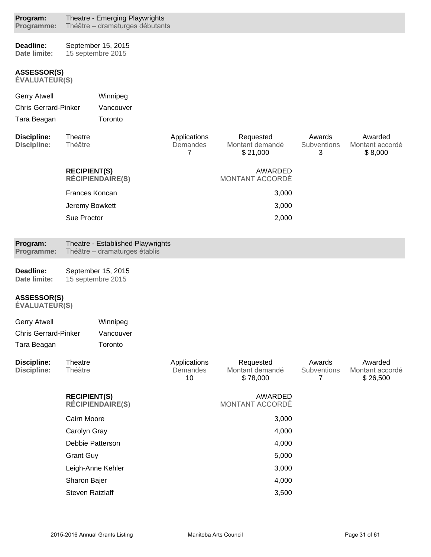| Program:<br>Programme:                     |                        | Theatre - Emerging Playwrights<br>Théâtre - dramaturges débutants  |                                            |                                          |                            |                                        |
|--------------------------------------------|------------------------|--------------------------------------------------------------------|--------------------------------------------|------------------------------------------|----------------------------|----------------------------------------|
| Deadline:<br>Date limite:                  |                        | September 15, 2015<br>15 septembre 2015                            |                                            |                                          |                            |                                        |
| <b>ASSESSOR(S)</b><br><b>ÉVALUATEUR(S)</b> |                        |                                                                    |                                            |                                          |                            |                                        |
| <b>Gerry Atwell</b>                        |                        | Winnipeg                                                           |                                            |                                          |                            |                                        |
| <b>Chris Gerrard-Pinker</b>                |                        | Vancouver                                                          |                                            |                                          |                            |                                        |
| Tara Beagan                                |                        | Toronto                                                            |                                            |                                          |                            |                                        |
| <b>Discipline:</b><br><b>Discipline:</b>   | Theatre<br>Théâtre     |                                                                    | Applications<br>Demandes<br>$\overline{7}$ | Requested<br>Montant demandé<br>\$21,000 | Awards<br>Subventions<br>3 | Awarded<br>Montant accordé<br>\$8,000  |
|                                            | <b>RECIPIENT(S)</b>    | <b>RÉCIPIENDAIRE(S)</b>                                            |                                            | AWARDED<br>MONTANT ACCORDÉ               |                            |                                        |
|                                            | Frances Koncan         |                                                                    |                                            | 3,000                                    |                            |                                        |
|                                            | Jeremy Bowkett         |                                                                    |                                            | 3,000                                    |                            |                                        |
|                                            | Sue Proctor            |                                                                    |                                            | 2,000                                    |                            |                                        |
| Program:<br>Programme:                     |                        | Theatre - Established Playwrights<br>Théâtre – dramaturges établis |                                            |                                          |                            |                                        |
| Deadline:<br>Date limite:                  |                        | September 15, 2015<br>15 septembre 2015                            |                                            |                                          |                            |                                        |
| <b>ASSESSOR(S)</b><br><b>ÉVALUATEUR(S)</b> |                        |                                                                    |                                            |                                          |                            |                                        |
| <b>Gerry Atwell</b>                        |                        | Winnipeg                                                           |                                            |                                          |                            |                                        |
| <b>Chris Gerrard-Pinker</b>                |                        | Vancouver                                                          |                                            |                                          |                            |                                        |
| Tara Beagan                                |                        | Toronto                                                            |                                            |                                          |                            |                                        |
| <b>Discipline:</b><br><b>Discipline:</b>   | Theatre<br>Théâtre     |                                                                    | Applications<br>Demandes<br>10             | Requested<br>Montant demandé<br>\$78,000 | Awards<br>Subventions<br>7 | Awarded<br>Montant accordé<br>\$26,500 |
|                                            | <b>RECIPIENT(S)</b>    | <b>RÉCIPIENDAIRE(S)</b>                                            |                                            | <b>AWARDED</b><br>MONTANT ACCORDÉ        |                            |                                        |
|                                            | Cairn Moore            |                                                                    |                                            | 3,000                                    |                            |                                        |
|                                            | Carolyn Gray           |                                                                    |                                            | 4,000                                    |                            |                                        |
|                                            | Debbie Patterson       |                                                                    |                                            | 4,000                                    |                            |                                        |
|                                            | <b>Grant Guy</b>       |                                                                    |                                            | 5,000                                    |                            |                                        |
|                                            |                        | Leigh-Anne Kehler                                                  |                                            | 3,000                                    |                            |                                        |
|                                            | Sharon Bajer           |                                                                    |                                            | 4,000                                    |                            |                                        |
|                                            | <b>Steven Ratzlaff</b> |                                                                    |                                            | 3,500                                    |                            |                                        |
|                                            |                        |                                                                    |                                            |                                          |                            |                                        |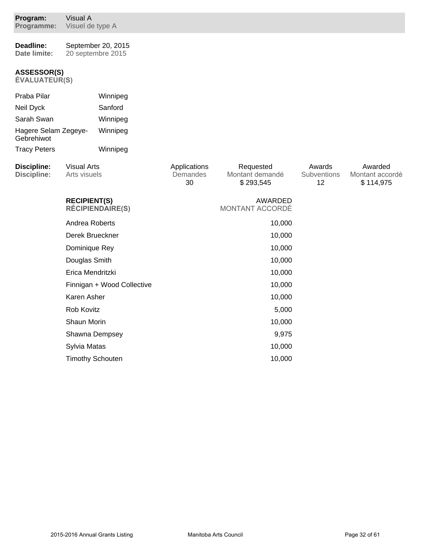| Program:<br>Programme:                     | Visual A<br>Visuel de type A       |                                         |                                |                                           |                             |                                         |
|--------------------------------------------|------------------------------------|-----------------------------------------|--------------------------------|-------------------------------------------|-----------------------------|-----------------------------------------|
| Deadline:<br>Date limite:                  |                                    | September 20, 2015<br>20 septembre 2015 |                                |                                           |                             |                                         |
| <b>ASSESSOR(S)</b><br><b>ÉVALUATEUR(S)</b> |                                    |                                         |                                |                                           |                             |                                         |
| Praba Pilar                                |                                    | Winnipeg                                |                                |                                           |                             |                                         |
| Neil Dyck                                  |                                    | Sanford                                 |                                |                                           |                             |                                         |
| Sarah Swan                                 |                                    | Winnipeg                                |                                |                                           |                             |                                         |
| Hagere Selam Zegeye-<br>Gebrehiwot         |                                    | Winnipeg                                |                                |                                           |                             |                                         |
| <b>Tracy Peters</b>                        |                                    | Winnipeg                                |                                |                                           |                             |                                         |
| <b>Discipline:</b><br><b>Discipline:</b>   | <b>Visual Arts</b><br>Arts visuels |                                         | Applications<br>Demandes<br>30 | Requested<br>Montant demandé<br>\$293,545 | Awards<br>Subventions<br>12 | Awarded<br>Montant accordé<br>\$114,975 |
|                                            | <b>RECIPIENT(S)</b>                | <b>RÉCIPIENDAIRE(S)</b>                 |                                | AWARDED<br>MONTANT ACCORDÉ                |                             |                                         |
|                                            | Andrea Roberts                     |                                         |                                | 10,000                                    |                             |                                         |
|                                            | Derek Brueckner                    |                                         |                                | 10,000                                    |                             |                                         |
|                                            | Dominique Rey                      |                                         |                                | 10,000                                    |                             |                                         |
|                                            | Douglas Smith                      |                                         |                                | 10,000                                    |                             |                                         |
|                                            | Erica Mendritzki                   |                                         |                                | 10,000                                    |                             |                                         |
|                                            |                                    | Finnigan + Wood Collective              |                                | 10,000                                    |                             |                                         |
|                                            | Karen Asher                        |                                         |                                | 10,000                                    |                             |                                         |
|                                            | Rob Kovitz                         |                                         |                                | 5,000                                     |                             |                                         |
|                                            | Shaun Morin                        |                                         |                                | 10,000                                    |                             |                                         |
|                                            | Shawna Dempsey                     |                                         |                                | 9,975                                     |                             |                                         |
|                                            | Sylvia Matas                       |                                         |                                | 10,000                                    |                             |                                         |
|                                            |                                    | <b>Timothy Schouten</b>                 |                                | 10,000                                    |                             |                                         |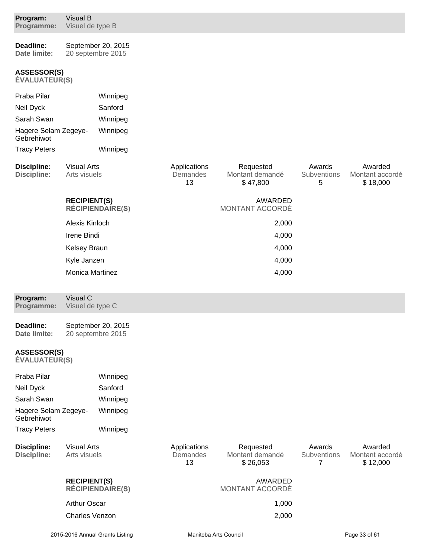| Program:<br>Programme:                     | Visual B<br>Visuel de type B       |                                         |                                |                                          |                            |                                        |
|--------------------------------------------|------------------------------------|-----------------------------------------|--------------------------------|------------------------------------------|----------------------------|----------------------------------------|
| Deadline:<br>Date limite:                  |                                    | September 20, 2015<br>20 septembre 2015 |                                |                                          |                            |                                        |
| <b>ASSESSOR(S)</b><br><b>ÉVALUATEUR(S)</b> |                                    |                                         |                                |                                          |                            |                                        |
| Praba Pilar                                |                                    | Winnipeg                                |                                |                                          |                            |                                        |
| Neil Dyck                                  |                                    | Sanford                                 |                                |                                          |                            |                                        |
| Sarah Swan                                 |                                    | Winnipeg                                |                                |                                          |                            |                                        |
| Hagere Selam Zegeye-<br>Gebrehiwot         |                                    | Winnipeg                                |                                |                                          |                            |                                        |
| <b>Tracy Peters</b>                        |                                    | Winnipeg                                |                                |                                          |                            |                                        |
| <b>Discipline:</b><br><b>Discipline:</b>   | <b>Visual Arts</b><br>Arts visuels |                                         | Applications<br>Demandes<br>13 | Requested<br>Montant demandé<br>\$47,800 | Awards<br>Subventions<br>5 | Awarded<br>Montant accordé<br>\$18,000 |
|                                            | <b>RECIPIENT(S)</b>                | <b>RÉCIPIENDAIRE(S)</b>                 |                                | <b>AWARDED</b><br>MONTANT ACCORDÉ        |                            |                                        |
|                                            | Alexis Kinloch                     |                                         |                                | 2,000                                    |                            |                                        |
|                                            | Irene Bindi                        |                                         |                                | 4,000                                    |                            |                                        |
|                                            | Kelsey Braun                       |                                         |                                | 4,000                                    |                            |                                        |
|                                            | Kyle Janzen                        |                                         |                                | 4,000                                    |                            |                                        |
|                                            | Monica Martinez                    |                                         |                                | 4,000                                    |                            |                                        |
| Program:<br>Programme:                     | Visual C<br>Visuel de type C       |                                         |                                |                                          |                            |                                        |
| Deadline:<br>Date limite:                  |                                    | September 20, 2015<br>20 septembre 2015 |                                |                                          |                            |                                        |
| <b>ASSESSOR(S)</b><br><b>ÉVALUATEUR(S)</b> |                                    |                                         |                                |                                          |                            |                                        |
| Praba Pilar                                |                                    | Winnipeg                                |                                |                                          |                            |                                        |
| Neil Dyck                                  |                                    | Sanford                                 |                                |                                          |                            |                                        |
| Sarah Swan                                 |                                    | Winnipeg                                |                                |                                          |                            |                                        |
| Hagere Selam Zegeye-<br>Gebrehiwot         |                                    | Winnipeg                                |                                |                                          |                            |                                        |
| <b>Tracy Peters</b>                        |                                    | Winnipeg                                |                                |                                          |                            |                                        |
| <b>Discipline:</b><br><b>Discipline:</b>   | <b>Visual Arts</b><br>Arts visuels |                                         | Applications<br>Demandes<br>13 | Requested<br>Montant demandé<br>\$26,053 | Awards<br>Subventions<br>7 | Awarded<br>Montant accordé<br>\$12,000 |
|                                            | <b>RECIPIENT(S)</b>                | <b>RÉCIPIENDAIRE(S)</b>                 |                                | AWARDED<br>MONTANT ACCORDÉ               |                            |                                        |
|                                            | <b>Arthur Oscar</b>                |                                         |                                | 1,000                                    |                            |                                        |
|                                            | <b>Charles Venzon</b>              |                                         |                                | 2,000                                    |                            |                                        |
|                                            |                                    |                                         |                                |                                          |                            |                                        |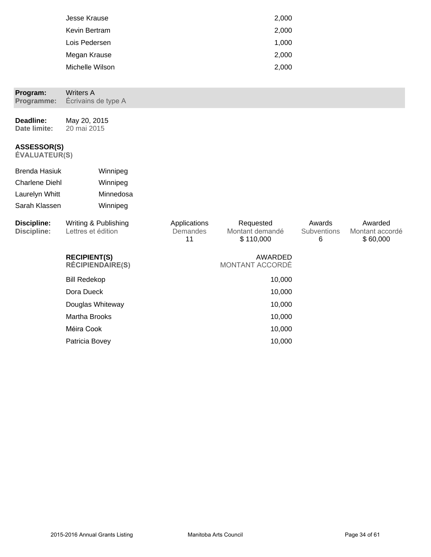| Jesse Krause    | 2,000 |
|-----------------|-------|
| Kevin Bertram   | 2,000 |
| Lois Pedersen   | 1,000 |
| Megan Krause    | 2,000 |
| Michelle Wilson | 2,000 |

| Program:<br>Programme:                                                           | <b>Writers A</b><br>Écrivains de type A        |                                |                                           |                            |                                        |
|----------------------------------------------------------------------------------|------------------------------------------------|--------------------------------|-------------------------------------------|----------------------------|----------------------------------------|
| Deadline:<br>Date limite:                                                        | May 20, 2015<br>20 mai 2015                    |                                |                                           |                            |                                        |
| <b>ASSESSOR(S)</b><br><b>ÉVALUATEUR(S)</b>                                       |                                                |                                |                                           |                            |                                        |
| <b>Brenda Hasiuk</b><br><b>Charlene Diehl</b><br>Laurelyn Whitt<br>Sarah Klassen | Winnipeg<br>Winnipeg<br>Minnedosa<br>Winnipeg  |                                |                                           |                            |                                        |
| <b>Discipline:</b><br><b>Discipline:</b>                                         | Writing & Publishing<br>Lettres et édition     | Applications<br>Demandes<br>11 | Requested<br>Montant demandé<br>\$110,000 | Awards<br>Subventions<br>6 | Awarded<br>Montant accordé<br>\$60,000 |
|                                                                                  | <b>RECIPIENT(S)</b><br><b>RÉCIPIENDAIRE(S)</b> |                                | <b>AWARDED</b><br>MONTANT ACCORDÉ         |                            |                                        |
|                                                                                  | <b>Bill Redekop</b>                            |                                | 10,000                                    |                            |                                        |
|                                                                                  | Dora Dueck                                     |                                | 10,000                                    |                            |                                        |
|                                                                                  | Douglas Whiteway                               |                                | 10,000                                    |                            |                                        |
|                                                                                  | <b>Martha Brooks</b>                           |                                | 10,000                                    |                            |                                        |
|                                                                                  | Méira Cook                                     |                                | 10,000                                    |                            |                                        |
|                                                                                  | Patricia Bovey                                 |                                | 10,000                                    |                            |                                        |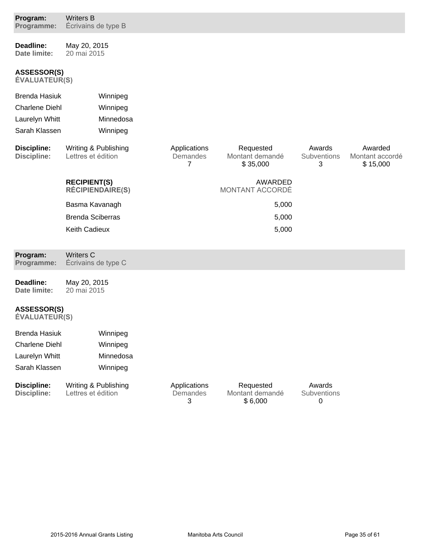| Program:<br>Programme:                     | <b>Writers B</b><br>Écrivains de type B        |                                            |                                          |                            |                                        |
|--------------------------------------------|------------------------------------------------|--------------------------------------------|------------------------------------------|----------------------------|----------------------------------------|
| <b>Deadline:</b><br>Date limite:           | May 20, 2015<br>20 mai 2015                    |                                            |                                          |                            |                                        |
| <b>ASSESSOR(S)</b><br><b>ÉVALUATEUR(S)</b> |                                                |                                            |                                          |                            |                                        |
| <b>Brenda Hasiuk</b>                       | Winnipeg                                       |                                            |                                          |                            |                                        |
| <b>Charlene Diehl</b>                      | Winnipeg                                       |                                            |                                          |                            |                                        |
| Laurelyn Whitt                             | Minnedosa                                      |                                            |                                          |                            |                                        |
| Sarah Klassen                              | Winnipeg                                       |                                            |                                          |                            |                                        |
| <b>Discipline:</b><br>Discipline:          | Writing & Publishing<br>Lettres et édition     | Applications<br>Demandes<br>$\overline{7}$ | Requested<br>Montant demandé<br>\$35,000 | Awards<br>Subventions<br>3 | Awarded<br>Montant accordé<br>\$15,000 |
|                                            | <b>RECIPIENT(S)</b><br><b>RÉCIPIENDAIRE(S)</b> |                                            | AWARDED<br>MONTANT ACCORDÉ               |                            |                                        |
|                                            | Basma Kavanagh                                 |                                            | 5,000                                    |                            |                                        |
|                                            | <b>Brenda Sciberras</b>                        |                                            | 5,000                                    |                            |                                        |
|                                            | Keith Cadieux                                  |                                            | 5,000                                    |                            |                                        |
| Program:<br>Programme:                     | <b>Writers C</b><br>Écrivains de type C        |                                            |                                          |                            |                                        |
| Deadline:<br>Date limite:                  | May 20, 2015<br>20 mai 2015                    |                                            |                                          |                            |                                        |
| <b>ASSESSOR(S)</b><br><b>ÉVALUATEUR(S)</b> |                                                |                                            |                                          |                            |                                        |
| Brenda Hasiuk                              | Winnipeg                                       |                                            |                                          |                            |                                        |
| <b>Charlene Diehl</b>                      | Winnipeg                                       |                                            |                                          |                            |                                        |
| Laurelyn Whitt                             | Minnedosa                                      |                                            |                                          |                            |                                        |
| Sarah Klassen                              | Winnipeg                                       |                                            |                                          |                            |                                        |
| Discipline:<br>Discipline:                 | Writing & Publishing<br>Lettres et édition     | Applications<br>Demandes<br>3              | Requested<br>Montant demandé<br>\$6,000  | Awards<br>Subventions<br>0 |                                        |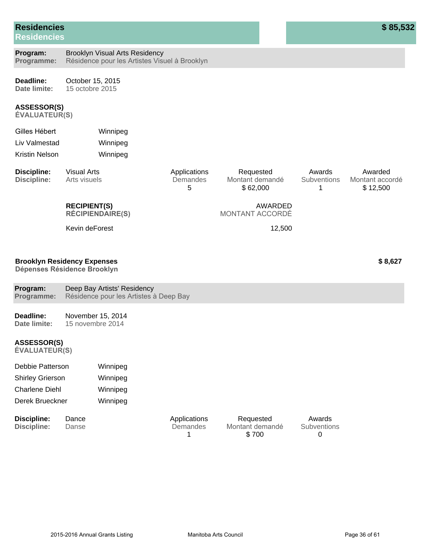## **Residencies**

**Residencies**

#### **ASSESSOR(S)**

 $ÉVALUATEUR(S)$ 

| Gilles Hébert  | Winnipeg |
|----------------|----------|
| Liv Valmestad  | Winnipeg |
| Kristin Nelson | Winnipeg |

| Discipline:<br>Discipline: | Visual Arts<br>Arts visuels                    | Applications<br>Demandes<br>5 | Requested<br>Montant demandé<br>\$62,000 | Awards<br>Subventions | Awarded<br>Montant accordé<br>\$12.500 |
|----------------------------|------------------------------------------------|-------------------------------|------------------------------------------|-----------------------|----------------------------------------|
|                            | <b>RECIPIENT(S)</b><br><b>RÉCIPIENDAIRE(S)</b> |                               | AWARDED<br>MONTANT ACCORDÉ               |                       |                                        |
|                            | Kevin deForest                                 |                               | 12.500                                   |                       |                                        |
|                            |                                                |                               |                                          |                       |                                        |

#### **Brooklyn Residency Expenses**

Dépenses Résidence Brooklyn

| Program:                                   | Deep Bay Artists' Residency            |  |
|--------------------------------------------|----------------------------------------|--|
| Programme:                                 | Résidence pour les Artistes à Deep Bay |  |
| Deadline:                                  | November 15, 2014                      |  |
| Date limite:                               | 15 novembre 2014                       |  |
| <b>ASSESSOR(S)</b><br><b>ÉVALUATEUR(S)</b> |                                        |  |

| Debbie Patterson        | Winnipeg |
|-------------------------|----------|
| <b>Shirley Grierson</b> | Winnipeg |
| <b>Charlene Diehl</b>   | Winnipeg |
| Derek Brueckner         | Winnipeg |

| Discipline: | Dance | Applications | Requested       | Awards             |
|-------------|-------|--------------|-----------------|--------------------|
| Discipline: | Danse | Demandes     | Montant demandé | <b>Subventions</b> |
|             |       |              | \$700           |                    |

**\$ 8,627**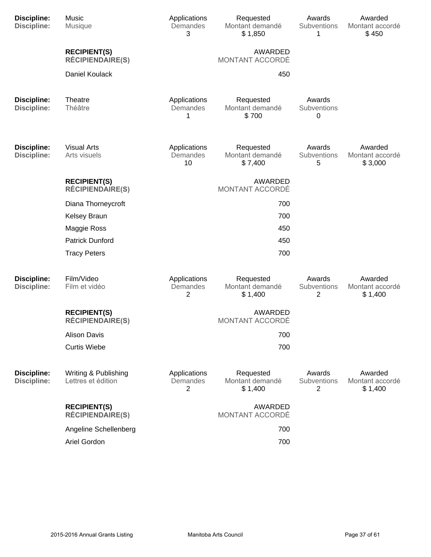| <b>Discipline:</b><br><b>Discipline:</b> | Music<br>Musique                               | Applications<br>Demandes<br>3  | Requested<br>Montant demandé<br>\$1,850 | Awards<br>Subventions<br>1 | Awarded<br>Montant accordé<br>\$450   |
|------------------------------------------|------------------------------------------------|--------------------------------|-----------------------------------------|----------------------------|---------------------------------------|
|                                          | <b>RECIPIENT(S)</b><br><b>RÉCIPIENDAIRE(S)</b> |                                | AWARDED<br>MONTANT ACCORDÉ              |                            |                                       |
|                                          | Daniel Koulack                                 |                                | 450                                     |                            |                                       |
| <b>Discipline:</b><br><b>Discipline:</b> | Theatre<br>Théâtre                             | Applications<br>Demandes<br>1  | Requested<br>Montant demandé<br>\$700   | Awards<br>Subventions<br>0 |                                       |
| <b>Discipline:</b><br><b>Discipline:</b> | <b>Visual Arts</b><br>Arts visuels             | Applications<br>Demandes<br>10 | Requested<br>Montant demandé<br>\$7,400 | Awards<br>Subventions<br>5 | Awarded<br>Montant accordé<br>\$3,000 |
|                                          | <b>RECIPIENT(S)</b><br><b>RÉCIPIENDAIRE(S)</b> |                                | <b>AWARDED</b><br>MONTANT ACCORDÉ       |                            |                                       |
|                                          | Diana Thorneycroft                             |                                | 700                                     |                            |                                       |
|                                          | <b>Kelsey Braun</b>                            |                                | 700                                     |                            |                                       |
|                                          | Maggie Ross                                    |                                | 450                                     |                            |                                       |
|                                          | <b>Patrick Dunford</b>                         |                                | 450                                     |                            |                                       |
|                                          | <b>Tracy Peters</b>                            |                                | 700                                     |                            |                                       |
| <b>Discipline:</b><br><b>Discipline:</b> | Film/Video<br>Film et vidéo                    | Applications<br>Demandes<br>2  | Requested<br>Montant demandé<br>\$1,400 | Awards<br>Subventions<br>2 | Awarded<br>Montant accordé<br>\$1,400 |
|                                          | <b>RECIPIENT(S)</b><br><b>RÉCIPIENDAIRE(S)</b> |                                | <b>AWARDED</b><br>MONTANT ACCORDÉ       |                            |                                       |
|                                          | <b>Alison Davis</b>                            |                                | 700                                     |                            |                                       |
|                                          | <b>Curtis Wiebe</b>                            |                                | 700                                     |                            |                                       |
| <b>Discipline:</b><br><b>Discipline:</b> | Writing & Publishing<br>Lettres et édition     | Applications<br>Demandes<br>2  | Requested<br>Montant demandé<br>\$1,400 | Awards<br>Subventions<br>2 | Awarded<br>Montant accordé<br>\$1,400 |
|                                          | <b>RECIPIENT(S)</b><br><b>RÉCIPIENDAIRE(S)</b> |                                | AWARDED<br>MONTANT ACCORDÉ              |                            |                                       |
|                                          | Angeline Schellenberg                          |                                | 700                                     |                            |                                       |
|                                          | Ariel Gordon                                   |                                | 700                                     |                            |                                       |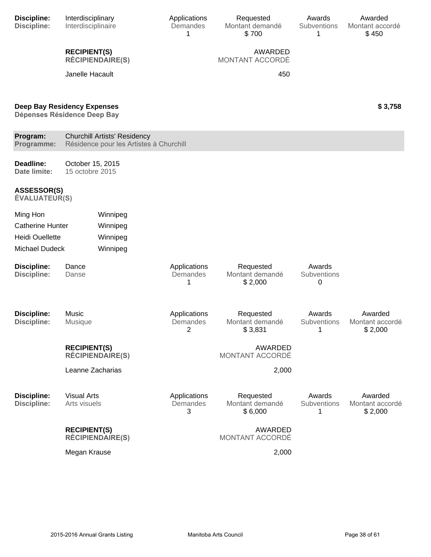| Discipline:<br><b>Discipline:</b>          | Interdisciplinary<br>Interdisciplinaire                                        | Applications<br>Demandes<br>1 | Requested<br>Montant demandé<br>\$700   | Awards<br>Subventions<br>1 | Awarded<br>Montant accordé<br>\$450   |
|--------------------------------------------|--------------------------------------------------------------------------------|-------------------------------|-----------------------------------------|----------------------------|---------------------------------------|
|                                            | <b>RECIPIENT(S)</b><br><b>RÉCIPIENDAIRE(S)</b>                                 |                               | AWARDED<br>MONTANT ACCORDÉ              |                            |                                       |
|                                            | Janelle Hacault                                                                |                               | 450                                     |                            |                                       |
|                                            | <b>Deep Bay Residency Expenses</b><br>Dépenses Résidence Deep Bay              |                               |                                         |                            | \$3,758                               |
| Program:<br>Programme:                     | <b>Churchill Artists' Residency</b><br>Résidence pour les Artistes à Churchill |                               |                                         |                            |                                       |
| Deadline:<br>Date limite:                  | October 15, 2015<br>15 octobre 2015                                            |                               |                                         |                            |                                       |
| <b>ASSESSOR(S)</b><br><b>ÉVALUATEUR(S)</b> |                                                                                |                               |                                         |                            |                                       |
| Ming Hon                                   | Winnipeg                                                                       |                               |                                         |                            |                                       |
| <b>Catherine Hunter</b>                    | Winnipeg                                                                       |                               |                                         |                            |                                       |
| <b>Heidi Ouellette</b>                     | Winnipeg                                                                       |                               |                                         |                            |                                       |
| <b>Michael Dudeck</b>                      | Winnipeg                                                                       |                               |                                         |                            |                                       |
|                                            |                                                                                |                               |                                         |                            |                                       |
| <b>Discipline:</b><br><b>Discipline:</b>   | Dance<br>Danse                                                                 | Applications<br>Demandes<br>1 | Requested<br>Montant demandé<br>\$2,000 | Awards<br>Subventions<br>0 |                                       |
| <b>Discipline:</b>                         | Music<br><b>Musique</b>                                                        | Applications                  | Requested<br>Montant demandé            | Awards<br>Subventions      | Awarded                               |
| <b>Discipline:</b>                         |                                                                                | Demandes<br>$\overline{2}$    | \$3,831                                 | 1                          | Montant accordé<br>\$2,000            |
|                                            | <b>RECIPIENT(S)</b><br><b>RÉCIPIENDAIRE(S)</b>                                 |                               | AWARDED<br>MONTANT ACCORDÉ              |                            |                                       |
|                                            | Leanne Zacharias                                                               |                               | 2,000                                   |                            |                                       |
| <b>Discipline:</b><br><b>Discipline:</b>   | <b>Visual Arts</b><br>Arts visuels                                             | Applications<br>Demandes<br>3 | Requested<br>Montant demandé<br>\$6,000 | Awards<br>Subventions<br>1 | Awarded<br>Montant accordé<br>\$2,000 |
|                                            | <b>RECIPIENT(S)</b><br><b>RÉCIPIENDAIRE(S)</b>                                 |                               | AWARDED<br>MONTANT ACCORDÉ              |                            |                                       |
|                                            | Megan Krause                                                                   |                               | 2,000                                   |                            |                                       |
|                                            |                                                                                |                               |                                         |                            |                                       |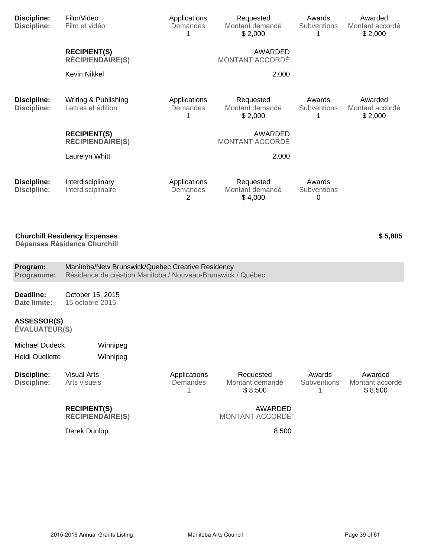| <b>Discipline:</b><br><b>Discipline:</b>        | Film/Video<br>Film et vidéo                                                                                     | Applications<br>Demandes<br>1 | Requested<br>Montant demandé<br>\$2,000 | Awards<br>Subventions<br>1 | Awarded<br>Montant accordé<br>\$2,000 |
|-------------------------------------------------|-----------------------------------------------------------------------------------------------------------------|-------------------------------|-----------------------------------------|----------------------------|---------------------------------------|
|                                                 | <b>RECIPIENT(S)</b><br><b>RÉCIPIENDAIRE(S)</b>                                                                  |                               | AWARDED<br>MONTANT ACCORDÉ              |                            |                                       |
|                                                 | <b>Kevin Nikkel</b>                                                                                             |                               | 2,000                                   |                            |                                       |
| <b>Discipline:</b><br><b>Discipline:</b>        | Writing & Publishing<br>Lettres et édition                                                                      | Applications<br>Demandes<br>1 | Requested<br>Montant demandé<br>\$2,000 | Awards<br>Subventions<br>1 | Awarded<br>Montant accordé<br>\$2,000 |
|                                                 | <b>RECIPIENT(S)</b><br><b>RÉCIPIENDAIRE(S)</b>                                                                  |                               | AWARDED<br>MONTANT ACCORDÉ              |                            |                                       |
|                                                 | Laurelyn Whitt                                                                                                  |                               | 2,000                                   |                            |                                       |
| <b>Discipline:</b><br><b>Discipline:</b>        | Interdisciplinary<br>Interdisciplinaire                                                                         | Applications<br>Demandes<br>2 | Requested<br>Montant demandé<br>\$4,000 | Awards<br>Subventions<br>0 |                                       |
|                                                 | <b>Churchill Residency Expenses</b><br><b>Dépenses Résidence Churchill</b>                                      |                               |                                         |                            | \$5,805                               |
| Program:<br>Programme:                          | Manitoba/New Brunswick/Quebec Creative Residency<br>Résidence de création Manitoba / Nouveau-Brunswick / Québec |                               |                                         |                            |                                       |
| Deadline:<br>Date limite:                       | October 15, 2015<br>15 octobre 2015                                                                             |                               |                                         |                            |                                       |
| <b>ASSESSOR(S)</b><br><b>ÉVALUATEUR(S)</b>      |                                                                                                                 |                               |                                         |                            |                                       |
| <b>Michael Dudeck</b><br><b>Heidi Ouellette</b> | Winnipeg<br>Winnipeg                                                                                            |                               |                                         |                            |                                       |
| <b>Discipline:</b><br><b>Discipline:</b>        | <b>Visual Arts</b><br>Arts visuels                                                                              | Applications<br>Demandes<br>1 | Requested<br>Montant demandé            | Awards<br>Subventions<br>1 | Awarded<br>Montant accordé<br>\$8,500 |
|                                                 |                                                                                                                 |                               | \$8,500                                 |                            |                                       |
|                                                 | <b>RECIPIENT(S)</b><br><b>RÉCIPIENDAIRE(S)</b>                                                                  |                               | AWARDED<br>MONTANT ACCORDÉ              |                            |                                       |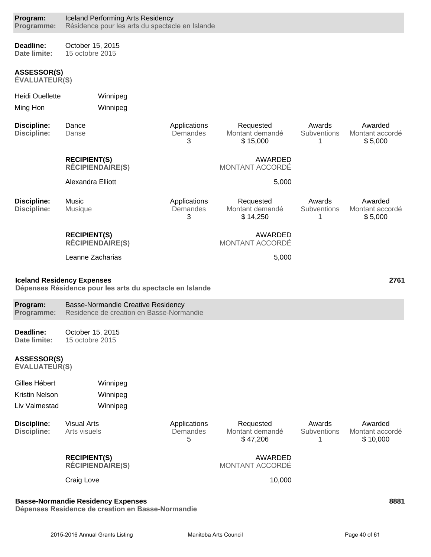| Program:<br>Programme:                     | <b>Iceland Performing Arts Residency</b><br>Résidence pour les arts du spectacle en Islande   |                               |                                          |                                   |                                        |
|--------------------------------------------|-----------------------------------------------------------------------------------------------|-------------------------------|------------------------------------------|-----------------------------------|----------------------------------------|
| Deadline:<br>Date limite:                  | October 15, 2015<br>15 octobre 2015                                                           |                               |                                          |                                   |                                        |
| <b>ASSESSOR(S)</b><br><b>ÉVALUATEUR(S)</b> |                                                                                               |                               |                                          |                                   |                                        |
| <b>Heidi Ouellette</b>                     | Winnipeg                                                                                      |                               |                                          |                                   |                                        |
| Ming Hon                                   | Winnipeg                                                                                      |                               |                                          |                                   |                                        |
| <b>Discipline:</b><br><b>Discipline:</b>   | Dance<br>Danse                                                                                | Applications<br>Demandes<br>3 | Requested<br>Montant demandé<br>\$15,000 | Awards<br><b>Subventions</b><br>1 | Awarded<br>Montant accordé<br>\$5,000  |
|                                            | <b>RECIPIENT(S)</b><br><b>RÉCIPIENDAIRE(S)</b>                                                |                               | AWARDED<br><b>MONTANT ACCORDÉ</b>        |                                   |                                        |
|                                            | Alexandra Elliott                                                                             |                               | 5,000                                    |                                   |                                        |
| <b>Discipline:</b><br><b>Discipline:</b>   | Music<br>Musique                                                                              | Applications<br>Demandes<br>3 | Requested<br>Montant demandé<br>\$14,250 | Awards<br>Subventions<br>1        | Awarded<br>Montant accordé<br>\$5,000  |
|                                            | <b>RECIPIENT(S)</b><br><b>RÉCIPIENDAIRE(S)</b>                                                |                               | AWARDED<br>MONTANT ACCORDÉ               |                                   |                                        |
|                                            | Leanne Zacharias                                                                              |                               | 5,000                                    |                                   |                                        |
|                                            | <b>Iceland Residency Expenses</b><br>Dépenses Résidence pour les arts du spectacle en Islande |                               |                                          |                                   | 2761                                   |
| Program:<br>Programme:                     | <b>Basse-Normandie Creative Residency</b><br>Residence de creation en Basse-Normandie         |                               |                                          |                                   |                                        |
| Deadline:<br>Date limite:                  | October 15, 2015<br>15 octobre 2015                                                           |                               |                                          |                                   |                                        |
| <b>ASSESSOR(S)</b><br><b>ÉVALUATEUR(S)</b> |                                                                                               |                               |                                          |                                   |                                        |
| Gilles Hébert                              | Winnipeg                                                                                      |                               |                                          |                                   |                                        |
| <b>Kristin Nelson</b>                      | Winnipeg                                                                                      |                               |                                          |                                   |                                        |
| Liv Valmestad                              |                                                                                               |                               |                                          |                                   |                                        |
|                                            | Winnipeg                                                                                      |                               |                                          |                                   |                                        |
| <b>Discipline:</b><br><b>Discipline:</b>   | <b>Visual Arts</b><br>Arts visuels                                                            | Applications<br>Demandes<br>5 | Requested<br>Montant demandé<br>\$47,206 | Awards<br>Subventions<br>1        | Awarded<br>Montant accordé<br>\$10,000 |
|                                            | <b>RECIPIENT(S)</b><br><b>RÉCIPIENDAIRE(S)</b>                                                |                               | AWARDED<br>MONTANT ACCORDÉ               |                                   |                                        |
|                                            | Craig Love                                                                                    |                               | 10,000                                   |                                   |                                        |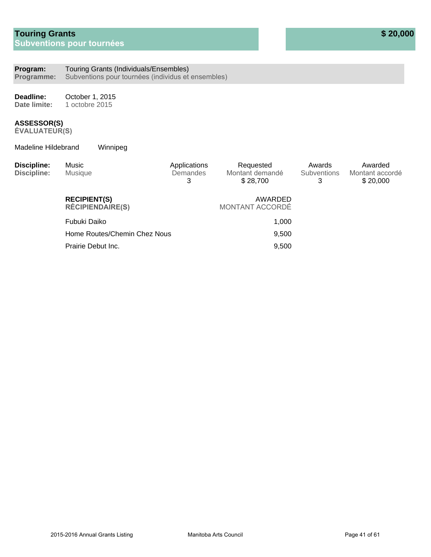#### **Program:** Touring Grants (Individuals/Ensembles)

**Programme:** Subventions pour tournées (individus et ensembles)

**Deadline: Date limite:** October 1, 2015 1 octobre 2015

#### **ASSESSOR(S)**

 $ÉVALUATEUR(S)$ 

Madeline Hildebrand Winnipeg

| <b>Discipline:</b><br>Discipline: | Music<br>Musique                               | Applications<br><b>Demandes</b><br>3 | Requested<br>Montant demandé<br>\$28,700 | Awards<br><b>Subventions</b><br>3 | Awarded<br>Montant accordé<br>\$20,000 |
|-----------------------------------|------------------------------------------------|--------------------------------------|------------------------------------------|-----------------------------------|----------------------------------------|
|                                   | <b>RECIPIENT(S)</b><br><b>RÉCIPIENDAIRE(S)</b> |                                      | AWARDED<br>MONTANT ACCORDÉ               |                                   |                                        |
|                                   | Fubuki Daiko                                   |                                      | 1,000                                    |                                   |                                        |
|                                   | Home Routes/Chemin Chez Nous                   |                                      | 9,500                                    |                                   |                                        |
|                                   | Prairie Debut Inc.                             |                                      | 9,500                                    |                                   |                                        |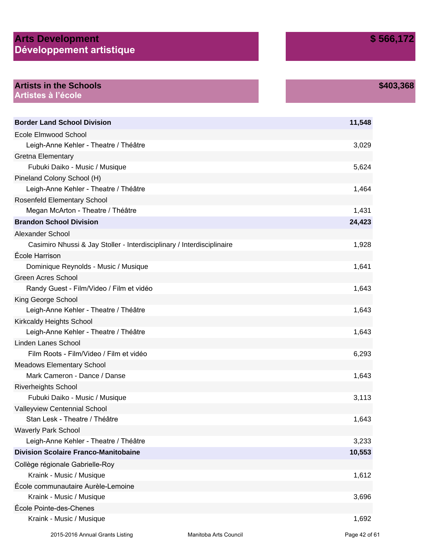### **Arts Development** Développement artistique

**\$403,368**

| <b>Artists in the Schools</b> |
|-------------------------------|
| Artistes à l'école            |

| <b>Border Land School Division</b>                                     | 11,548 |
|------------------------------------------------------------------------|--------|
| <b>Ecole Elmwood School</b>                                            |        |
| Leigh-Anne Kehler - Theatre / Théâtre                                  | 3,029  |
| Gretna Elementary                                                      |        |
| Fubuki Daiko - Music / Musique                                         | 5,624  |
| Pineland Colony School (H)                                             |        |
| Leigh-Anne Kehler - Theatre / Théâtre                                  | 1,464  |
| <b>Rosenfeld Elementary School</b>                                     |        |
| Megan McArton - Theatre / Théâtre                                      | 1,431  |
| <b>Brandon School Division</b>                                         | 24,423 |
| Alexander School                                                       |        |
| Casimiro Nhussi & Jay Stoller - Interdisciplinary / Interdisciplinaire | 1,928  |
| École Harrison                                                         |        |
| Dominique Reynolds - Music / Musique                                   | 1,641  |
| <b>Green Acres School</b>                                              |        |
| Randy Guest - Film/Video / Film et vidéo                               | 1,643  |
| King George School                                                     |        |
| Leigh-Anne Kehler - Theatre / Théâtre                                  | 1,643  |
| <b>Kirkcaldy Heights School</b>                                        |        |
| Leigh-Anne Kehler - Theatre / Théâtre                                  | 1,643  |
| <b>Linden Lanes School</b>                                             |        |
| Film Roots - Film/Video / Film et vidéo                                | 6,293  |
| <b>Meadows Elementary School</b>                                       |        |
| Mark Cameron - Dance / Danse                                           | 1,643  |
| <b>Riverheights School</b>                                             |        |
| Fubuki Daiko - Music / Musique                                         | 3,113  |
| Valleyview Centennial School                                           |        |
| Stan Lesk - Theatre / Théâtre                                          | 1,643  |
| <b>Waverly Park School</b>                                             |        |
| Leigh-Anne Kehler - Theatre / Théâtre                                  | 3,233  |
| <b>Division Scolaire Franco-Manitobaine</b>                            | 10,553 |
| Collège régionale Gabrielle-Roy                                        |        |
| Kraink - Music / Musique                                               | 1,612  |
| École communautaire Aurèle-Lemoine                                     |        |
| Kraink - Music / Musique                                               | 3,696  |
| École Pointe-des-Chenes                                                |        |
| Kraink - Music / Musique                                               | 1,692  |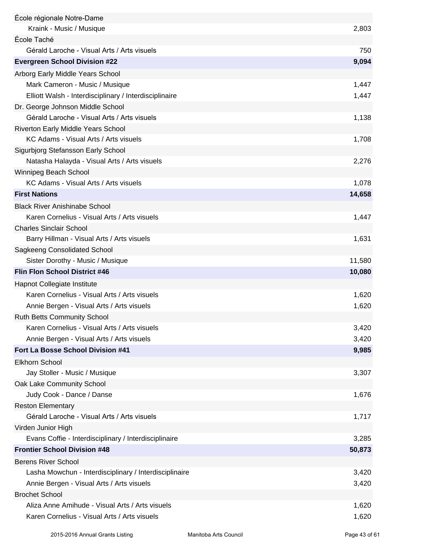| École régionale Notre-Dame                                                                      |                |
|-------------------------------------------------------------------------------------------------|----------------|
| Kraink - Music / Musique                                                                        | 2,803          |
| École Taché                                                                                     |                |
| Gérald Laroche - Visual Arts / Arts visuels                                                     | 750            |
| <b>Evergreen School Division #22</b>                                                            | 9,094          |
| Arborg Early Middle Years School                                                                |                |
| Mark Cameron - Music / Musique                                                                  | 1,447          |
| Elliott Walsh - Interdisciplinary / Interdisciplinaire                                          | 1,447          |
| Dr. George Johnson Middle School                                                                |                |
| Gérald Laroche - Visual Arts / Arts visuels                                                     | 1,138          |
| Riverton Early Middle Years School                                                              |                |
| KC Adams - Visual Arts / Arts visuels                                                           | 1,708          |
| Sigurbjorg Stefansson Early School                                                              |                |
| Natasha Halayda - Visual Arts / Arts visuels                                                    | 2,276          |
| Winnipeg Beach School                                                                           |                |
| KC Adams - Visual Arts / Arts visuels                                                           | 1,078          |
| <b>First Nations</b>                                                                            | 14,658         |
| <b>Black River Anishinabe School</b>                                                            |                |
| Karen Cornelius - Visual Arts / Arts visuels                                                    | 1,447          |
| <b>Charles Sinclair School</b>                                                                  |                |
| Barry Hillman - Visual Arts / Arts visuels                                                      | 1,631          |
| Sagkeeng Consolidated School                                                                    |                |
| Sister Dorothy - Music / Musique                                                                | 11,580         |
| <b>Flin Flon School District #46</b>                                                            | 10,080         |
| Hapnot Collegiate Institute                                                                     |                |
| Karen Cornelius - Visual Arts / Arts visuels                                                    |                |
|                                                                                                 |                |
|                                                                                                 | 1,620          |
| Annie Bergen - Visual Arts / Arts visuels                                                       | 1,620          |
| <b>Ruth Betts Community School</b>                                                              |                |
| Karen Cornelius - Visual Arts / Arts visuels                                                    | 3,420          |
| Annie Bergen - Visual Arts / Arts visuels                                                       | 3,420          |
| Fort La Bosse School Division #41                                                               | 9,985          |
| <b>Elkhorn School</b>                                                                           |                |
| Jay Stoller - Music / Musique                                                                   | 3,307          |
| Oak Lake Community School                                                                       |                |
| Judy Cook - Dance / Danse                                                                       | 1,676          |
| <b>Reston Elementary</b>                                                                        |                |
| Gérald Laroche - Visual Arts / Arts visuels                                                     | 1,717          |
| Virden Junior High                                                                              |                |
| Evans Coffie - Interdisciplinary / Interdisciplinaire                                           | 3,285          |
| <b>Frontier School Division #48</b>                                                             | 50,873         |
| <b>Berens River School</b>                                                                      |                |
| Lasha Mowchun - Interdisciplinary / Interdisciplinaire                                          | 3,420          |
| Annie Bergen - Visual Arts / Arts visuels                                                       | 3,420          |
| <b>Brochet School</b>                                                                           |                |
| Aliza Anne Amihude - Visual Arts / Arts visuels<br>Karen Cornelius - Visual Arts / Arts visuels | 1,620<br>1,620 |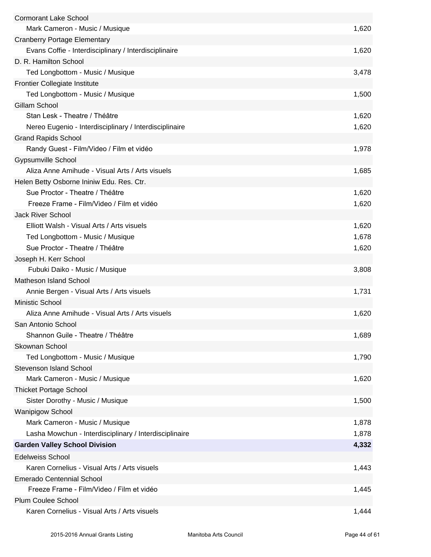| <b>Cormorant Lake School</b>                           |       |
|--------------------------------------------------------|-------|
| Mark Cameron - Music / Musique                         | 1,620 |
| <b>Cranberry Portage Elementary</b>                    |       |
| Evans Coffie - Interdisciplinary / Interdisciplinaire  | 1,620 |
| D. R. Hamilton School                                  |       |
| Ted Longbottom - Music / Musique                       | 3,478 |
| <b>Frontier Collegiate Institute</b>                   |       |
| Ted Longbottom - Music / Musique                       | 1,500 |
| <b>Gillam School</b>                                   |       |
| Stan Lesk - Theatre / Théâtre                          | 1,620 |
| Nereo Eugenio - Interdisciplinary / Interdisciplinaire | 1,620 |
| <b>Grand Rapids School</b>                             |       |
| Randy Guest - Film/Video / Film et vidéo               | 1,978 |
| <b>Gypsumville School</b>                              |       |
| Aliza Anne Amihude - Visual Arts / Arts visuels        | 1,685 |
| Helen Betty Osborne Ininiw Edu. Res. Ctr.              |       |
| Sue Proctor - Theatre / Théâtre                        | 1,620 |
| Freeze Frame - Film/Video / Film et vidéo              | 1,620 |
| <b>Jack River School</b>                               |       |
| Elliott Walsh - Visual Arts / Arts visuels             | 1,620 |
| Ted Longbottom - Music / Musique                       | 1,678 |
| Sue Proctor - Theatre / Théâtre                        | 1,620 |
| Joseph H. Kerr School                                  |       |
| Fubuki Daiko - Music / Musique                         | 3,808 |
| Matheson Island School                                 |       |
| Annie Bergen - Visual Arts / Arts visuels              | 1,731 |
| Ministic School                                        |       |
| Aliza Anne Amihude - Visual Arts / Arts visuels        | 1,620 |
| San Antonio School                                     |       |
| Shannon Guile - Theatre / Théâtre                      | 1,689 |
| Skownan School                                         |       |
| Ted Longbottom - Music / Musique                       | 1,790 |
| <b>Stevenson Island School</b>                         |       |
| Mark Cameron - Music / Musique                         | 1,620 |
| <b>Thicket Portage School</b>                          |       |
| Sister Dorothy - Music / Musique                       | 1,500 |
| <b>Wanipigow School</b>                                |       |
| Mark Cameron - Music / Musique                         | 1,878 |
| Lasha Mowchun - Interdisciplinary / Interdisciplinaire | 1,878 |
| <b>Garden Valley School Division</b>                   | 4,332 |
|                                                        |       |
| <b>Edelweiss School</b>                                |       |
| Karen Cornelius - Visual Arts / Arts visuels           | 1,443 |
| <b>Emerado Centennial School</b>                       |       |
| Freeze Frame - Film/Video / Film et vidéo              | 1,445 |
| <b>Plum Coulee School</b>                              |       |
| Karen Cornelius - Visual Arts / Arts visuels           | 1,444 |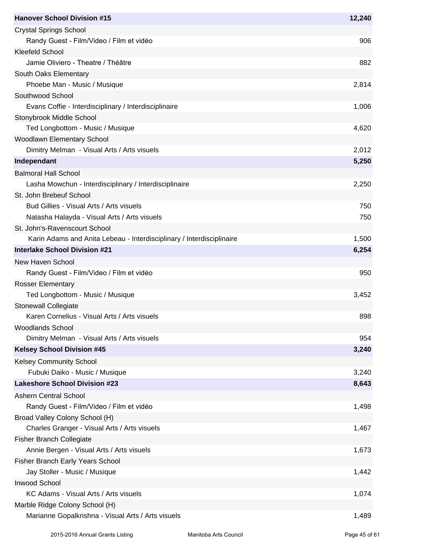| <b>Hanover School Division #15</b>                                    | 12,240 |
|-----------------------------------------------------------------------|--------|
| <b>Crystal Springs School</b>                                         |        |
| Randy Guest - Film/Video / Film et vidéo                              | 906    |
| <b>Kleefeld School</b>                                                |        |
| Jamie Oliviero - Theatre / Théâtre                                    | 882    |
| South Oaks Elementary                                                 |        |
| Phoebe Man - Music / Musique                                          | 2,814  |
| Southwood School                                                      |        |
| Evans Coffie - Interdisciplinary / Interdisciplinaire                 | 1,006  |
| Stonybrook Middle School                                              |        |
| Ted Longbottom - Music / Musique                                      | 4,620  |
| Woodlawn Elementary School                                            |        |
| Dimitry Melman - Visual Arts / Arts visuels                           | 2,012  |
| Independant                                                           | 5,250  |
| <b>Balmoral Hall School</b>                                           |        |
| Lasha Mowchun - Interdisciplinary / Interdisciplinaire                | 2,250  |
| St. John Brebeuf School                                               |        |
| Bud Gillies - Visual Arts / Arts visuels                              | 750    |
| Natasha Halayda - Visual Arts / Arts visuels                          | 750    |
| St. John's-Ravenscourt School                                         |        |
| Karin Adams and Anita Lebeau - Interdisciplinary / Interdisciplinaire | 1,500  |
| <b>Interlake School Division #21</b>                                  | 6,254  |
| New Haven School                                                      |        |
| Randy Guest - Film/Video / Film et vidéo                              | 950    |
| <b>Rosser Elementary</b>                                              |        |
| Ted Longbottom - Music / Musique                                      | 3,452  |
| <b>Stonewall Collegiate</b>                                           |        |
| Karen Cornelius - Visual Arts / Arts visuels                          | 898    |
| <b>Woodlands School</b>                                               |        |
| Dimitry Melman - Visual Arts / Arts visuels                           | 954    |
| <b>Kelsey School Division #45</b>                                     | 3,240  |
| <b>Kelsey Community School</b>                                        |        |
| Fubuki Daiko - Music / Musique                                        | 3,240  |
| <b>Lakeshore School Division #23</b>                                  | 8,643  |
| <b>Ashern Central School</b>                                          |        |
| Randy Guest - Film/Video / Film et vidéo                              | 1,498  |
| Broad Valley Colony School (H)                                        |        |
| Charles Granger - Visual Arts / Arts visuels                          | 1,467  |
| <b>Fisher Branch Collegiate</b>                                       |        |
| Annie Bergen - Visual Arts / Arts visuels                             | 1,673  |
| <b>Fisher Branch Early Years School</b>                               |        |
| Jay Stoller - Music / Musique                                         | 1,442  |
| <b>Inwood School</b>                                                  |        |
| KC Adams - Visual Arts / Arts visuels                                 | 1,074  |
| Marble Ridge Colony School (H)                                        |        |
| Marianne Gopalkrishna - Visual Arts / Arts visuels                    | 1,489  |
|                                                                       |        |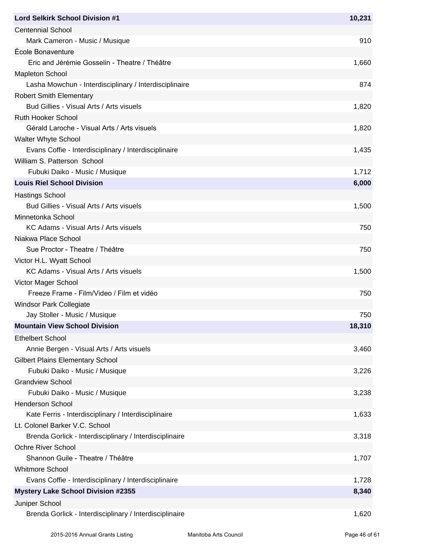| <b>Lord Selkirk School Division #1</b>                  | 10,231 |
|---------------------------------------------------------|--------|
| <b>Centennial School</b>                                |        |
| Mark Cameron - Music / Musique                          | 910    |
| École Bonaventure                                       |        |
| Eric and Jérémie Gosselin - Theatre / Théâtre           | 1,660  |
| <b>Mapleton School</b>                                  |        |
| Lasha Mowchun - Interdisciplinary / Interdisciplinaire  | 874    |
| <b>Robert Smith Elementary</b>                          |        |
| Bud Gillies - Visual Arts / Arts visuels                | 1,820  |
| <b>Ruth Hooker School</b>                               |        |
| Gérald Laroche - Visual Arts / Arts visuels             | 1,820  |
| <b>Walter Whyte School</b>                              |        |
| Evans Coffie - Interdisciplinary / Interdisciplinaire   | 1,435  |
| William S. Patterson School                             |        |
| Fubuki Daiko - Music / Musique                          | 1,712  |
| <b>Louis Riel School Division</b>                       | 6,000  |
| <b>Hastings School</b>                                  |        |
| Bud Gillies - Visual Arts / Arts visuels                | 1,500  |
| Minnetonka School                                       |        |
| KC Adams - Visual Arts / Arts visuels                   | 750    |
| Niakwa Place School                                     |        |
| Sue Proctor - Theatre / Théâtre                         | 750    |
| Victor H.L. Wyatt School                                |        |
| KC Adams - Visual Arts / Arts visuels                   | 1,500  |
| Victor Mager School                                     |        |
| Freeze Frame - Film/Video / Film et vidéo               | 750    |
| <b>Windsor Park Collegiate</b>                          |        |
| Jay Stoller - Music / Musique                           | 750    |
| <b>Mountain View School Division</b>                    | 18,310 |
| <b>Ethelbert School</b>                                 |        |
| Annie Bergen - Visual Arts / Arts visuels               | 3,460  |
| <b>Gilbert Plains Elementary School</b>                 |        |
| Fubuki Daiko - Music / Musique                          | 3,226  |
| <b>Grandview School</b>                                 |        |
| Fubuki Daiko - Music / Musique                          | 3,238  |
| <b>Henderson School</b>                                 |        |
| Kate Ferris - Interdisciplinary / Interdisciplinaire    | 1,633  |
| Lt. Colonel Barker V.C. School                          |        |
| Brenda Gorlick - Interdisciplinary / Interdisciplinaire | 3,318  |
| <b>Ochre River School</b>                               |        |
| Shannon Guile - Theatre / Théâtre                       | 1,707  |
| <b>Whitmore School</b>                                  |        |
| Evans Coffie - Interdisciplinary / Interdisciplinaire   | 1,728  |
| <b>Mystery Lake School Division #2355</b>               | 8,340  |
| Juniper School                                          |        |
| Brenda Gorlick - Interdisciplinary / Interdisciplinaire | 1,620  |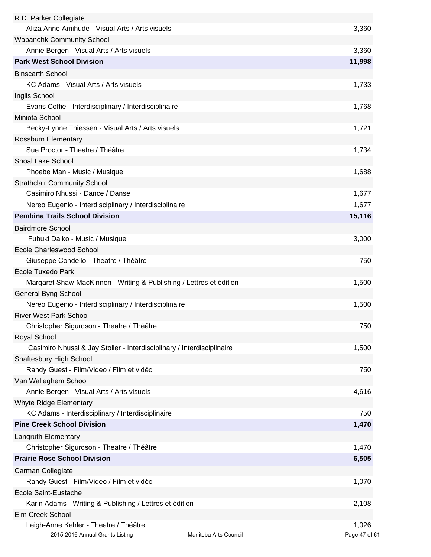| R.D. Parker Collegiate                                                 |                       |               |
|------------------------------------------------------------------------|-----------------------|---------------|
| Aliza Anne Amihude - Visual Arts / Arts visuels                        |                       | 3,360         |
| <b>Wapanohk Community School</b>                                       |                       |               |
| Annie Bergen - Visual Arts / Arts visuels                              |                       | 3,360         |
| <b>Park West School Division</b>                                       |                       | 11,998        |
| <b>Binscarth School</b>                                                |                       |               |
| KC Adams - Visual Arts / Arts visuels                                  |                       | 1,733         |
| Inglis School                                                          |                       |               |
| Evans Coffie - Interdisciplinary / Interdisciplinaire                  |                       | 1,768         |
| Miniota School                                                         |                       |               |
| Becky-Lynne Thiessen - Visual Arts / Arts visuels                      |                       | 1,721         |
| Rossburn Elementary                                                    |                       |               |
| Sue Proctor - Theatre / Théâtre                                        |                       | 1,734         |
| <b>Shoal Lake School</b>                                               |                       |               |
|                                                                        |                       |               |
| Phoebe Man - Music / Musique                                           |                       | 1,688         |
| <b>Strathclair Community School</b>                                    |                       |               |
| Casimiro Nhussi - Dance / Danse                                        |                       | 1,677         |
| Nereo Eugenio - Interdisciplinary / Interdisciplinaire                 |                       | 1,677         |
| <b>Pembina Trails School Division</b>                                  |                       | 15,116        |
| <b>Bairdmore School</b>                                                |                       |               |
| Fubuki Daiko - Music / Musique                                         |                       | 3,000         |
| École Charleswood School                                               |                       |               |
| Giuseppe Condello - Theatre / Théâtre                                  |                       | 750           |
| École Tuxedo Park                                                      |                       |               |
| Margaret Shaw-MacKinnon - Writing & Publishing / Lettres et édition    |                       | 1,500         |
| <b>General Byng School</b>                                             |                       |               |
| Nereo Eugenio - Interdisciplinary / Interdisciplinaire                 |                       | 1,500         |
| <b>River West Park School</b>                                          |                       |               |
| Christopher Sigurdson - Theatre / Théâtre                              |                       | 750           |
| Royal School                                                           |                       |               |
| Casimiro Nhussi & Jay Stoller - Interdisciplinary / Interdisciplinaire |                       | 1,500         |
| Shaftesbury High School                                                |                       |               |
| Randy Guest - Film/Video / Film et vidéo                               |                       | 750           |
| Van Walleghem School                                                   |                       |               |
| Annie Bergen - Visual Arts / Arts visuels                              |                       | 4,616         |
| Whyte Ridge Elementary                                                 |                       |               |
| KC Adams - Interdisciplinary / Interdisciplinaire                      |                       | 750           |
| <b>Pine Creek School Division</b>                                      |                       | 1,470         |
|                                                                        |                       |               |
| Langruth Elementary                                                    |                       |               |
| Christopher Sigurdson - Theatre / Théâtre                              |                       | 1,470         |
| <b>Prairie Rose School Division</b>                                    |                       | 6,505         |
| Carman Collegiate                                                      |                       |               |
| Randy Guest - Film/Video / Film et vidéo                               |                       | 1,070         |
| École Saint-Eustache                                                   |                       |               |
| Karin Adams - Writing & Publishing / Lettres et édition                |                       | 2,108         |
| Elm Creek School                                                       |                       |               |
| Leigh-Anne Kehler - Theatre / Théâtre                                  |                       | 1,026         |
| 2015-2016 Annual Grants Listing                                        | Manitoba Arts Council | Page 47 of 61 |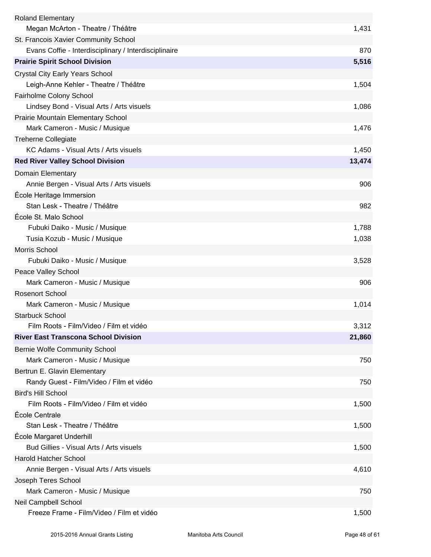| <b>Roland Elementary</b>                              |        |
|-------------------------------------------------------|--------|
| Megan McArton - Theatre / Théâtre                     | 1,431  |
| St. Francois Xavier Community School                  |        |
| Evans Coffie - Interdisciplinary / Interdisciplinaire | 870    |
| <b>Prairie Spirit School Division</b>                 | 5,516  |
| <b>Crystal City Early Years School</b>                |        |
| Leigh-Anne Kehler - Theatre / Théâtre                 | 1,504  |
| Fairholme Colony School                               |        |
| Lindsey Bond - Visual Arts / Arts visuels             | 1,086  |
| <b>Prairie Mountain Elementary School</b>             |        |
| Mark Cameron - Music / Musique                        | 1,476  |
| <b>Treherne Collegiate</b>                            |        |
| KC Adams - Visual Arts / Arts visuels                 | 1,450  |
| <b>Red River Valley School Division</b>               | 13,474 |
| Domain Elementary                                     |        |
| Annie Bergen - Visual Arts / Arts visuels             | 906    |
| École Heritage Immersion                              |        |
| Stan Lesk - Theatre / Théâtre                         | 982    |
| École St. Malo School                                 |        |
| Fubuki Daiko - Music / Musique                        | 1,788  |
| Tusia Kozub - Music / Musique                         | 1,038  |
| Morris School                                         |        |
| Fubuki Daiko - Music / Musique                        | 3,528  |
| Peace Valley School                                   |        |
| Mark Cameron - Music / Musique                        | 906    |
| <b>Rosenort School</b>                                |        |
| Mark Cameron - Music / Musique                        | 1,014  |
| <b>Starbuck School</b>                                |        |
| Film Roots - Film/Video / Film et vidéo               | 3,312  |
| <b>River East Transcona School Division</b>           | 21,860 |
| <b>Bernie Wolfe Community School</b>                  |        |
| Mark Cameron - Music / Musique                        | 750    |
| Bertrun E. Glavin Elementary                          |        |
| Randy Guest - Film/Video / Film et vidéo              | 750    |
| <b>Bird's Hill School</b>                             |        |
| Film Roots - Film/Video / Film et vidéo               | 1,500  |
| École Centrale                                        |        |
| Stan Lesk - Theatre / Théâtre                         | 1,500  |
| École Margaret Underhill                              |        |
| Bud Gillies - Visual Arts / Arts visuels              | 1,500  |
| <b>Harold Hatcher School</b>                          |        |
| Annie Bergen - Visual Arts / Arts visuels             | 4,610  |
| Joseph Teres School                                   |        |
| Mark Cameron - Music / Musique                        | 750    |
| Neil Campbell School                                  |        |
| Freeze Frame - Film/Video / Film et vidéo             | 1,500  |
|                                                       |        |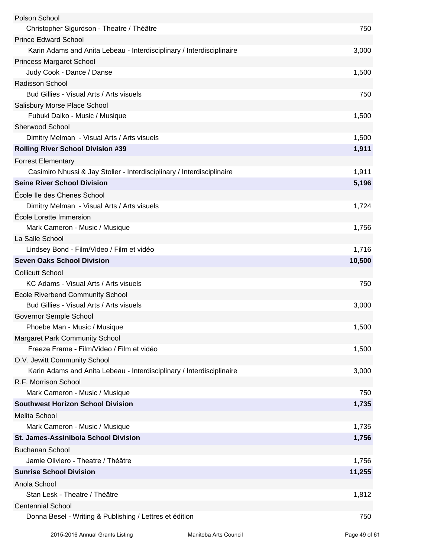| Polson School                                                          |        |
|------------------------------------------------------------------------|--------|
| Christopher Sigurdson - Theatre / Théâtre                              | 750    |
| <b>Prince Edward School</b>                                            |        |
| Karin Adams and Anita Lebeau - Interdisciplinary / Interdisciplinaire  | 3,000  |
| <b>Princess Margaret School</b>                                        |        |
| Judy Cook - Dance / Danse                                              | 1,500  |
| Radisson School                                                        |        |
| Bud Gillies - Visual Arts / Arts visuels                               | 750    |
| Salisbury Morse Place School                                           |        |
| Fubuki Daiko - Music / Musique                                         | 1,500  |
| Sherwood School                                                        |        |
| Dimitry Melman - Visual Arts / Arts visuels                            | 1,500  |
| <b>Rolling River School Division #39</b>                               | 1,911  |
| <b>Forrest Elementary</b>                                              |        |
| Casimiro Nhussi & Jay Stoller - Interdisciplinary / Interdisciplinaire | 1,911  |
| <b>Seine River School Division</b>                                     | 5,196  |
| École Ile des Chenes School                                            |        |
| Dimitry Melman - Visual Arts / Arts visuels                            | 1,724  |
| École Lorette Immersion                                                |        |
| Mark Cameron - Music / Musique                                         | 1,756  |
| La Salle School                                                        |        |
| Lindsey Bond - Film/Video / Film et vidéo                              | 1,716  |
| <b>Seven Oaks School Division</b>                                      | 10,500 |
| <b>Collicutt School</b>                                                |        |
| KC Adams - Visual Arts / Arts visuels                                  | 750    |
| École Riverbend Community School                                       |        |
| Bud Gillies - Visual Arts / Arts visuels                               | 3,000  |
| Governor Semple School                                                 |        |
| Phoebe Man - Music / Musique                                           | 1,500  |
| <b>Margaret Park Community School</b>                                  |        |
| Freeze Frame - Film/Video / Film et vidéo                              | 1,500  |
| O.V. Jewitt Community School                                           |        |
| Karin Adams and Anita Lebeau - Interdisciplinary / Interdisciplinaire  | 3,000  |
| R.F. Morrison School                                                   |        |
| Mark Cameron - Music / Musique                                         | 750    |
| <b>Southwest Horizon School Division</b>                               | 1,735  |
| <b>Melita School</b>                                                   |        |
| Mark Cameron - Music / Musique                                         | 1,735  |
| <b>St. James-Assiniboia School Division</b>                            | 1,756  |
| <b>Buchanan School</b>                                                 |        |
| Jamie Oliviero - Theatre / Théâtre                                     | 1,756  |
| <b>Sunrise School Division</b>                                         | 11,255 |
| Anola School                                                           |        |
| Stan Lesk - Theatre / Théâtre                                          | 1,812  |
| <b>Centennial School</b>                                               |        |
| Donna Besel - Writing & Publishing / Lettres et édition                | 750    |
|                                                                        |        |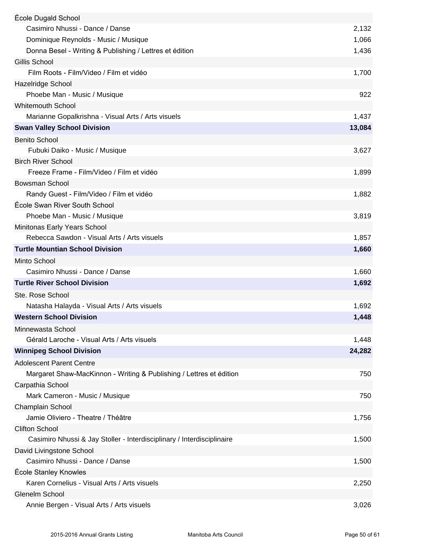| École Dugald School                                                    |        |
|------------------------------------------------------------------------|--------|
| Casimiro Nhussi - Dance / Danse                                        | 2,132  |
| Dominique Reynolds - Music / Musique                                   | 1,066  |
| Donna Besel - Writing & Publishing / Lettres et édition                | 1,436  |
| Gillis School                                                          |        |
| Film Roots - Film/Video / Film et vidéo                                | 1,700  |
| Hazelridge School                                                      |        |
| Phoebe Man - Music / Musique                                           | 922    |
| <b>Whitemouth School</b>                                               |        |
| Marianne Gopalkrishna - Visual Arts / Arts visuels                     | 1,437  |
| <b>Swan Valley School Division</b>                                     | 13,084 |
| <b>Benito School</b>                                                   |        |
| Fubuki Daiko - Music / Musique                                         | 3,627  |
| <b>Birch River School</b>                                              |        |
| Freeze Frame - Film/Video / Film et vidéo                              | 1,899  |
| <b>Bowsman School</b>                                                  |        |
| Randy Guest - Film/Video / Film et vidéo                               | 1,882  |
| École Swan River South School                                          |        |
| Phoebe Man - Music / Musique                                           | 3,819  |
| Minitonas Early Years School                                           |        |
| Rebecca Sawdon - Visual Arts / Arts visuels                            | 1,857  |
| <b>Turtle Mountian School Division</b>                                 | 1,660  |
| Minto School                                                           |        |
| Casimiro Nhussi - Dance / Danse                                        | 1,660  |
| <b>Turtle River School Division</b>                                    | 1,692  |
| Ste. Rose School                                                       |        |
| Natasha Halayda - Visual Arts / Arts visuels                           | 1,692  |
| <b>Western School Division</b>                                         | 1,448  |
| Minnewasta School                                                      |        |
| Gérald Laroche - Visual Arts / Arts visuels                            | 1,448  |
| <b>Winnipeg School Division</b>                                        | 24,282 |
| <b>Adolescent Parent Centre</b>                                        |        |
| Margaret Shaw-MacKinnon - Writing & Publishing / Lettres et édition    | 750    |
| Carpathia School                                                       |        |
| Mark Cameron - Music / Musique                                         | 750    |
| Champlain School                                                       |        |
| Jamie Oliviero - Theatre / Théâtre                                     | 1,756  |
| <b>Clifton School</b>                                                  |        |
| Casimiro Nhussi & Jay Stoller - Interdisciplinary / Interdisciplinaire | 1,500  |
| David Livingstone School                                               |        |
| Casimiro Nhussi - Dance / Danse                                        | 1,500  |
| École Stanley Knowles                                                  |        |
| Karen Cornelius - Visual Arts / Arts visuels                           | 2,250  |
| Glenelm School                                                         |        |
| Annie Bergen - Visual Arts / Arts visuels                              | 3,026  |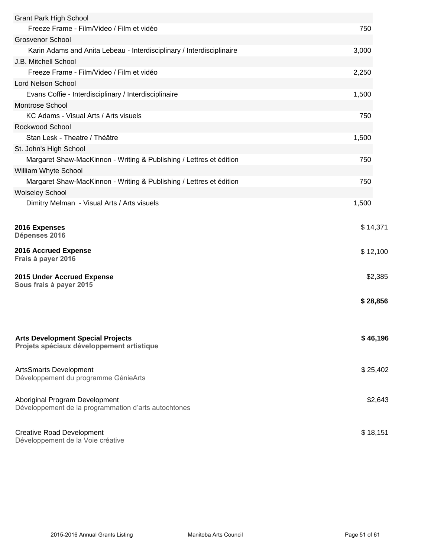| <b>Grant Park High School</b>                                                          |          |
|----------------------------------------------------------------------------------------|----------|
| Freeze Frame - Film/Video / Film et vidéo                                              | 750      |
| <b>Grosvenor School</b>                                                                |          |
| Karin Adams and Anita Lebeau - Interdisciplinary / Interdisciplinaire                  | 3,000    |
| J.B. Mitchell School                                                                   |          |
| Freeze Frame - Film/Video / Film et vidéo                                              | 2,250    |
| <b>Lord Nelson School</b>                                                              |          |
| Evans Coffie - Interdisciplinary / Interdisciplinaire                                  | 1,500    |
| <b>Montrose School</b>                                                                 |          |
| KC Adams - Visual Arts / Arts visuels                                                  | 750      |
| Rockwood School                                                                        |          |
| Stan Lesk - Theatre / Théâtre                                                          | 1,500    |
| St. John's High School                                                                 |          |
| Margaret Shaw-MacKinnon - Writing & Publishing / Lettres et édition                    | 750      |
| William Whyte School                                                                   |          |
| Margaret Shaw-MacKinnon - Writing & Publishing / Lettres et édition                    | 750      |
| <b>Wolseley School</b>                                                                 |          |
| Dimitry Melman - Visual Arts / Arts visuels                                            | 1,500    |
|                                                                                        |          |
| 2016 Expenses<br>Dépenses 2016                                                         | \$14,371 |
| 2016 Accrued Expense<br>Frais à payer 2016                                             | \$12,100 |
| <b>2015 Under Accrued Expense</b>                                                      | \$2,385  |
| Sous frais à payer 2015                                                                |          |
|                                                                                        | \$28,856 |
|                                                                                        |          |
|                                                                                        |          |
| <b>Arts Development Special Projects</b><br>Projets spéciaux développement artistique  | \$46,196 |
| ArtsSmarts Development<br>Développement du programme GénieArts                         | \$25,402 |
| Aboriginal Program Development<br>Développement de la programmation d'arts autochtones | \$2,643  |
| <b>Creative Road Development</b><br>Développement de la Voie créative                  | \$18,151 |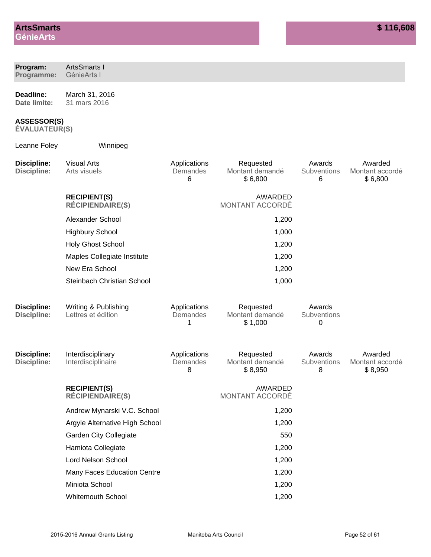| Program:<br>Programme:                     | <b>ArtsSmarts I</b><br>GénieArts I             |                               |                                         |                            |                                       |
|--------------------------------------------|------------------------------------------------|-------------------------------|-----------------------------------------|----------------------------|---------------------------------------|
| Deadline:<br>Date limite:                  | March 31, 2016<br>31 mars 2016                 |                               |                                         |                            |                                       |
| <b>ASSESSOR(S)</b><br><b>ÉVALUATEUR(S)</b> |                                                |                               |                                         |                            |                                       |
| Leanne Foley                               | Winnipeg                                       |                               |                                         |                            |                                       |
| <b>Discipline:</b><br><b>Discipline:</b>   | <b>Visual Arts</b><br>Arts visuels             | Applications<br>Demandes<br>6 | Requested<br>Montant demandé<br>\$6,800 | Awards<br>Subventions<br>6 | Awarded<br>Montant accordé<br>\$6,800 |
|                                            | <b>RECIPIENT(S)</b><br><b>RÉCIPIENDAIRE(S)</b> |                               | <b>AWARDED</b><br>MONTANT ACCORDÉ       |                            |                                       |
|                                            | Alexander School                               |                               | 1,200                                   |                            |                                       |
|                                            | <b>Highbury School</b>                         |                               | 1,000                                   |                            |                                       |
|                                            | <b>Holy Ghost School</b>                       |                               | 1,200                                   |                            |                                       |
|                                            | Maples Collegiate Institute                    |                               | 1,200                                   |                            |                                       |
|                                            | New Era School                                 |                               | 1,200                                   |                            |                                       |
|                                            | Steinbach Christian School                     |                               | 1,000                                   |                            |                                       |
| <b>Discipline:</b><br><b>Discipline:</b>   | Writing & Publishing<br>Lettres et édition     | Applications<br>Demandes<br>1 | Requested<br>Montant demandé<br>\$1,000 | Awards<br>Subventions<br>0 |                                       |
| Discipline:<br><b>Discipline:</b>          | Interdisciplinary<br>Interdisciplinaire        | Applications<br>Demandes<br>8 | Requested<br>Montant demandé<br>\$8,950 | Awards<br>Subventions<br>8 | Awarded<br>Montant accordé<br>\$8,950 |
|                                            | <b>RECIPIENT(S)</b><br><b>RÉCIPIENDAIRE(S)</b> |                               | AWARDED<br>MONTANT ACCORDÉ              |                            |                                       |
|                                            | Andrew Mynarski V.C. School                    |                               | 1,200                                   |                            |                                       |
|                                            | Argyle Alternative High School                 |                               | 1,200                                   |                            |                                       |
|                                            | <b>Garden City Collegiate</b>                  |                               | 550                                     |                            |                                       |
|                                            | Hamiota Collegiate                             |                               | 1,200                                   |                            |                                       |
|                                            | Lord Nelson School                             |                               | 1,200                                   |                            |                                       |
|                                            | Many Faces Education Centre                    |                               | 1,200                                   |                            |                                       |
|                                            | Miniota School                                 |                               | 1,200                                   |                            |                                       |
|                                            | <b>Whitemouth School</b>                       |                               | 1,200                                   |                            |                                       |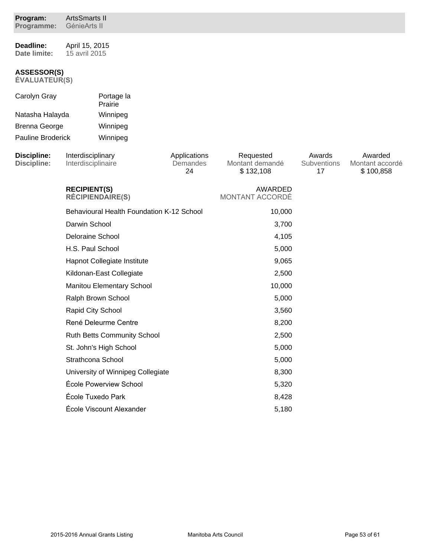| Program:<br>Programme:              | <b>ArtsSmarts II</b><br>GénieArts II             |                             |                                   |                                           |                             |                                         |
|-------------------------------------|--------------------------------------------------|-----------------------------|-----------------------------------|-------------------------------------------|-----------------------------|-----------------------------------------|
| Deadline:<br>Date limite:           | April 15, 2015<br>15 avril 2015                  |                             |                                   |                                           |                             |                                         |
| <b>ASSESSOR(S)</b><br>ÉVALUATEUR(S) |                                                  |                             |                                   |                                           |                             |                                         |
| Carolyn Gray                        |                                                  | Portage la<br>Prairie       |                                   |                                           |                             |                                         |
| Natasha Halayda                     |                                                  | Winnipeg                    |                                   |                                           |                             |                                         |
| <b>Brenna George</b>                |                                                  | Winnipeg                    |                                   |                                           |                             |                                         |
| <b>Pauline Broderick</b>            |                                                  | Winnipeg                    |                                   |                                           |                             |                                         |
| Discipline:<br>Discipline:          | Interdisciplinary<br>Interdisciplinaire          |                             | Applications<br>Demandes<br>24    | Requested<br>Montant demandé<br>\$132,108 | Awards<br>Subventions<br>17 | Awarded<br>Montant accordé<br>\$100,858 |
|                                     | <b>RECIPIENT(S)</b><br><b>RÉCIPIENDAIRE(S)</b>   |                             | AWARDED<br><b>MONTANT ACCORDÉ</b> |                                           |                             |                                         |
|                                     | <b>Behavioural Health Foundation K-12 School</b> |                             |                                   | 10,000                                    |                             |                                         |
|                                     | Darwin School                                    |                             |                                   | 3,700                                     |                             |                                         |
|                                     | <b>Deloraine School</b>                          |                             |                                   | 4,105                                     |                             |                                         |
|                                     | H.S. Paul School                                 |                             |                                   | 5,000                                     |                             |                                         |
|                                     |                                                  | Hapnot Collegiate Institute |                                   | 9,065                                     |                             |                                         |
|                                     | Kildonan-East Collegiate                         |                             |                                   | 2,500                                     |                             |                                         |
|                                     | Manitou Elementary School                        |                             |                                   | 10,000                                    |                             |                                         |
|                                     | Ralph Brown School                               |                             |                                   | 5,000                                     |                             |                                         |
|                                     | Rapid City School                                |                             |                                   | 3,560                                     |                             |                                         |
|                                     | René Deleurme Centre                             |                             |                                   | 8,200                                     |                             |                                         |
|                                     | <b>Ruth Betts Community School</b>               |                             | 2,500                             |                                           |                             |                                         |
|                                     | St. John's High School                           |                             | 5,000                             |                                           |                             |                                         |
|                                     | Strathcona School                                |                             | 5,000                             |                                           |                             |                                         |
|                                     | University of Winnipeg Collegiate                |                             |                                   | 8,300                                     |                             |                                         |
|                                     |                                                  | École Powerview School      |                                   | 5,320                                     |                             |                                         |
|                                     |                                                  | École Tuxedo Park           |                                   | 8,428                                     |                             |                                         |
|                                     |                                                  | École Viscount Alexander    |                                   | 5,180                                     |                             |                                         |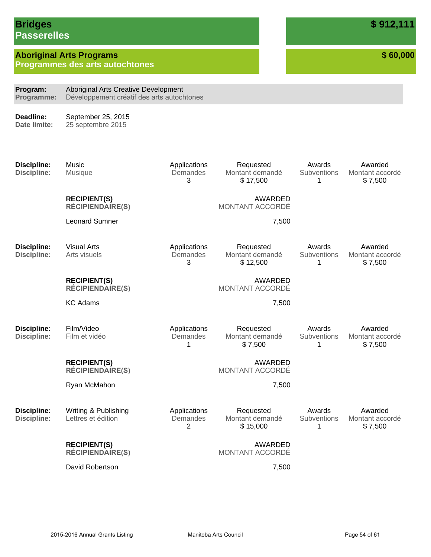### **Bridges Passerelles**

## **Aboriginal Arts Programs**

**Programmes des arts autochtones**

**\$ 60,000**

Awarded Montant accordé \$ 7,500

Awarded Montant accordé \$ 7,500

Awarded Montant accordé \$ 7,500

**Program: Programme:** Aboriginal Arts Creative Development Développement créatif des arts autochtones

**Deadline: Date limite:**

September 25, 2015 25 septembre 2015

**Discipline: Discipline:** 

Music Musique

Applications **Demandes** 3

Applications **Demandes** 3

Applications **Demandes** 1

**RECIPIENT(S) RÉCIPIENDAIRE(S)** 

Leonard Sumner 7,500

**Discipline: Discipline:** 

Arts visuels

**RECIPIENT(S) RÉCIPIENDAIRE(S)** 

KC Adams 7,500

Visual Arts

**Discipline: Discipline:**  Film/Video Film et vidéo

> **RECIPIENT(S) RÉCIPIENDAIRE(S)**

Ryan McMahon 7,500

**Discipline: Discipline:**  Writing & Publishing Lettres et édition

**RECIPIENT(S)**

**RÉCIPIENDAIRE(S)** 

David Robertson 7,500

Applications **Demandes** 2

Requested Montant demandé \$ 15,000

Requested Montant demandé \$ 17,500

MONTANT ACCORDÉ

Requested Montant demandé \$ 12,500

MONTANT ACCORDÉ

Requested Montant demandé \$ 7,500

MONTANT ACCORDÉ

AWARDED

AWARDED

AWARDED

Awards **Subventions** 1

Awards **Subventions** 1

Awards **Subventions** 1

Awards **Subventions** 1

> Awarded Montant accordé \$ 7,500

AWARDED MONTANT ACCORDÉ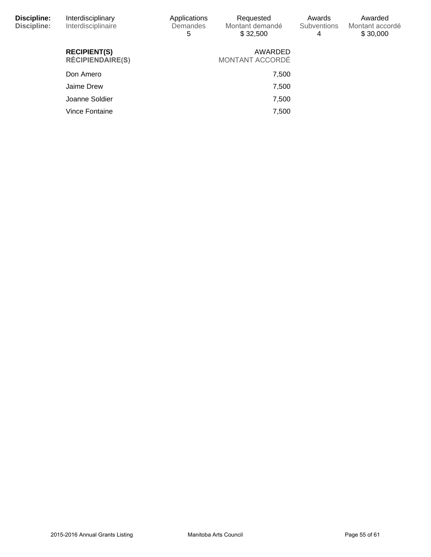| Discipline:<br><b>Discipline:</b> | Interdisciplinary<br>Interdisciplinaire        | Applications<br><b>Demandes</b><br>5 | Requested<br>Montant demandé<br>\$32,500 | Awards<br><b>Subventions</b><br>4 | Awarded<br>Montant accordé<br>\$30,000 |
|-----------------------------------|------------------------------------------------|--------------------------------------|------------------------------------------|-----------------------------------|----------------------------------------|
|                                   | <b>RECIPIENT(S)</b><br><b>RÉCIPIENDAIRE(S)</b> |                                      | AWARDED<br>MONTANT ACCORDÉ               |                                   |                                        |
|                                   | Don Amero                                      |                                      | 7,500                                    |                                   |                                        |
|                                   | Jaime Drew                                     |                                      | 7,500                                    |                                   |                                        |
|                                   | Joanne Soldier                                 |                                      | 7,500                                    |                                   |                                        |
|                                   | Vince Fontaine                                 |                                      | 7,500                                    |                                   |                                        |
|                                   |                                                |                                      |                                          |                                   |                                        |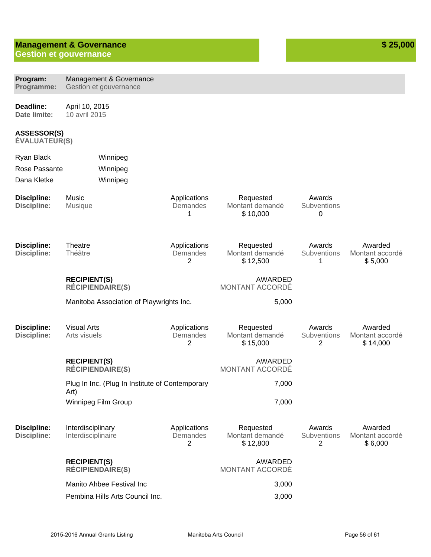### **Management & Governance Gestion et gouvernance**

| Program:<br>Programme:                   | Management & Governance<br>Gestion et gouvernance       |                                            |                                          |                                         |                                        |  |  |  |  |
|------------------------------------------|---------------------------------------------------------|--------------------------------------------|------------------------------------------|-----------------------------------------|----------------------------------------|--|--|--|--|
| Deadline:<br>Date limite:                | April 10, 2015<br>10 avril 2015                         |                                            |                                          |                                         |                                        |  |  |  |  |
| ASSESSOR(S)<br><b>ÉVALUATEUR(S)</b>      |                                                         |                                            |                                          |                                         |                                        |  |  |  |  |
| Ryan Black                               | Winnipeg                                                |                                            |                                          |                                         |                                        |  |  |  |  |
| Rose Passante                            | Winnipeg                                                |                                            |                                          |                                         |                                        |  |  |  |  |
| Dana Kletke                              | Winnipeg                                                |                                            |                                          |                                         |                                        |  |  |  |  |
| <b>Discipline:</b><br><b>Discipline:</b> | Music<br>Musique                                        | Applications<br>Demandes<br>1              | Requested<br>Montant demandé<br>\$10,000 | Awards<br>Subventions<br>0              |                                        |  |  |  |  |
| <b>Discipline:</b><br><b>Discipline:</b> | Theatre<br>Théâtre                                      | Applications<br>Demandes<br>2              | Requested<br>Montant demandé<br>\$12,500 | Awards<br>Subventions<br>1              | Awarded<br>Montant accordé<br>\$5,000  |  |  |  |  |
|                                          | <b>RECIPIENT(S)</b><br><b>RÉCIPIENDAIRE(S)</b>          |                                            | AWARDED<br>MONTANT ACCORDÉ               |                                         |                                        |  |  |  |  |
|                                          | Manitoba Association of Playwrights Inc.                |                                            | 5,000                                    |                                         |                                        |  |  |  |  |
| <b>Discipline:</b><br><b>Discipline:</b> | <b>Visual Arts</b><br>Arts visuels                      | Applications<br>Demandes<br>2              | Requested<br>Montant demandé<br>\$15,000 | Awards<br>Subventions<br>2              | Awarded<br>Montant accordé<br>\$14,000 |  |  |  |  |
|                                          | <b>RECIPIENT(S)</b><br><b>RÉCIPIENDAIRE(S)</b>          |                                            | <b>AWARDED</b><br>MONTANT ACCORDÉ        |                                         |                                        |  |  |  |  |
|                                          | Plug In Inc. (Plug In Institute of Contemporary<br>Art) |                                            | 7,000                                    |                                         |                                        |  |  |  |  |
|                                          | Winnipeg Film Group                                     |                                            | 7,000                                    |                                         |                                        |  |  |  |  |
| <b>Discipline:</b><br><b>Discipline:</b> | Interdisciplinary<br>Interdisciplinaire                 | Applications<br>Demandes<br>$\overline{2}$ | Requested<br>Montant demandé<br>\$12,800 | Awards<br>Subventions<br>$\overline{2}$ | Awarded<br>Montant accordé<br>\$6,000  |  |  |  |  |
|                                          | <b>RECIPIENT(S)</b><br><b>RÉCIPIENDAIRE(S)</b>          |                                            | AWARDED<br>MONTANT ACCORDÉ               |                                         |                                        |  |  |  |  |
|                                          | Manito Ahbee Festival Inc                               |                                            | 3,000                                    |                                         |                                        |  |  |  |  |
|                                          | Pembina Hills Arts Council Inc.                         |                                            | 3,000                                    |                                         |                                        |  |  |  |  |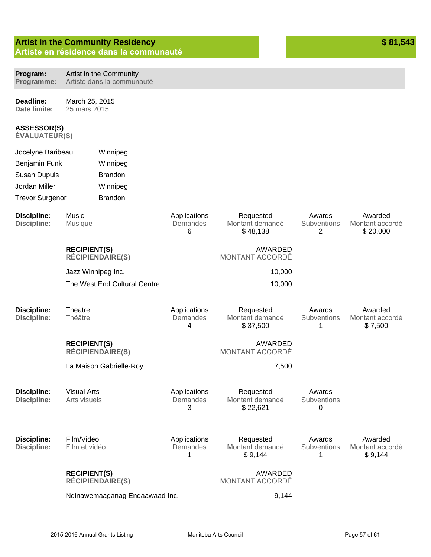|                                          |                                                | <b>Artist in the Community Residency</b><br>Artiste en résidence dans la communauté |                               |                                          |                            | \$81,543                               |
|------------------------------------------|------------------------------------------------|-------------------------------------------------------------------------------------|-------------------------------|------------------------------------------|----------------------------|----------------------------------------|
|                                          |                                                |                                                                                     |                               |                                          |                            |                                        |
| Program:<br>Programme:                   |                                                | Artist in the Community<br>Artiste dans la communauté                               |                               |                                          |                            |                                        |
| Deadline:<br>Date limite:                | March 25, 2015<br>25 mars 2015                 |                                                                                     |                               |                                          |                            |                                        |
| ASSESSOR(S)<br><b>ÉVALUATEUR(S)</b>      |                                                |                                                                                     |                               |                                          |                            |                                        |
| Jocelyne Baribeau                        |                                                | Winnipeg                                                                            |                               |                                          |                            |                                        |
| Benjamin Funk                            |                                                | Winnipeg                                                                            |                               |                                          |                            |                                        |
| <b>Susan Dupuis</b>                      |                                                | <b>Brandon</b>                                                                      |                               |                                          |                            |                                        |
| Jordan Miller                            |                                                | Winnipeg                                                                            |                               |                                          |                            |                                        |
| <b>Trevor Surgenor</b>                   |                                                | <b>Brandon</b>                                                                      |                               |                                          |                            |                                        |
| <b>Discipline:</b><br><b>Discipline:</b> | Music<br><b>Musique</b>                        |                                                                                     | Applications<br>Demandes<br>6 | Requested<br>Montant demandé<br>\$48,138 | Awards<br>Subventions<br>2 | Awarded<br>Montant accordé<br>\$20,000 |
|                                          | <b>RECIPIENT(S)</b><br><b>RÉCIPIENDAIRE(S)</b> |                                                                                     |                               | <b>AWARDED</b><br>MONTANT ACCORDÉ        |                            |                                        |
| Jazz Winnipeg Inc.                       |                                                |                                                                                     |                               |                                          | 10,000                     |                                        |
|                                          |                                                | The West End Cultural Centre                                                        |                               |                                          | 10,000                     |                                        |
| <b>Discipline:</b><br><b>Discipline:</b> | Theatre<br>Théâtre                             |                                                                                     | Applications<br>Demandes<br>4 | Requested<br>Montant demandé<br>\$37,500 | Awards<br>Subventions<br>1 | Awarded<br>Montant accordé<br>\$7,500  |
|                                          | <b>RECIPIENT(S)</b><br><b>RÉCIPIENDAIRE(S)</b> |                                                                                     |                               | AWARDED<br>MONTANT ACCORDÉ               |                            |                                        |
|                                          |                                                | La Maison Gabrielle-Roy                                                             |                               |                                          | 7,500                      |                                        |
| <b>Discipline:</b><br><b>Discipline:</b> | <b>Visual Arts</b><br>Arts visuels             |                                                                                     | Applications<br>Demandes<br>3 | Requested<br>Montant demandé<br>\$22,621 | Awards<br>Subventions<br>0 |                                        |
| <b>Discipline:</b><br><b>Discipline:</b> | Film/Video<br>Film et vidéo                    |                                                                                     | Applications<br>Demandes<br>1 | Requested<br>Montant demandé<br>\$9,144  | Awards<br>Subventions<br>1 | Awarded<br>Montant accordé<br>\$9,144  |
|                                          | <b>RECIPIENT(S)</b><br><b>RÉCIPIENDAIRE(S)</b> |                                                                                     |                               | <b>AWARDED</b><br>MONTANT ACCORDÉ        |                            |                                        |
|                                          |                                                | Ndinawemaaganag Endaawaad Inc.                                                      |                               |                                          | 9,144                      |                                        |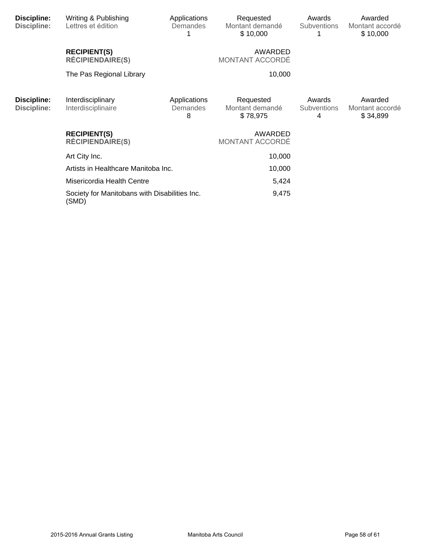| Discipline:<br>Discipline: | Writing & Publishing<br>Lettres et édition             | Applications<br>Demandes      | Requested<br>Montant demandé<br>\$10,000 | Awards<br><b>Subventions</b>      | Awarded<br>Montant accordé<br>\$10,000 |
|----------------------------|--------------------------------------------------------|-------------------------------|------------------------------------------|-----------------------------------|----------------------------------------|
|                            | <b>RECIPIENT(S)</b><br><b>RÉCIPIENDAIRE(S)</b>         |                               | AWARDED<br>MONTANT ACCORDÉ               |                                   |                                        |
|                            | The Pas Regional Library                               |                               | 10,000                                   |                                   |                                        |
| Discipline:<br>Discipline: | Interdisciplinary<br>Interdisciplinaire                | Applications<br>Demandes<br>8 | Requested<br>Montant demandé<br>\$78,975 | Awards<br><b>Subventions</b><br>4 | Awarded<br>Montant accordé<br>\$34,899 |
|                            | <b>RECIPIENT(S)</b><br><b>RÉCIPIENDAIRE(S)</b>         |                               | AWARDED<br>MONTANT ACCORDÉ               |                                   |                                        |
|                            | Art City Inc.                                          |                               | 10,000                                   |                                   |                                        |
|                            | Artists in Healthcare Manitoba Inc.                    |                               | 10,000                                   |                                   |                                        |
|                            | Misericordia Health Centre                             |                               | 5,424                                    |                                   |                                        |
|                            | Society for Manitobans with Disabilities Inc.<br>(SMD) |                               | 9,475                                    |                                   |                                        |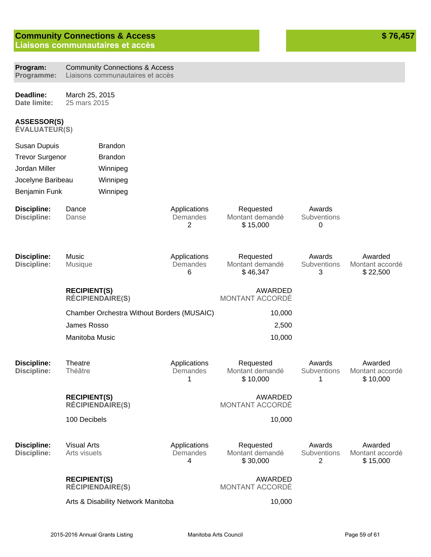# **Community Connections & Access**

**Liaisons communautaires et accès** 

| Program:<br>Programme:                     | <b>Community Connections &amp; Access</b><br>Liaisons communautaires et accès |                                            |                               |                                          |                            |                                        |
|--------------------------------------------|-------------------------------------------------------------------------------|--------------------------------------------|-------------------------------|------------------------------------------|----------------------------|----------------------------------------|
| Deadline:<br>Date limite:                  |                                                                               | March 25, 2015<br>25 mars 2015             |                               |                                          |                            |                                        |
| <b>ASSESSOR(S)</b><br><b>ÉVALUATEUR(S)</b> |                                                                               |                                            |                               |                                          |                            |                                        |
| <b>Susan Dupuis</b>                        |                                                                               | <b>Brandon</b>                             |                               |                                          |                            |                                        |
| <b>Trevor Surgenor</b>                     |                                                                               | <b>Brandon</b>                             |                               |                                          |                            |                                        |
| Jordan Miller                              |                                                                               | Winnipeg                                   |                               |                                          |                            |                                        |
| Jocelyne Baribeau                          |                                                                               | Winnipeg                                   |                               |                                          |                            |                                        |
| <b>Benjamin Funk</b>                       |                                                                               | Winnipeg                                   |                               |                                          |                            |                                        |
| <b>Discipline:</b><br><b>Discipline:</b>   | Dance<br>Danse                                                                |                                            | Applications<br>Demandes<br>2 | Requested<br>Montant demandé<br>\$15,000 | Awards<br>Subventions<br>0 |                                        |
| <b>Discipline:</b><br><b>Discipline:</b>   | Music<br>Musique                                                              |                                            | Applications<br>Demandes<br>6 | Requested<br>Montant demandé<br>\$46,347 | Awards<br>Subventions<br>3 | Awarded<br>Montant accordé<br>\$22,500 |
|                                            | <b>RECIPIENT(S)</b>                                                           | <b>RÉCIPIENDAIRE(S)</b>                    |                               | <b>AWARDED</b><br>MONTANT ACCORDÉ        |                            |                                        |
|                                            |                                                                               | Chamber Orchestra Without Borders (MUSAIC) |                               | 10,000                                   |                            |                                        |
|                                            | James Rosso                                                                   |                                            |                               | 2,500                                    |                            |                                        |
|                                            | Manitoba Music                                                                |                                            |                               | 10,000                                   |                            |                                        |
| <b>Discipline:</b><br><b>Discipline:</b>   | Theatre<br>Théâtre                                                            |                                            | Applications<br>Demandes<br>1 | Requested<br>Montant demandé<br>\$10,000 | Awards<br>Subventions<br>1 | Awarded<br>Montant accordé<br>\$10,000 |
|                                            | <b>RECIPIENT(S)</b>                                                           | <b>RÉCIPIENDAIRE(S)</b>                    |                               | AWARDED<br>MONTANT ACCORDÉ               |                            |                                        |
|                                            | 100 Decibels                                                                  |                                            |                               | 10,000                                   |                            |                                        |
| <b>Discipline:</b><br><b>Discipline:</b>   | <b>Visual Arts</b><br>Arts visuels                                            |                                            | Applications<br>Demandes<br>4 | Requested<br>Montant demandé<br>\$30,000 | Awards<br>Subventions<br>2 | Awarded<br>Montant accordé<br>\$15,000 |
|                                            | <b>RECIPIENT(S)</b>                                                           | <b>RÉCIPIENDAIRE(S)</b>                    |                               | AWARDED<br>MONTANT ACCORDÉ               |                            |                                        |
|                                            | Arts & Disability Network Manitoba                                            |                                            |                               | 10,000                                   |                            |                                        |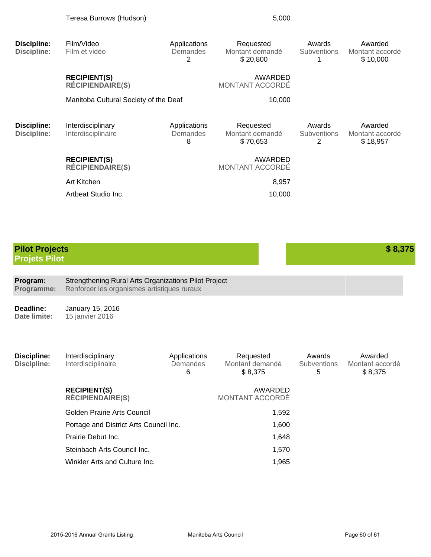| <b>Discipline:</b><br><b>Discipline:</b>      | Film/Video<br>Film et vidéo                    | Applications<br>Demandes<br>2 | Requested<br>Montant demandé<br>\$20,800 | Awards<br>Subventions      | Awarded<br>Montant accordé<br>\$10,000 |
|-----------------------------------------------|------------------------------------------------|-------------------------------|------------------------------------------|----------------------------|----------------------------------------|
|                                               | <b>RECIPIENT(S)</b><br><b>RÉCIPIENDAIRE(S)</b> |                               | AWARDED<br>MONTANT ACCORDÉ               |                            |                                        |
|                                               | Manitoba Cultural Society of the Deaf          |                               | 10,000                                   |                            |                                        |
| <b>Discipline:</b><br><b>Discipline:</b>      | Interdisciplinary<br>Interdisciplinaire        | Applications<br>Demandes<br>8 | Requested<br>Montant demandé<br>\$70,653 | Awards<br>Subventions<br>2 | Awarded<br>Montant accordé<br>\$18,957 |
|                                               | <b>RECIPIENT(S)</b><br><b>RÉCIPIENDAIRE(S)</b> |                               | AWARDED<br>MONTANT ACCORDÉ               |                            |                                        |
|                                               | Art Kitchen                                    |                               | 8,957                                    |                            |                                        |
|                                               | Artbeat Studio Inc.                            |                               | 10,000                                   |                            |                                        |
|                                               |                                                |                               |                                          |                            |                                        |
| <b>Pilot Projects</b><br><b>Projets Pilot</b> |                                                |                               |                                          |                            | \$8,375                                |

**Program: Programme:** Strengthening Rural Arts Organizations Pilot Project Renforcer les organismes artistiques ruraux

**Deadline: Date limite:** January 15, 2016 15 janvier 2016

| Discipline:<br>Discipline: | Interdisciplinary<br>Interdisciplinaire        | Applications<br>Demandes<br>6 | Requested<br>Montant demandé<br>\$8.375 | Awards<br><b>Subventions</b><br>5 | Awarded<br>Montant accordé<br>\$8,375 |
|----------------------------|------------------------------------------------|-------------------------------|-----------------------------------------|-----------------------------------|---------------------------------------|
|                            | <b>RECIPIENT(S)</b><br><b>RÉCIPIENDAIRE(S)</b> |                               | AWARDED<br><b>MONTANT ACCORDÉ</b>       |                                   |                                       |
|                            | Golden Prairie Arts Council                    |                               | 1,592                                   |                                   |                                       |
|                            | Portage and District Arts Council Inc.         |                               | 1,600                                   |                                   |                                       |
|                            | Prairie Debut Inc.                             |                               | 1,648                                   |                                   |                                       |
|                            | Steinbach Arts Council Inc.                    |                               | 1,570                                   |                                   |                                       |
|                            | Winkler Arts and Culture Inc.                  |                               | 1,965                                   |                                   |                                       |